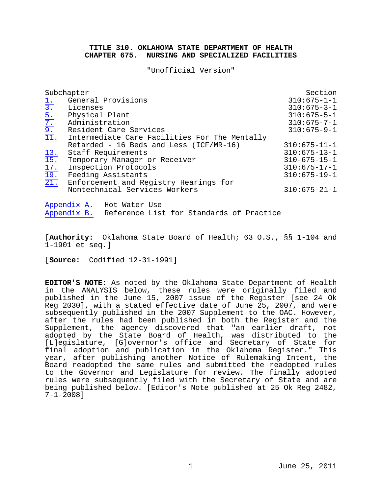#### **TITLE 310. OKLAHOMA STATE DEPARTMENT OF HEALTH CHAPTER 675. NURSING AND SPECIALIZED FACILITIES**

"Unofficial Version"

| Subchapter                                             | Section                                       |                      |
|--------------------------------------------------------|-----------------------------------------------|----------------------|
| $1$ .                                                  | General Provisions                            | $310:675 - 1 - 1$    |
| $\frac{1}{3}$ .<br>$\frac{5}{7}$ .<br>$\frac{7}{11}$ . | Licenses                                      | $310:675 - 3 - 1$    |
|                                                        | Physical Plant                                | $310:675 - 5 - 1$    |
|                                                        | Administration                                | $310:675 - 7 - 1$    |
|                                                        | Resident Care Services                        | $310:675 - 9 - 1$    |
|                                                        | Intermediate Care Facilities For The Mentally |                      |
|                                                        | Retarded - 16 Beds and Less (ICF/MR-16)       | $310:675 - 11 - 1$   |
| 13.                                                    | Staff Requirements                            | $310:675 - 13 - 1$   |
| 15.                                                    | Temporary Manager or Receiver                 | $310 - 675 - 15 - 1$ |
| 17.                                                    | Inspection Protocols                          | $310:675 - 17 - 1$   |
| $\overline{19}$ .                                      | Feeding Assistants                            | $310:675 - 19 - 1$   |
| $\overline{21}$ .                                      | Enforcement and Registry Hearings for         |                      |
|                                                        | Nontechnical Services Workers                 | $310:675 - 21 - 1$   |
|                                                        |                                               |                      |

<u>[Appendix A.](#page-112-0)</u> Hot Water Use<br>Appendix B. Reference List Reference List for Standards of Practice

[**Authority:** Oklahoma State Board of Health; 63 O.S., §§ 1-104 and 1-1901 et seq.]

[**Source:** Codified 12-31-1991]

**EDITOR'S NOTE:** As noted by the Oklahoma State Department of Health in the ANALYSIS below, these rules were originally filed and published in the June 15, 2007 issue of the Register [see 24 Ok Reg 2030], with a stated effective date of June 25, 2007, and were subsequently published in the 2007 Supplement to the OAC. However, after the rules had been published in both the Register and the Supplement, the agency discovered that "an earlier draft, <u>not</u> adopted by the State Board of Health, was distributed to the [L]egislature, [G]overnor's office and Secretary of State for final adoption and publication in the Oklahoma Register." This year, after publishing another Notice of Rulemaking Intent, the Board readopted the same rules and submitted the readopted rules to the Governor and Legislature for review. The finally adopted rules were subsequently filed with the Secretary of State and are being published below. [Editor's Note published at 25 Ok Reg 2482, 7-1-2008]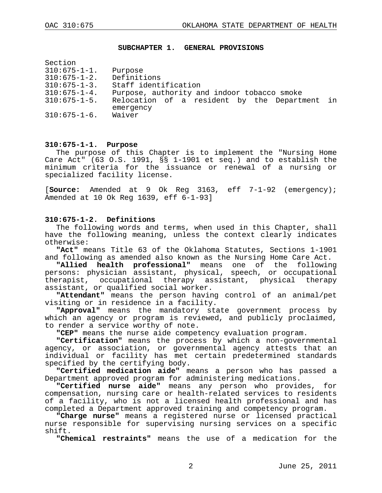#### <span id="page-1-0"></span>**SUBCHAPTER 1. GENERAL PROVISIONS**

| Section             |                                               |  |
|---------------------|-----------------------------------------------|--|
| $310:675 - 1 - 1$ . | Purpose                                       |  |
| $310:675 - 1 - 2$ . | Definitions                                   |  |
| $310:675 - 1 - 3$ . | Staff identification                          |  |
| $310:675 - 1 - 4$ . | Purpose, authority and indoor tobacco smoke   |  |
| $310:675 - 1 - 5$ . | Relocation of a resident by the Department in |  |
|                     | emergency                                     |  |
| $310:675 - 1 - 6$ . | Waiver                                        |  |
|                     |                                               |  |

#### **310:675-1-1. Purpose**

The purpose of this Chapter is to implement the "Nursing Home Care Act" (63 O.S. 1991, §§ 1-1901 et seq.) and to establish the minimum criteria for the issuance or renewal of a nursing or specialized facility license.

[**Source:** Amended at 9 Ok Reg 3163, eff 7-1-92 (emergency); Amended at 10 Ok Reg 1639, eff 6-1-93]

#### **310:675-1-2. Definitions**

The following words and terms, when used in this Chapter, shall have the following meaning, unless the context clearly indicates otherwise:

**"Act"** means Title 63 of the Oklahoma Statutes, Sections 1-1901 and following as amended also known as the Nursing Home Care Act.

**"Allied health professional"** means one of the following persons: physician assistant, physical, speech, or occupational therapist, occupational therapy assistant, physical therapy assistant, or qualified social worker.

**"Attendant"** means the person having control of an animal/pet visiting or in residence in a facility.

**"Approval"** means the mandatory state government process by which an agency or program is reviewed, and publicly proclaimed, to render a service worthy of note.

**"CEP"** means the nurse aide competency evaluation program.

**"Certification"** means the process by which a non-governmental agency, or association, or governmental agency attests that an individual or facility has met certain predetermined standards specified by the certifying body.

**"Certified medication aide"** means a person who has passed a Department approved program for administering medications.

**"Certified nurse aide"** means any person who provides, for compensation, nursing care or health-related services to residents of a facility, who is not a licensed health professional and has completed a Department approved training and competency program.

**"Charge nurse"** means a registered nurse or licensed practical nurse responsible for supervising nursing services on a specific shift.

**"Chemical restraints"** means the use of a medication for the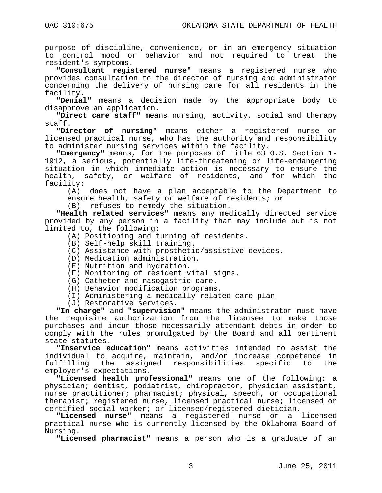purpose of discipline, convenience, or in an emergency situation to control mood or behavior and not required to treat the resident's symptoms.

**"Consultant registered nurse"** means a registered nurse who provides consultation to the director of nursing and administrator concerning the delivery of nursing care for all residents in the facility.

**"Denial"** means a decision made by the appropriate body to disapprove an application.

**"Direct care staff"** means nursing, activity, social and therapy staff.

**"Director of nursing"** means either a registered nurse or licensed practical nurse, who has the authority and responsibility to administer nursing services within the facility.

**"Emergency"** means, for the purposes of Title 63 O.S. Section 1- 1912, a serious, potentially life-threatening or life-endangering situation in which immediate action is necessary to ensure the health, safety, or welfare of residents, and for which the facility:<br>(A)

does not have a plan acceptable to the Department to ensure health, safety or welfare of residents; or

(B) refuses to remedy the situation.

**"Health related services"** means any medically directed service provided by any person in a facility that may include but is not limited to, the following:

- (A) Positioning and turning of residents.
- (B) Self-help skill training.
- (C) Assistance with prosthetic/assistive devices.
- (D) Medication administration.
- (E) Nutrition and hydration.
- (F) Monitoring of resident vital signs.
- (G) Catheter and nasogastric care.
- (H) Behavior modification programs.
- (I) Administering a medically related care plan
- (J) Restorative services.

**"In charge"** and **"supervision"** means the administrator must have the requisite authorization from the licensee to make those purchases and incur those necessarily attendant debts in order to comply with the rules promulgated by the Board and all pertinent state statutes.

**"Inservice education"** means activities intended to assist the individual to acquire, maintain, and/or increase competence in responsibilities employer's expectations.

**"Licensed health professional"** means one of the following: a physician; dentist, podiatrist, chiropractor, physician assistant, nurse practitioner; pharmacist; physical, speech, or occupational therapist; registered nurse, licensed practical nurse; licensed or certified social worker; or licensed/registered dietician.

**"Licensed nurse"** means a registered nurse or a licensed practical nurse who is currently licensed by the Oklahoma Board of Nursing.

**"Licensed pharmacist"** means a person who is a graduate of an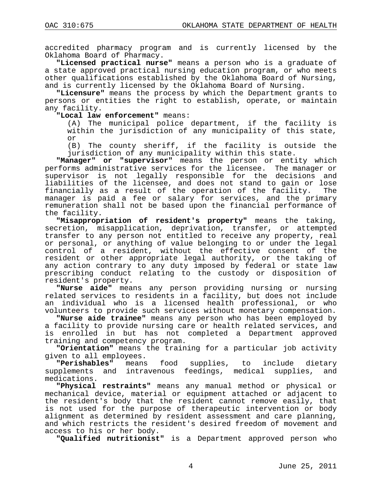accredited pharmacy program and is currently licensed by the Oklahoma Board of Pharmacy.

**"Licensed practical nurse"** means a person who is a graduate of a state approved practical nursing education program, or who meets other qualifications established by the Oklahoma Board of Nursing, and is currently licensed by the Oklahoma Board of Nursing.

**"Licensure"** means the process by which the Department grants to persons or entities the right to establish, operate, or maintain any facility.

**"Local law enforcement"** means:

(A) The municipal police department, if the facility is within the jurisdiction of any municipality of this state, or

(B) The county sheriff, if the facility is outside the jurisdiction of any municipality within this state.

**"Manager" or "supervisor"** means the person or entity which performs administrative services for the licensee. The manager or supervisor is not legally responsible for the decisions and liabilities of the licensee, and does not stand to gain or lose<br>financially as a result of the operation of the facility. The financially as a result of the operation of the facility. manager is paid a fee or salary for services, and the primary remuneration shall not be based upon the financial performance of the facility.

**"Misappropriation of resident's property"** means the taking, secretion, misapplication, deprivation, transfer, or attempted transfer to any person not entitled to receive any property, real or personal, or anything of value belonging to or under the legal control of a resident, without the effective consent of the resident or other appropriate legal authority, or the taking of any action contrary to any duty imposed by federal or state law prescribing conduct relating to the custody or disposition of resident's property.

**"Nurse aide"** means any person providing nursing or nursing related services to residents in a facility, but does not include an individual who is a licensed health professional, or who volunteers to provide such services without monetary compensation.

**"Nurse aide trainee"** means any person who has been employed by a facility to provide nursing care or health related services, and is enrolled in but has not completed a Department approved training and competency program.

**"Orientation"** means the training for a particular job activity given to all employees.<br>**"Perishables"** means

food supplies, to include dietary supplements and intravenous feedings, medical supplies, and medications.

**"Physical restraints"** means any manual method or physical or mechanical device, material or equipment attached or adjacent to the resident's body that the resident cannot remove easily, that is not used for the purpose of therapeutic intervention or body alignment as determined by resident assessment and care planning, and which restricts the resident's desired freedom of movement and access to his or her body.

**"Qualified nutritionist"** is a Department approved person who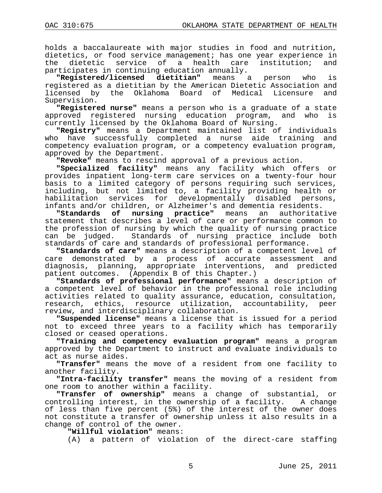holds a baccalaureate with major studies in food and nutrition, dietetics, or food service management; has one year experience in<br>the dietetic service of a health care institution; and of a health care institution; participates in continuing education annually.

**"Registered/licensed dietitian"** means a person who is registered as a dietitian by the American Dietetic Association and by the Oklahoma Board of Medical Licensure Supervision.

**"Registered nurse"** means a person who is a graduate of a state approved registered nursing education program, and who currently licensed by the Oklahoma Board of Nursing.

**"Registry"** means a Department maintained list of individuals who have successfully completed a nurse aide training competency evaluation program, or a competency evaluation program, approved by the Department.

**"Revoke"** means to rescind approval of a previous action.

**"Specialized facility"** means any facility which offers or provides inpatient long-term care services on a twenty-four hour basis to a limited category of persons requiring such services, including, but not limited to, a facility providing health or habilitation services for developmentally disabled persons,

infants and/or children, or Alzheimer's and dementia residents.<br>"Standards of nursing practice" means an authoritat practice" means an authoritative statement that describes a level of care or performance common to the profession of nursing by which the quality of nursing practice<br>can be judged. Standards of nursing practice include both Standards of nursing practice include both standards of care and standards of professional performance.

**"Standards of care"** means a description of a competent level of care demonstrated by a process of accurate assessment and diagnosis, planning, appropriate interventions, and predicted patient outcomes. (Appendix B of this Chapter.)

**"Standards of professional performance"** means a description of a competent level of behavior in the professional role including activities related to quality assurance, education, consultation,<br>research, ethics, resource utilization, accountability, peer research, ethics, resource utilization, review, and interdisciplinary collaboration.

**"Suspended license"** means a license that is issued for a period not to exceed three years to a facility which has temporarily closed or ceased operations.

**"Training and competency evaluation program"** means a program approved by the Department to instruct and evaluate individuals to act as nurse aides.

**"Transfer"** means the move of a resident from one facility to another facility.

**"Intra-facility transfer"** means the moving of a resident from one room to another within a facility.

**"Transfer of ownership"** means a change of substantial, or controlling interest, in the ownership of a facility. A change of less than five percent (5%) of the interest of the owner does not constitute a transfer of ownership unless it also results in a change of control of the owner.

**"Willful violation"** means:

(A) a pattern of violation of the direct-care staffing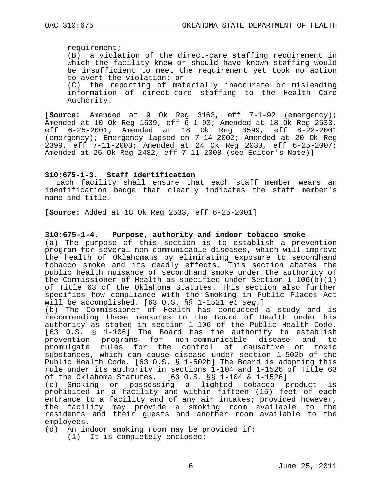requirement; (B) a violation of the direct-care staffing requirement in which the facility knew or should have known staffing would be insufficient to meet the requirement yet took no action to avert the violation; or (C) the reporting of materially inaccurate or misleading information of direct-care staffing to the Health Care Authority.

[**Source:** Amended at 9 Ok Reg 3163, eff 7-1-92 (emergency); Amended at 10 Ok Reg 1639, eff  $6-1-93$ ; Amended at 18 Ok Reg 2533, eff  $6-25-2001$ ; Amended at 18 Ok Reg 3599, eff 8-22-2001 6-25-2001; Amended at 18 Ok Reg 3599, eff (emergency); Emergency lapsed on 7-14-2002; Amended at 20 Ok Reg 2399, eff 7-11-2003; Amended at 24 Ok Reg 2030, eff 6-25-2007; Amended at 25 Ok Reg 2482, eff 7-11-2008 (see Editor's Note)]

### **310:675-1-3. Staff identification**

Each facility shall ensure that each staff member wears an identification badge that clearly indicates the staff member's name and title.

**[Source:** Added at 18 Ok Reg 2533, eff 6-25-2001]

#### **310:675-1-4. Purpose, authority and indoor tobacco smoke**

(a) The purpose of this section is to establish a prevention program for several non-communicable diseases, which will improve the health of Oklahomans by eliminating exposure to secondhand tobacco smoke and its deadly effects. This section abates the public health nuisance of secondhand smoke under the authority of the Commissioner of Health as specified under Section 1-106(b)(1) of Title 63 of the Oklahoma Statutes. This section also further specifies how compliance with the Smoking in Public Places Act will be accomplished. [63 O.S. §§ 1-1521 *et seq.*]

(b) The Commissioner of Health has conducted a study and is recommending these measures to the Board of Health under his authority as stated in section 1-106 of the Public Health Code. [63 O.S. § 1-106] The Board has the authority to establish<br>prevention programs for non-communicable disease and to prevention programs for non-communicable disease and to promulgate rules for the control of causative substances, which can cause disease under section 1-502b of the Public Health Code. [63 O.S. § 1-502b] The Board is adopting this rule under its authority in sections 1-104 and 1-1526 of Title 63 of the Oklahoma Statutes. [63 O.S. §§ 1-104 & 1-1526]

Smoking or possessing a lighted tobacco product is prohibited in a facility and within fifteen (15) feet of each entrance to a facility and of any air intakes; provided however, the facility may provide a smoking room available to the residents and their guests and another room available to the employees.

(d) An indoor smoking room may be provided if:

(1) It is completely enclosed;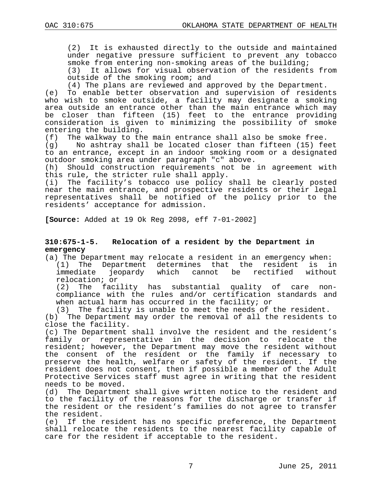(2) It is exhausted directly to the outside and maintained under negative pressure sufficient to prevent any tobacco smoke from entering non-smoking areas of the building;<br>(3) It allows for visual observation of the resident

It allows for visual observation of the residents from outside of the smoking room; and

(4) The plans are reviewed and approved by the Department.

(e) To enable better observation and supervision of residents who wish to smoke outside, a facility may designate a smoking area outside an entrance other than the main entrance which may be closer than fifteen (15) feet to the entrance providing consideration is given to minimizing the possibility of smoke entering the building.<br>(f) The walkway to th

(f) The walkway to the main entrance shall also be smoke free.<br>(g) Mo ashtray shall be located closer than fifteen (15) fe

No ashtray shall be located closer than fifteen (15) feet to an entrance, except in an indoor smoking room or a designated outdoor smoking area under paragraph "c" above.

(h) Should construction requirements not be in agreement with this rule, the stricter rule shall apply.

(i) The facility's tobacco use policy shall be clearly posted near the main entrance, and prospective residents or their legal representatives shall be notified of the policy prior to the residents' acceptance for admission.

**[Source:** Added at 19 Ok Reg 2098, eff 7-01-2002]

#### **310:675-1-5. Relocation of a resident by the Department in emergency**

(a) The Department may relocate a resident in an emergency when: (1) The Department determines that the resident is in<br>immediate jeopardy which cannot be rectified without cannot be rectified without relocation; or

(2) The facility has substantial quality of care noncompliance with the rules and/or certification standards and when actual harm has occurred in the facility; or

(3) The facility is unable to meet the needs of the resident.

(b) The Department may order the removal of all the residents to close the facility.

(c) The Department shall involve the resident and the resident's family or representative in the decision to relocate the resident; however, the Department may move the resident without the consent of the resident or the family if necessary to preserve the health, welfare or safety of the resident. If the resident does not consent, then if possible a member of the Adult Protective Services staff must agree in writing that the resident needs to be moved.<br>(d) The Departmen

The Department shall give written notice to the resident and to the facility of the reasons for the discharge or transfer if the resident or the resident's families do not agree to transfer the resident.

(e) If the resident has no specific preference, the Department shall relocate the residents to the nearest facility capable of care for the resident if acceptable to the resident.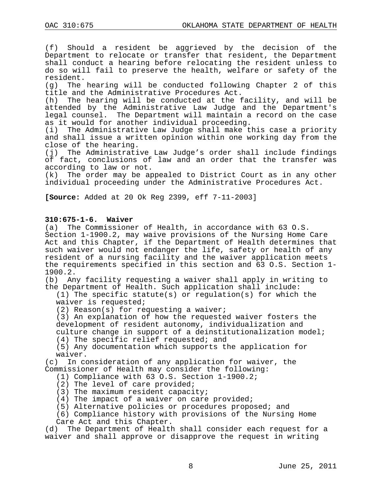(f) Should a resident be aggrieved by the decision of the Department to relocate or transfer that resident, the Department shall conduct a hearing before relocating the resident unless to do so will fail to preserve the health, welfare or safety of the resident.

(g) The hearing will be conducted following Chapter 2 of this title and the Administrative Procedures Act.

(h) The hearing will be conducted at the facility, and will be attended by the Administrative Law Judge and the Department's legal counsel. The Department will maintain a record on the case as it would for another individual proceeding.<br>(i) The Administrative Law Judge shall make t

The Administrative Law Judge shall make this case a priority and shall issue a written opinion within one working day from the close of the hearing.

(j) The Administrative Law Judge's order shall include findings of fact, conclusions of law and an order that the transfer was according to law or not.

(k) The order may be appealed to District Court as in any other individual proceeding under the Administrative Procedures Act.

**[Source:** Added at 20 Ok Reg 2399, eff 7-11-2003]

### **310:675-1-6. Waiver**

(a) The Commissioner of Health, in accordance with 63 O.S. Section 1-1900.2, may waive provisions of the Nursing Home Care Act and this Chapter, if the Department of Health determines that such waiver would not endanger the life, safety or health of any resident of a nursing facility and the waiver application meets the requirements specified in this section and 63 O.S. Section 1- 1900.2.<br>(b) An

Any facility requesting a waiver shall apply in writing to the Department of Health. Such application shall include:

(1) The specific statute(s) or regulation(s) for which the waiver is requested;

(2) Reason(s) for requesting a waiver;

(3) An explanation of how the requested waiver fosters the development of resident autonomy, individualization and culture change in support of a deinstitutionalization model;

(4) The specific relief requested; and

(5) Any documentation which supports the application for

waiver.<br>c) In co) In consideration of any application for waiver, the Commissioner of Health may consider the following:

- (1) Compliance with 63 O.S. Section 1-1900.2;
- (2) The level of care provided;
- (3) The maximum resident capacity;
- (4) The impact of a waiver on care provided;
- (5) Alternative policies or procedures proposed; and
- (6) Compliance history with provisions of the Nursing Home

Care Act and this Chapter.

(d) The Department of Health shall consider each request for a waiver and shall approve or disapprove the request in writing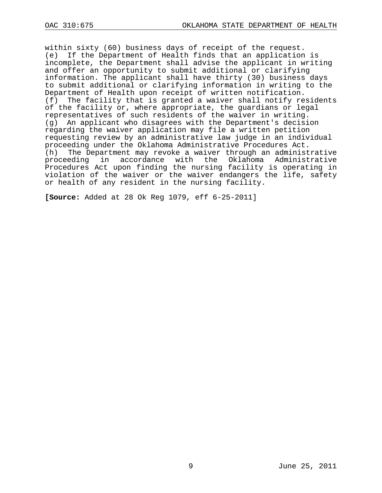within sixty (60) business days of receipt of the request. (e) If the Department of Health finds that an application is incomplete, the Department shall advise the applicant in writing and offer an opportunity to submit additional or clarifying information. The applicant shall have thirty (30) business days to submit additional or clarifying information in writing to the Department of Health upon receipt of written notification. (f) The facility that is granted a waiver shall notify residents of the facility or, where appropriate, the guardians or legal representatives of such residents of the waiver in writing. (g) An applicant who disagrees with the Department's decision regarding the waiver application may file a written petition requesting review by an administrative law judge in an individual proceeding under the Oklahoma Administrative Procedures Act.<br>(h) The Department may revoke a waiver through an administ The Department may revoke a waiver through an administrative proceeding in accordance with the Oklahoma Administrative Procedures Act upon finding the nursing facility is operating in violation of the waiver or the waiver endangers the life, safety or health of any resident in the nursing facility.

**[Source:** Added at 28 Ok Reg 1079, eff 6-25-2011]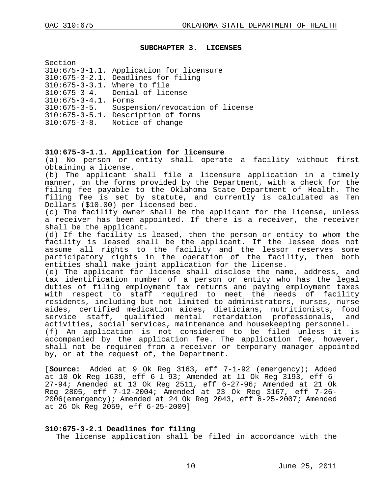#### <span id="page-9-0"></span>**SUBCHAPTER 3. LICENSES**

| Section                      |                                          |
|------------------------------|------------------------------------------|
|                              | 310:675-3-1.1. Application for licensure |
|                              | 310:675-3-2.1. Deadlines for filing      |
| 310:675-3-3.1. Where to file |                                          |
| $310:675 - 3 - 4$ .          | Denial of license                        |
| $310:675 - 3 - 4.1$ . Forms  |                                          |
| $310:675 - 3 - 5$ .          | Suspension/revocation of license         |
|                              | 310:675-3-5.1. Description of forms      |
| $310:675 - 3 - 8.$           | Notice of change                         |
|                              |                                          |

#### **310:675-3-1.1. Application for licensure**

(a) No person or entity shall operate a facility without first obtaining a license.

(b) The applicant shall file a licensure application in a timely manner, on the forms provided by the Department, with a check for the filing fee payable to the Oklahoma State Department of Health. The filing fee is set by statute, and currently is calculated as Ten Dollars (\$10.00) per licensed bed.

(c) The facility owner shall be the applicant for the license, unless a receiver has been appointed. If there is a receiver, the receiver shall be the applicant.

(d) If the facility is leased, then the person or entity to whom the facility is leased shall be the applicant. If the lessee does not assume all rights to the facility and the lessor reserves some participatory rights in the operation of the facility, then both entities shall make joint application for the license.

(e) The applicant for license shall disclose the name, address, and tax identification number of a person or entity who has the legal duties of filing employment tax returns and paying employment taxes with respect to staff required to meet the needs of facility residents, including but not limited to administrators, nurses, nurse aides, certified medication aides, dieticians, nutritionists, food service staff, qualified mental retardation professionals, and activities, social services, maintenance and housekeeping personnel. (f) An application is not considered to be filed unless it is accompanied by the application fee. The application fee, however, shall not be required from a receiver or temporary manager appointed

by, or at the request of, the Department.

[**Source:** Added at 9 Ok Reg 3163, eff 7-1-92 (emergency); Added at 10 Ok Reg 1639, eff 6-1-93; Amended at 11 Ok Reg 3193, eff 6- 27-94; Amended at 13 Ok Reg 2511, eff 6-27-96; Amended at 21 Ok Reg 2805, eff 7-12-2004; Amended at 23 Ok Reg 3167, eff 7-26- 2006(emergency); Amended at 24 Ok Reg 2043, eff 6-25-2007; Amended at 26 Ok Reg 2059, eff 6-25-2009]

#### **310:675-3-2.1 Deadlines for filing**

The license application shall be filed in accordance with the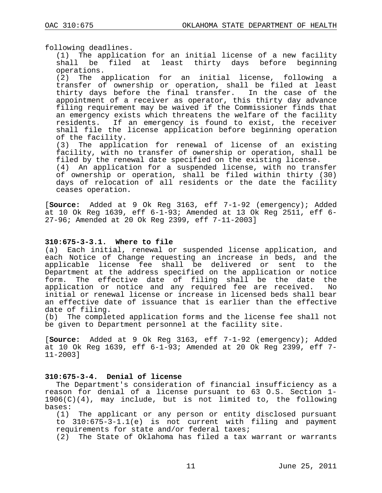following deadlines.

(1) The application for an initial license of a new facility shall be filed at least thirty days before beginning operations.

(2) The application for an initial license, following a transfer of ownership or operation, shall be filed at least thirty days before the final transfer. In the case of the appointment of a receiver as operator, this thirty day advance filing requirement may be waived if the Commissioner finds that an emergency exists which threatens the welfare of the facility residents. If an emergency is found to exist, the receiver shall file the license application before beginning operation of the facility.

(3) The application for renewal of license of an existing facility, with no transfer of ownership or operation, shall be filed by the renewal date specified on the existing license.

(4) An application for a suspended license, with no transfer of ownership or operation, shall be filed within thirty (30) days of relocation of all residents or the date the facility ceases operation.

[**Source:** Added at 9 Ok Reg 3163, eff 7-1-92 (emergency); Added at 10 Ok Reg 1639, eff 6-1-93; Amended at 13 Ok Reg 2511, eff 6- 27-96; Amended at 20 Ok Reg 2399, eff 7-11-2003]

#### **310:675-3-3.1. Where to file**

(a) Each initial, renewal or suspended license application, and each Notice of Change requesting an increase in beds, and the applicable license fee shall be delivered or sent to the Department at the address specified on the application or notice form. The effective date of filing shall be the date the application or notice and any required fee are received. initial or renewal license or increase in licensed beds shall bear an effective date of issuance that is earlier than the effective date of filing.

(b) The completed application forms and the license fee shall not be given to Department personnel at the facility site.

[**Source:** Added at 9 Ok Reg 3163, eff 7-1-92 (emergency); Added at 10 Ok Reg 1639, eff 6-1-93; Amended at 20 Ok Reg 2399, eff 7- 11-2003]

### **310:675-3-4. Denial of license**

The Department's consideration of financial insufficiency as a reason for denial of a license pursuant to 63 0.S. Section 1- $1906(C)(4)$ , may include, but is not limited to, the following bases:

(1) The applicant or any person or entity disclosed pursuant to 310:675-3-1.1(e) is not current with filing and payment requirements for state and/or federal taxes;

(2) The State of Oklahoma has filed a tax warrant or warrants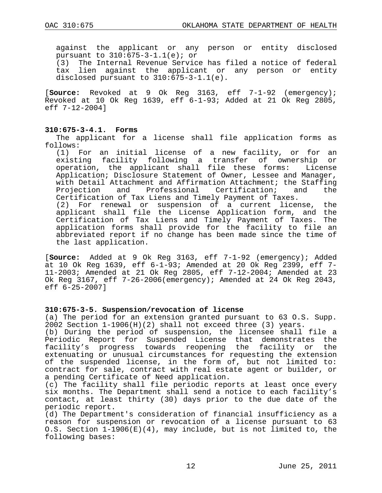against the applicant or any person or entity disclosed pursuant to 310:675-3-1.1(e); or<br>(3) The Internal Revenue Servic

The Internal Revenue Service has filed a notice of federal tax lien against the applicant or any person or entity disclosed pursuant to 310:675-3-1.1(e).

[**Source:** Revoked at 9 Ok Reg 3163, eff 7-1-92 (emergency); Revoked at 10 Ok Reg 1639, eff 6-1-93; Added at 21 Ok Reg 2805, eff 7-12-2004]

#### **310:675-3-4.1. Forms**

the last application.

The applicant for a license shall file application forms as follows:

(1) For an initial license of a new facility, or for an existing facility following a transfer of ownership or<br>operation, the applicant shall file these forms: License operation, the applicant shall file these forms: Application; Disclosure Statement of Owner, Lessee and Manager, with Detail Attachment and Affirmation Attachment; the Staffing<br>Projection and Professional Certification; and the Professional Certification; Certification of Tax Liens and Timely Payment of Taxes. (2) For renewal or suspension of a current license, the applicant shall file the License Application form, and the Certification of Tax Liens and Timely Payment of Taxes. The application forms shall provide for the facility to file an abbreviated report if no change has been made since the time of

[**Source:** Added at 9 Ok Reg 3163, eff 7-1-92 (emergency); Added at 10 Ok Reg 1639, eff 6-1-93; Amended at 20 Ok Reg 2399, eff 7- 11-2003; Amended at 21 Ok Reg 2805, eff 7-12-2004; Amended at 23 Ok Reg 3167, eff 7-26-2006(emergency); Amended at 24 Ok Reg 2043, eff 6-25-2007]

#### **310:675-3-5. Suspension/revocation of license**

(a) The period for an extension granted pursuant to 63 O.S. Supp. 2002 Section 1-1906(H)(2) shall not exceed three (3) years.

(b) During the period of suspension, the licensee shall file a Periodic Report for Suspended License that demonstrates the facility's progress towards reopening the facility or the extenuating or unusual circumstances for requesting the extension of the suspended license, in the form of, but not limited to: contract for sale, contract with real estate agent or builder, or a pending Certificate of Need application.

(c) The facility shall file periodic reports at least once every six months. The Department shall send a notice to each facility's contact, at least thirty (30) days prior to the due date of the periodic report.

(d) The Department's consideration of financial insufficiency as a reason for suspension or revocation of a license pursuant to 63 O.S. Section 1-1906(E)(4), may include, but is not limited to, the following bases: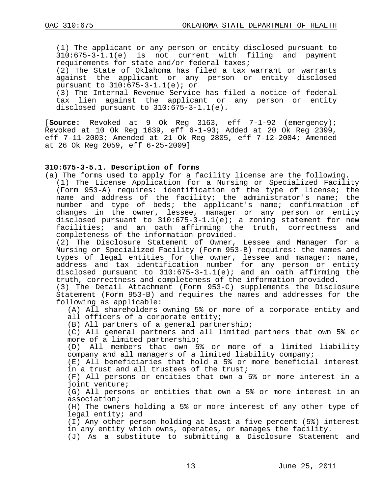(1) The applicant or any person or entity disclosed pursuant to 310:675-3-1.1(e) is not current with filing and payment requirements for state and/or federal taxes;

(2) The State of Oklahoma has filed a tax warrant or warrants<br>against the applicant or any person or entity disclosed the applicant or any person or entity disclosed pursuant to 310:675-3-1.1(e); or

(3) The Internal Revenue Service has filed a notice of federal tax lien against the applicant or any person or entity disclosed pursuant to 310:675-3-1.1(e).

[**Source:** Revoked at 9 Ok Reg 3163, eff 7-1-92 (emergency); Revoked at 10 Ok Reg 1639, eff 6-1-93; Added at 20 Ok Reg 2399, eff 7-11-2003; Amended at 21 Ok Reg 2805, eff 7-12-2004; Amended at 26 Ok Reg 2059, eff 6-25-2009]

### **310:675-3-5.1. Description of forms**

(a) The forms used to apply for a facility license are the following. (1) The License Application for a Nursing or Specialized Facility (Form 953-A) requires: identification of the type of license; the name and address of the facility; the administrator's name; the number and type of beds; the applicant's name; confirmation of changes in the owner, lessee, manager or any person or entity disclosed pursuant to 310:675-3-1.1(e); a zoning statement for new facilities; and an oath affirming the truth, correctness and completeness of the information provided.

(2) The Disclosure Statement of Owner, Lessee and Manager for a Nursing or Specialized Facility (Form 953-B) requires: the names and types of legal entities for the owner, lessee and manager; name, address and tax identification number for any person or entity disclosed pursuant to 310:675-3-1.1(e); and an oath affirming the truth, correctness and completeness of the information provided.

(3) The Detail Attachment (Form 953-C) supplements the Disclosure Statement (Form 953-B) and requires the names and addresses for the following as applicable:

(A) All shareholders owning 5% or more of a corporate entity and all officers of a corporate entity;

(B) All partners of a general partnership;

(C) All general partners and all limited partners that own 5% or more of a limited partnership;

(D) All members that own 5% or more of a limited liability company and all managers of a limited liability company;

(E) All beneficiaries that hold a 5% or more beneficial interest in a trust and all trustees of the trust;

(F) All persons or entities that own a 5% or more interest in a joint venture;

(G) All persons or entities that own a 5% or more interest in an association;

(H) The owners holding a 5% or more interest of any other type of legal entity; and

(I) Any other person holding at least a five percent (5%) interest in any entity which owns, operates, or manages the facility.

(J) As a substitute to submitting a Disclosure Statement and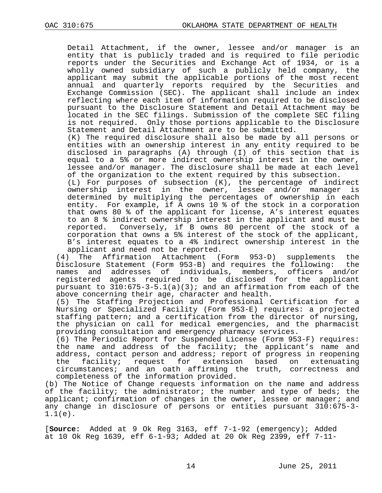Detail Attachment, if the owner, lessee and/or manager is an entity that is publicly traded and is required to file periodic reports under the Securities and Exchange Act of 1934, or is a wholly owned subsidiary of such a publicly held company, the applicant may submit the applicable portions of the most recent annual and quarterly reports required by the Securities and Exchange Commission (SEC). The applicant shall include an index reflecting where each item of information required to be disclosed pursuant to the Disclosure Statement and Detail Attachment may be located in the SEC filings. Submission of the complete SEC filing is not required. Only those portions applicable to the Disclosure Statement and Detail Attachment are to be submitted.

(K) The required disclosure shall also be made by all persons or entities with an ownership interest in any entity required to be disclosed in paragraphs (A) through (I) of this section that is equal to a 5% or more indirect ownership interest in the owner, lessee and/or manager. The disclosure shall be made at each level of the organization to the extent required by this subsection.

(L) For purposes of subsection (K), the percentage of indirect ownership interest in the owner, lessee and/or manager is determined by multiplying the percentages of ownership in each entity. For example, if A owns 10 % of the stock in a corporation that owns 80 % of the applicant for license, A's interest equates to an 8 % indirect ownership interest in the applicant and must be reported. Conversely, if B owns 80 percent of the stock of a corporation that owns a 5% interest of the stock of the applicant, B's interest equates to a 4% indirect ownership interest in the

applicant and need not be reported.<br>(4) The Affirmation Attachment (1) Affirmation Attachment (Form 953-D) supplements the<br>e Statement (Form 953-B) and requires the following: the Disclosure Statement (Form 953-B) and requires the following: names and addresses of individuals, members, officers and/or registered agents required to be disclosed for the applicant pursuant to  $310:675-3-5.1(a)(3)$ ; and an affirmation from each of the above concerning their age, character and health.

(5) The Staffing Projection and Professional Certification for a Nursing or Specialized Facility (Form 953-E) requires: a projected staffing pattern; and a certification from the director of nursing, the physician on call for medical emergencies, and the pharmacist providing consultation and emergency pharmacy services.

(6) The Periodic Report for Suspended License (Form 953-F) requires: the name and address of the facility; the applicant's name and address, contact person and address; report of progress in reopening<br>the facility; request for extension based on extenuating facility; request circumstances; and an oath affirming the truth, correctness and completeness of the information provided.

(b) The Notice of Change requests information on the name and address of the facility; the administrator; the number and type of beds; the applicant; confirmation of changes in the owner, lessee or manager; and any change in disclosure of persons or entities pursuant 310:675-3- 1.1(e).

[**Source:** Added at 9 Ok Reg 3163, eff 7-1-92 (emergency); Added at 10 Ok Reg 1639, eff 6-1-93; Added at 20 Ok Reg 2399, eff 7-11-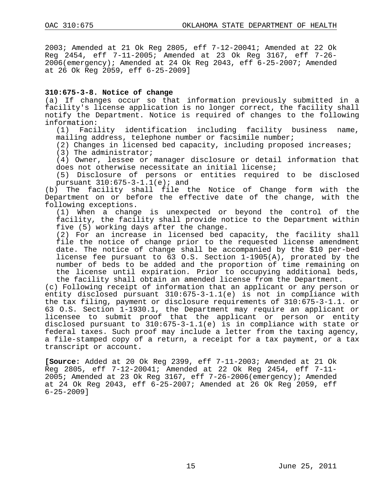2003; Amended at 21 Ok Reg 2805, eff 7-12-20041; Amended at 22 Ok Reg 2454, eff 7-11-2005; Amended at 23 Ok Reg 3167, eff 7-26- 2006(emergency); Amended at 24 Ok Reg 2043, eff 6-25-2007; Amended at 26 Ok Reg 2059, eff 6-25-2009]

## **310:675-3-8. Notice of change**

(a) If changes occur so that information previously submitted in a facility's license application is no longer correct, the facility shall notify the Department. Notice is required of changes to the following information:<br>(1) Faci

Facility identification including facility business name, mailing address, telephone number or facsimile number;

(2) Changes in licensed bed capacity, including proposed increases;

(3) The administrator;

(4) Owner, lessee or manager disclosure or detail information that does not otherwise necessitate an initial license;

(5) Disclosure of persons or entities required to be disclosed pursuant  $310:675 - 3 - 1.1(e)$ ; and

(b) The facility shall file the Notice of Change form with the Department on or before the effective date of the change, with the following exceptions.

(1) When a change is unexpected or beyond the control of the facility, the facility shall provide notice to the Department within five (5) working days after the change.

(2) For an increase in licensed bed capacity, the facility shall file the notice of change prior to the requested license amendment date. The notice of change shall be accompanied by the \$10 per-bed license fee pursuant to 63 O.S. Section 1-1905(A), prorated by the number of beds to be added and the proportion of time remaining on the license until expiration. Prior to occupying additional beds, the facility shall obtain an amended license from the Department.

(c) Following receipt of information that an applicant or any person or entity disclosed pursuant 310:675-3-1.1(e) is not in compliance with the tax filing, payment or disclosure requirements of 310:675-3-1.1. or 63 O.S. Section 1-1930.1, the Department may require an applicant or licensee to submit proof that the applicant or person or entity disclosed pursuant to 310:675-3-1.1(e) is in compliance with state or federal taxes. Such proof may include a letter from the taxing agency, a file-stamped copy of a return, a receipt for a tax payment, or a tax transcript or account.

**[Source:** Added at 20 Ok Reg 2399, eff 7-11-2003; Amended at 21 Ok 2005; Amended at 23 Ok Reg 3167, eff 7-26-2006(emergency); Amended at 24 Ok Reg 2043, eff 6-25-2007; Amended at 26 Ok Reg 2059, eff 6-25-2009]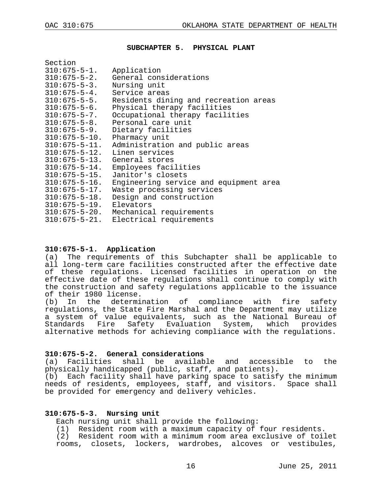$S = \frac{1}{2}$ 

#### <span id="page-15-0"></span>**SUBCHAPTER 5. PHYSICAL PLANT**

| 55CLIUII                        |                                        |
|---------------------------------|----------------------------------------|
| $310:675 - 5 - 1$ .             | Application                            |
| $310:675 - 5 - 2$ .             | General considerations                 |
| $310:675 - 5 - 3$ .             | Nursing unit                           |
| $310:675-5-4$ . Service areas   |                                        |
| $310:675 - 5 - 5$ .             | Residents dining and recreation areas  |
| $310:675 - 5 - 6$ .             | Physical therapy facilities            |
| $310:675 - 5 - 7$ .             | Occupational therapy facilities        |
| $310:675 - 5 - 8$ .             | Personal care unit                     |
| $310:675 - 5 - 9$ .             | Dietary facilities                     |
| $310:675 - 5 - 10$ .            | Pharmacy unit                          |
| $310:675 - 5 - 11.$             | Administration and public areas        |
| $310:675 - 5 - 12$ .            | Linen services                         |
| $310:675-5-13$ . General stores |                                        |
| $310:675 - 5 - 14$ .            | Employees facilities                   |
| $310:675 - 5 - 15$ .            | Janitor's closets                      |
| $310:675 - 5 - 16$ .            | Engineering service and equipment area |
| $310:675 - 5 - 17$ .            | Waste processing services              |
| $310:675 - 5 - 18$ .            | Design and construction                |
| $310:675 - 5 - 19$ . Elevators  |                                        |
|                                 | 310:675-5-20. Mechanical requirements  |
|                                 | 310:675-5-21. Electrical requirements  |
|                                 |                                        |

#### **310:675-5-1. Application**

(a) The requirements of this Subchapter shall be applicable to all long-term care facilities constructed after the effective date of these regulations. Licensed facilities in operation on the effective date of these regulations shall continue to comply with the construction and safety regulations applicable to the issuance of their 1980 license.

(b) In the determination of compliance with fire safety regulations, the State Fire Marshal and the Department may utilize a system of value equivalents, such as the National Bureau of<br>Standards Fire Safety Evaluation System, which provides Safety Evaluation System, which provides alternative methods for achieving compliance with the regulations.

#### **310:675-5-2. General considerations**

(a) Facilities shall be available and accessible to the physically handicapped (public, staff, and patients).

(b) Each facility shall have parking space to satisfy the minimum needs of residents, employees, staff, and visitors. Space shall be provided for emergency and delivery vehicles.

## **310:675-5-3. Nursing unit**

Each nursing unit shall provide the following:

(1) Resident room with a maximum capacity of four residents.

(2) Resident room with a minimum room area exclusive of toilet rooms, closets, lockers, wardrobes, alcoves or vestibules,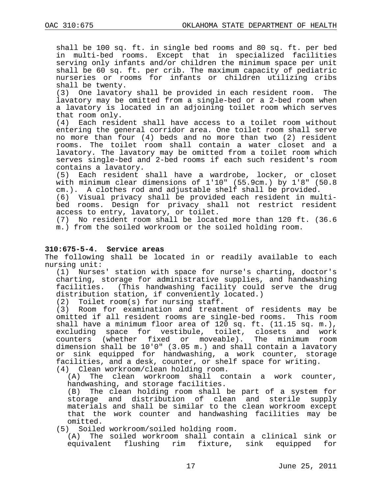shall be 100 sq. ft. in single bed rooms and 80 sq. ft. per bed in multi-bed rooms. Except that in specialized facilities serving only infants and/or children the minimum space per unit shall be 60 sq. ft. per crib. The maximum capacity of pediatric nurseries or rooms for infants or children utilizing cribs shall be twenty.

(3) One lavatory shall be provided in each resident room. The lavatory may be omitted from a single-bed or a 2-bed room when a lavatory is located in an adjoining toilet room which serves that room only.

(4) Each resident shall have access to a toilet room without entering the general corridor area. One toilet room shall serve no more than four (4) beds and no more than two (2) resident rooms. The toilet room shall contain a water closet and a lavatory. The lavatory may be omitted from a toilet room which serves single-bed and 2-bed rooms if each such resident's room contains a lavatory.

(5) Each resident shall have a wardrobe, locker, or closet with minimum clear dimensions of 1'10" (55.9cm.) by 1'8" (50.8 cm.). A clothes rod and adjustable shelf shall be provided.

(6) Visual privacy shall be provided each resident in multibed rooms. Design for privacy shall not restrict resident access to entry, lavatory, or toilet.

(7) No resident room shall be located more than 120 ft. (36.6 m.) from the soiled workroom or the soiled holding room.

## **310:675-5-4. Service areas**

The following shall be located in or readily available to each nursing unit:

(1) Nurses' station with space for nurse's charting, doctor's charting, storage for administrative supplies, and handwashing facilities. (This handwashing facility could serve the drug distribution station, if conveniently located.)

(2) Toilet room(s) for nursing staff.<br>(3) Room for examination and treatm

Room for examination and treatment of residents may be omitted if all resident rooms are single-bed rooms. This room shall have a minimum floor area of 120 sq. ft. (11.15 sq. m.), excluding space for vestibule, toilet, closets and work counters (whether fixed or moveable). The minimum room dimension shall be 10'0" (3.05 m.) and shall contain a lavatory or sink equipped for handwashing, a work counter, storage facilities, and a desk, counter, or shelf space for writing.

(4) Clean workroom/clean holding room. The clean workroom shall contain a work counter, handwashing, and storage facilities.

(B) The clean holding room shall be part of a system for storage and distribution of clean and sterile supply materials and shall be similar to the clean workroom except that the work counter and handwashing facilities may be omitted.

(5) Soiled workroom/soiled holding room.

(A) The soiled workroom shall contain a clinical sink or equivalent flushing rim fixture, sink equipped for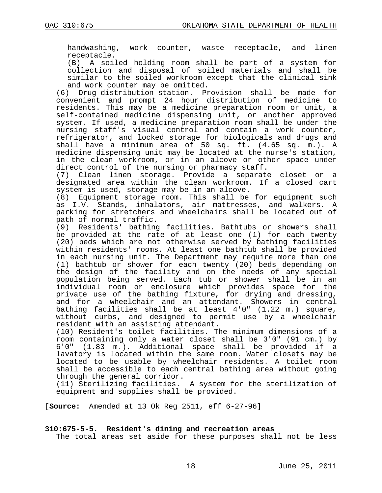handwashing, work counter, waste receptacle, and linen receptacle.

(B) A soiled holding room shall be part of a system for collection and disposal of soiled materials and shall be similar to the soiled workroom except that the clinical sink

and work counter may be omitted.<br>(6) Drug distribution station. Pr Drug distribution station. Provision shall be made for convenient and prompt 24 hour distribution of medicine to residents. This may be a medicine preparation room or unit, a self-contained medicine dispensing unit, or another approved system. If used, a medicine preparation room shall be under the nursing staff's visual control and contain a work counter, refrigerator, and locked storage for biologicals and drugs and shall have a minimum area of 50 sq. ft. (4.65 sq. m.). A medicine dispensing unit may be located at the nurse's station, in the clean workroom, or in an alcove or other space under direct control of the nursing or pharmacy staff.

(7) Clean linen storage. Provide a separate closet or a designated area within the clean workroom. If a closed cart system is used, storage may be in an alcove.

(8) Equipment storage room. This shall be for equipment such as I.V. Stands, inhalators, air mattresses, and walkers. A parking for stretchers and wheelchairs shall be located out of path of normal traffic.

(9) Residents' bathing facilities. Bathtubs or showers shall be provided at the rate of at least one (1) for each twenty (20) beds which are not otherwise served by bathing facilities within residents' rooms. At least one bathtub shall be provided in each nursing unit. The Department may require more than one (1) bathtub or shower for each twenty (20) beds depending on the design of the facility and on the needs of any special population being served. Each tub or shower shall be in an individual room or enclosure which provides space for the private use of the bathing fixture, for drying and dressing, and for a wheelchair and an attendant. Showers in central bathing facilities shall be at least 4'0" (1.22 m.) square, without curbs, and designed to permit use by a wheelchair resident with an assisting attendant.

(10) Resident's toilet facilities. The minimum dimensions of a room containing only a water closet shall be 3'0" (91 cm.) by<br>6'0" (1.83 m.). Additional space shall be provided if a (1.83 m.). Additional space shall be provided if a lavatory is located within the same room. Water closets may be located to be usable by wheelchair residents. A toilet room shall be accessible to each central bathing area without going through the general corridor.

(11) Sterilizing facilities. A system for the sterilization of equipment and supplies shall be provided.

[**Source:** Amended at 13 Ok Reg 2511, eff 6-27-96]

### **310:675-5-5. Resident's dining and recreation areas**

The total areas set aside for these purposes shall not be less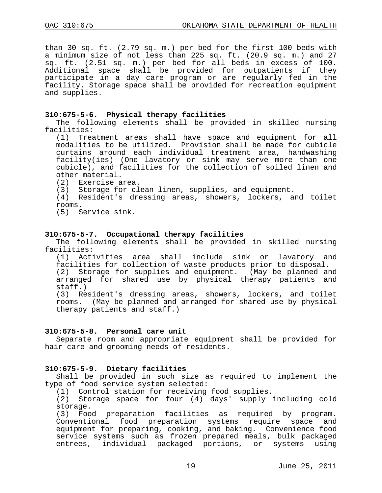than 30 sq. ft. (2.79 sq. m.) per bed for the first 100 beds with a minimum size of not less than 225 sq. ft. (20.9 sq. m.) and 27 sq. ft. (2.51 sq. m.) per bed for all beds in excess of 100. Additional space shall be provided for outpatients if they participate in a day care program or are regularly fed in the facility. Storage space shall be provided for recreation equipment and supplies.

### **310:675-5-6. Physical therapy facilities**

The following elements shall be provided in skilled nursing facilities:

(1) Treatment areas shall have space and equipment for all modalities to be utilized. Provision shall be made for cubicle curtains around each individual treatment area, handwashing facility(ies) (One lavatory or sink may serve more than one cubicle), and facilities for the collection of soiled linen and other material.

- (2) Exercise area.
- (3) Storage for clean linen, supplies, and equipment.

(4) Resident's dressing areas, showers, lockers, and toilet rooms.

(5) Service sink.

#### **310:675-5-7. Occupational therapy facilities**

The following elements shall be provided in skilled nursing facilities:

(1) Activities area shall include sink or lavatory and facilities for collection of waste products prior to disposal. (2) Storage for supplies and equipment. (May be planned and arranged for shared use by physical therapy patients and staff.)

(3) Resident's dressing areas, showers, lockers, and toilet rooms. (May be planned and arranged for shared use by physical therapy patients and staff.)

#### **310:675-5-8. Personal care unit**

Separate room and appropriate equipment shall be provided for hair care and grooming needs of residents.

### **310:675-5-9. Dietary facilities**

Shall be provided in such size as required to implement the type of food service system selected:

(1) Control station for receiving food supplies.

(2) Storage space for four (4) days' supply including cold storage.

(3) Food preparation facilities as required by program. Conventional food preparation systems require space and equipment for preparing, cooking, and baking. Convenience food service systems such as frozen prepared meals, bulk packaged entrees, individual packaged portions, or systems using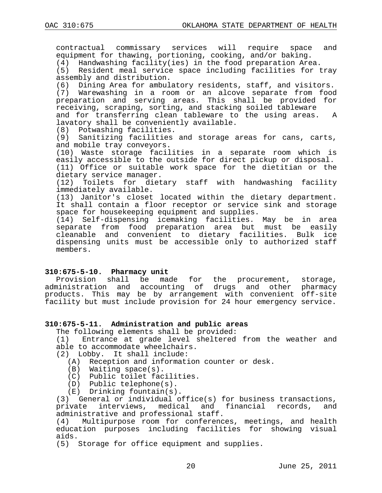contractual commissary services will require space and equipment for thawing, portioning, cooking, and/or baking.

(4) Handwashing facility(ies) in the food preparation Area. (5) Resident meal service space including facilities for tray

assembly and distribution.

(6) Dining Area for ambulatory residents, staff, and visitors.

(7) Warewashing in a room or an alcove separate from food preparation and serving areas. This shall be provided for receiving, scraping, sorting, and stacking soiled tableware and for transferring clean tableware to the using areas. A lavatory shall be conveniently available.

(8) Potwashing facilities.

(9) Sanitizing facilities and storage areas for cans, carts, and mobile tray conveyors.

(10) Waste storage facilities in a separate room which is easily accessible to the outside for direct pickup or disposal. (11) Office or suitable work space for the dietitian or the

dietary service manager.

(12) Toilets for dietary staff with handwashing facility immediately available.

(13) Janitor's closet located within the dietary department. It shall contain a floor receptor or service sink and storage space for housekeeping equipment and supplies.

(14) Self-dispensing icemaking facilities. May be in area separate from food preparation area but must be easily cleanable and convenient to dietary facilities. Bulk ice dispensing units must be accessible only to authorized staff members.

### **310:675-5-10. Pharmacy unit**

Provision shall be made for the procurement, storage, administration and accounting of drugs and other pharmacy products. This may be by arrangement with convenient off-site facility but must include provision for 24 hour emergency service.

## **310:675-5-11. Administration and public areas**

The following elements shall be provided:<br>(1) Entrance at grade level sheltered Entrance at grade level sheltered from the weather and able to accommodate wheelchairs.

- (2) Lobby. It shall include:
	- (A) Reception and information counter or desk.
	- (B) Waiting space(s).
	- (C) Public toilet facilities.
	- (D) Public telephone(s).
	- (E) Drinking fountain(s).

(3) General or individual office(s) for business transactions,<br>private interviews, medical and financial records, and interviews, medical and financial administrative and professional staff.<br>(4) Multipurpose room for conferenc

Multipurpose room for conferences, meetings, and health education purposes including facilities for showing visual aids.

(5) Storage for office equipment and supplies.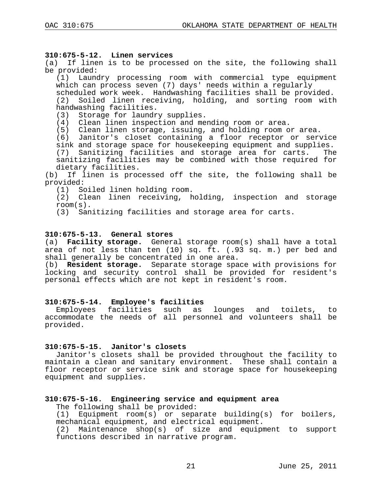## **310:675-5-12. Linen services**

(a) If linen is to be processed on the site, the following shall be provided:

(1) Laundry processing room with commercial type equipment which can process seven (7) days' needs within a regularly

scheduled work week. Handwashing facilities shall be provided. (2) Soiled linen receiving, holding, and sorting room with handwashing facilities.

(3) Storage for laundry supplies.

(4) Clean linen inspection and mending room or area.

(5) Clean linen storage, issuing, and holding room or area.

(6) Janitor's closet containing a floor receptor or service sink and storage space for housekeeping equipment and supplies.<br>(7) Sanitizing facilities and storage area for carts. The

(7) Sanitizing facilities and storage area for carts. sanitizing facilities may be combined with those required for dietary facilities.

(b) If linen is processed off the site, the following shall be provided:<br>(1) So

Soiled linen holding room.

(2) Clean linen receiving, holding, inspection and storage room(s).

(3) Sanitizing facilities and storage area for carts.

## **310:675-5-13. General stores**

(a) **Facility storage.** General storage room(s) shall have a total area of not less than ten (10) sq. ft. (.93 sq. m.) per bed and shall generally be concentrated in one area.

(b) **Resident storage.** Separate storage space with provisions for locking and security control shall be provided for resident's personal effects which are not kept in resident's room.

## **310:675-5-14. Employee's facilities**

lounges and toilets, to accommodate the needs of all personnel and volunteers shall be provided.

### **310:675-5-15. Janitor's closets**

Janitor's closets shall be provided throughout the facility to maintain a clean and sanitary environment. These shall contain a floor receptor or service sink and storage space for housekeeping equipment and supplies.

## **310:675-5-16. Engineering service and equipment area**

The following shall be provided:

(1) Equipment room(s) or separate building(s) for boilers, mechanical equipment, and electrical equipment.

(2) Maintenance shop(s) of size and equipment to support functions described in narrative program.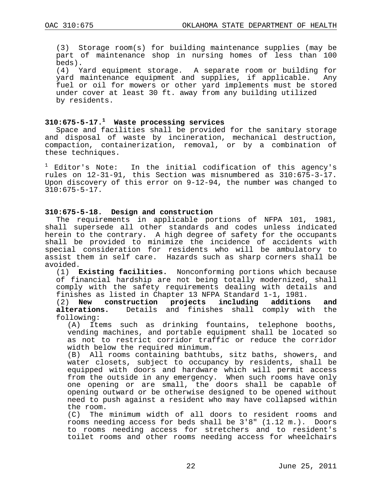(3) Storage room(s) for building maintenance supplies (may be part of maintenance shop in nursing homes of less than 100 beds).

(4) Yard equipment storage. A separate room or building for yard maintenance equipment and supplies, if applicable. fuel or oil for mowers or other yard implements must be stored under cover at least 30 ft. away from any building utilized by residents.

## **310:675-5-17.1 Waste processing services**

Space and facilities shall be provided for the sanitary storage and disposal of waste by incineration, mechanical destruction, compaction, containerization, removal, or by a combination of these techniques.

Editor's Note: In the initial codification of this agency's rules on 12-31-91, this Section was misnumbered as 310:675-3-17. Upon discovery of this error on 9-12-94, the number was changed to 310:675-5-17.

### **310:675-5-18. Design and construction**

The requirements in applicable portions of NFPA 101, 1981, shall supersede all other standards and codes unless indicated herein to the contrary. A high degree of safety for the occupants shall be provided to minimize the incidence of accidents with special consideration for residents who will be ambulatory to assist them in self care. Hazards such as sharp corners shall be avoided.

(1) **Existing facilities.** Nonconforming portions which because of financial hardship are not being totally modernized, shall comply with the safety requirements dealing with details and finishes as listed in Chapter 13 NFPA Standard 1-1, 1981.

(2) **New construction projects including additions and**  Details and finishes shall comply with the following:

(A) Items such as drinking fountains, telephone booths, vending machines, and portable equipment shall be located so as not to restrict corridor traffic or reduce the corridor width below the required minimum.<br>(B) All rooms containing bathtuk

All rooms containing bathtubs, sitz baths, showers, and water closets, subject to occupancy by residents, shall be equipped with doors and hardware which will permit access from the outside in any emergency. When such rooms have only one opening or are small, the doors shall be capable of opening outward or be otherwise designed to be opened without need to push against a resident who may have collapsed within the room.

(C) The minimum width of all doors to resident rooms and rooms needing access for beds shall be 3'8" (1.12 m.). Doors to rooms needing access for stretchers and to resident's toilet rooms and other rooms needing access for wheelchairs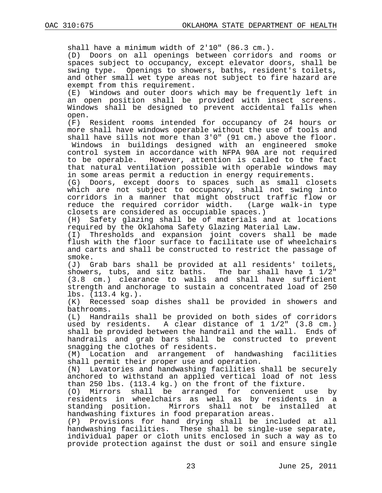shall have a minimum width of 2'10" (86.3 cm.).

(D) Doors on all openings between corridors and rooms or spaces subject to occupancy, except elevator doors, shall be swing type. Openings to showers, baths, resident's toilets, and other small wet type areas not subject to fire hazard are

exempt from this requirement.<br>(E) Windows and outer doors Windows and outer doors which may be frequently left in an open position shall be provided with insect screens. Windows shall be designed to prevent accidental falls when

open.<br>(F) Resident rooms intended for occupancy of 24 hours or more shall have windows operable without the use of tools and shall have sills not more than 3'0" (91 cm.) above the floor. Windows in buildings designed with an engineered smoke

control system in accordance with NFPA 90A are not required to be operable. However, attention is called to the fact that natural ventilation possible with operable windows may in some areas permit a reduction in energy requirements.

(G) Doors, except doors to spaces such as small closets which are not subject to occupancy, shall not swing into corridors in a manner that might obstruct traffic flow or<br>reduce the required corridor width. (Large walk-in type reduce the required corridor width. closets are considered as occupiable spaces.)

Safety glazing shall be of materials and at locations required by the Oklahoma Safety Glazing Material Law.

(I) Thresholds and expansion joint covers shall be made flush with the floor surface to facilitate use of wheelchairs and carts and shall be constructed to restrict the passage of smoke.

(J) Grab bars shall be provided at all residents' toilets,<br>showers, tubs, and sitz baths. The bar shall have 1 1/2" showers, tubs, and sitz baths. (3.8 cm.) clearance to walls and shall have sufficient strength and anchorage to sustain a concentrated load of 250 lbs. (113.4 kg.).<br>(K) Recessed soa

Recessed soap dishes shall be provided in showers and bathrooms.

(L) Handrails shall be provided on both sides of corridors used by residents. A clear distance of 1 1/2" (3.8 cm.) shall be provided between the handrail and the wall. Ends of handrails and grab bars shall be constructed to prevent snagging the clothes of residents.<br>(M) Location and arrangement o

Location and arrangement of handwashing facilities shall permit their proper use and operation.<br>(N) Lavatories and handwashing facilities ;

Lavatories and handwashing facilities shall be securely anchored to withstand an applied vertical load of not less than 250 lbs. (113.4 kg.) on the front of the fixture.

(O) Mirrors shall be arranged for convenient use by residents in wheelchairs as well as by residents in a standing position. Mirrors shall not handwashing fixtures in food preparation areas.<br>(P) Provisions for hand drying shall be ine

Provisions for hand drying shall be included at all handwashing facilities. These shall be single-use separate, individual paper or cloth units enclosed in such a way as to provide protection against the dust or soil and ensure single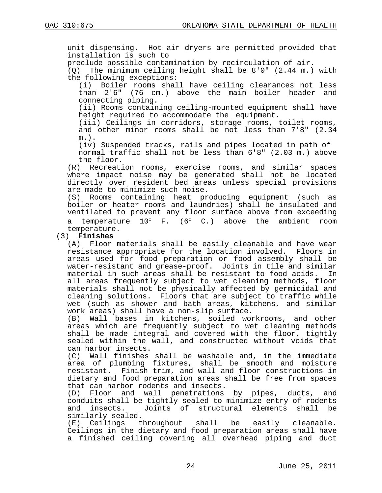unit dispensing. Hot air dryers are permitted provided that installation is such to

preclude possible contamination by recirculation of air.

(Q) The minimum ceiling height shall be 8'0" (2.44 m.) with the following exceptions:<br>(i) Boiler rooms shal

Boiler rooms shall have ceiling clearances not less than 2'6" (76 cm.) above the main boiler header and connecting piping.

(ii) Rooms containing ceiling-mounted equipment shall have height required to accommodate the equipment.

(iii) Ceilings in corridors, storage rooms, toilet rooms, and other minor rooms shall be not less than 7'8" (2.34 m.).

(iv) Suspended tracks, rails and pipes located in path of normal traffic shall not be less than 6'8" (2.03 m.) above

the floor.<br>R) Recreati) Recreation rooms, exercise rooms, and similar spaces where impact noise may be generated shall not be located directly over resident bed areas unless special provisions are made to minimize such noise.<br>(S) Rooms containing heat pr

Rooms containing heat producing equipment (such as boiler or heater rooms and laundries) shall be insulated and ventilated to prevent any floor surface above from exceeding a temperature 10° F. (6° C.) above the ambient room temperature.

## (3) **Finishes**

(A) Floor materials shall be easily cleanable and have wear resistance appropriate for the location involved. Floors in areas used for food preparation or food assembly shall be water-resistant and grease-proof. Joints in tile and similar<br>material in such areas shall be resistant to food acids. In material in such areas shall be resistant to food acids. all areas frequently subject to wet cleaning methods, floor materials shall not be physically affected by germicidal and cleaning solutions. Floors that are subject to traffic while wet (such as shower and bath areas, kitchens, and similar work areas) shall have a non-slip surface.<br>(B) Wall bases in kitchens, soiled wor

Wall bases in kitchens, soiled workrooms, and other areas which are frequently subject to wet cleaning methods shall be made integral and covered with the floor, tightly sealed within the wall, and constructed without voids that can harbor insects.<br>(C) Wall finishes

Wall finishes shall be washable and, in the immediate area of plumbing fixtures, shall be smooth and moisture resistant. Finish trim, and wall and floor constructions in dietary and food preparation areas shall be free from spaces that can harbor rodents and insects.<br>(D) Floor and wall penetrations

Floor and wall penetrations by pipes, ducts, and conduits shall be tightly sealed to minimize entry of rodents Joints of structural elements shall similarly sealed.<br>(E) Ceilings throughout shall

be easily cleanable. Ceilings in the dietary and food preparation areas shall have a finished ceiling covering all overhead piping and duct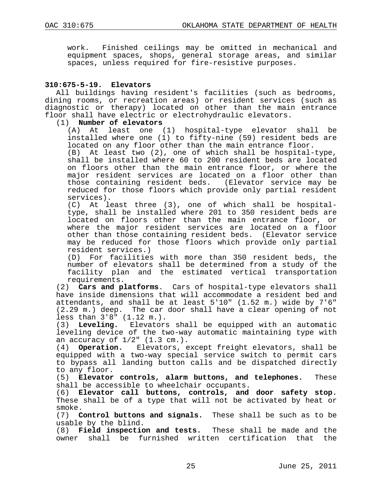work. Finished ceilings may be omitted in mechanical and equipment spaces, shops, general storage areas, and similar spaces, unless required for fire-resistive purposes.

## **310:675-5-19. Elevators**

All buildings having resident's facilities (such as bedrooms, dining rooms, or recreation areas) or resident services (such as diagnostic or therapy) located on other than the main entrance floor shall have electric or electrohydraulic elevators.

## (1) **Number of elevators**

At least one (1) hospital-type elevator shall be installed where one (1) to fifty-nine (59) resident beds are located on any floor other than the main entrance floor.

(B) At least two (2), one of which shall be hospital-type, shall be installed where 60 to 200 resident beds are located on floors other than the main entrance floor, or where the major resident services are located on a floor other than those containing resident beds. (Elevator service may be reduced for those floors which provide only partial resident services).

(C) At least three (3), one of which shall be hospitaltype, shall be installed where 201 to 350 resident beds are located on floors other than the main entrance floor, or where the major resident services are located on a floor other than those containing resident beds. (Elevator service may be reduced for those floors which provide only partial resident services.)

(D) For facilities with more than 350 resident beds, the number of elevators shall be determined from a study of the facility plan and the estimated vertical transportation requirements.

(2) **Cars and platforms**. Cars of hospital-type elevators shall have inside dimensions that will accommodate a resident bed and attendants, and shall be at least 5'10" (1.52 m.) wide by 7'6" (2.29 m.) deep. The car door shall have a clear opening of not less than  $3'8'' (1.12 m.).$ <br>(3) Leveling. Elevators

Elevators shall be equipped with an automatic leveling device of the two-way automatic maintaining type with an accuracy of  $1/2$ "  $(1.3 \text{ cm.})$ .<br>(4) **Operation.** Elevators, e

(4) **Operation.** Elevators, except freight elevators, shall be equipped with a two-way special service switch to permit cars to bypass all landing button calls and be dispatched directly to any floor.

(5) **Elevator controls, alarm buttons, and telephones.** These shall be accessible to wheelchair occupants.

(6) **Elevator call buttons, controls, and door safety stop.** These shall be of a type that will not be activated by heat or smoke.

(7) **Control buttons and signals.** These shall be such as to be usable by the blind.

(8) **Field inspection and tests.** These shall be made and the owner shall be furnished written certification that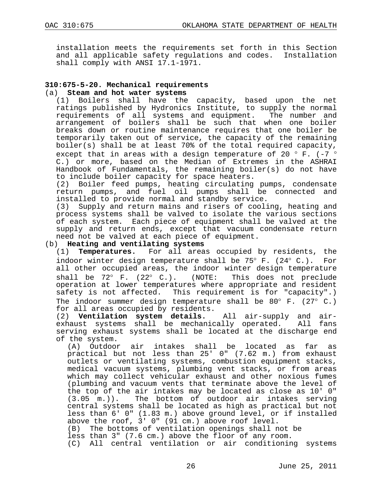installation meets the requirements set forth in this Section and all applicable safety regulations and codes. Installation shall comply with ANSI 17.1-1971.

## **310:675-5-20. Mechanical requirements**

#### (a) **Steam and hot water systems**

(1) Boilers shall have the capacity, based upon the net ratings published by Hydronics Institute, to supply the normal<br>requirements of all systems and equipment. The number and requirements of all systems and equipment. arrangement of boilers shall be such that when one boiler breaks down or routine maintenance requires that one boiler be temporarily taken out of service, the capacity of the remaining boiler(s) shall be at least 70% of the total required capacity, except that in areas with a design temperature of 20  $^{\circ}$  F. (-7  $^{\circ}$  C.) or more, based on the Median of Extremes in the ASHRAI Handbook of Fundamentals, the remaining boiler(s) do not have to include boiler capacity for space heaters.

(2) Boiler feed pumps, heating circulating pumps, condensate return pumps, and fuel oil pumps shall be connected and installed to provide normal and standby service.

(3) Supply and return mains and risers of cooling, heating and process systems shall be valved to isolate the various sections of each system. Each piece of equipment shall be valved at the supply and return ends, except that vacuum condensate return need not be valved at each piece of equipment.

# (b) **Heating and ventilating systems**<br>(1) **Temperatures.** For all area

For all areas occupied by residents, the indoor winter design temperature shall be 75° F. (24° C.). For all other occupied areas, the indoor winter design temperature<br>shall be 72° F. (22° C.). (NOTE: This does not preclude shall be  $72^\circ$  F.  $(22^\circ$  C.). (NOTE: operation at lower temperatures where appropriate and resident safety is not affected. This requirement is for "capacity".) The indoor summer design temperature shall be 80 $^{\circ}$  F. (27 $^{\circ}$  C.) for all areas occupied by residents.<br>(2) **Ventilation system details.** All air-supply and air-

(2) **Ventilation system details.** All air-supply and airexhaust systems shall be mechanically operated. serving exhaust systems shall be located at the discharge end of the system.

(A) Outdoor air intakes shall be located as far as practical but not less than 25' 0" (7.62 m.) from exhaust outlets or ventilating systems, combustion equipment stacks, medical vacuum systems, plumbing vent stacks, or from areas which may collect vehicular exhaust and other noxious fumes (plumbing and vacuum vents that terminate above the level of the top of the air intakes may be located as close as 10' 0" (3.05 m.)). The bottom of outdoor air intakes serving central systems shall be located as high as practical but not less than 6' 0" (1.83 m.) above ground level, or if installed above the roof, 3' 0" (91 cm.) above roof level. (B) The bottoms of ventilation openings shall not be less than 3" (7.6 cm.) above the floor of any room.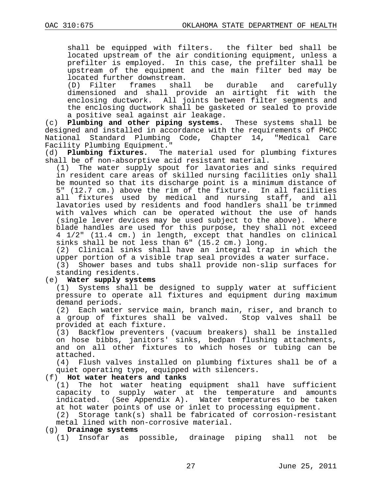shall be equipped with filters. the filter bed shall be located upstream of the air conditioning equipment, unless a prefilter is employed. In this case, the prefilter shall be upstream of the equipment and the main filter bed may be

located further downstream.<br>(D) Filter frames shall (D) Filter frames shall be durable and carefully dimensioned and shall provide an airtight fit with the enclosing ductwork. All joints between filter segments and the enclosing ductwork shall be gasketed or sealed to provide a positive seal against air leakage.

(c) **Plumbing and other piping systems.** These systems shall be designed and installed in accordance with the requirements of PHCC<br>National Standard Plumbing Code, Chapter 14, "Medical Care National Standard Plumbing Code, Chapter 14, "Medical Facility Plumbing Equipment."<br>(d) Plumbing fixtures. The

The material used for plumbing fixtures shall be of non-absorptive acid resistant material.

(1) The water supply spout for lavatories and sinks required in resident care areas of skilled nursing facilities only shall be mounted so that its discharge point is a minimum distance of 5" (12.7 cm.) above the rim of the fixture. In all facilities all fixtures used by medical and nursing staff, and all lavatories used by residents and food handlers shall be trimmed with valves which can be operated without the use of hands (single lever devices may be used subject to the above). Where blade handles are used for this purpose, they shall not exceed 4 1/2" (11.4 cm.) in length, except that handles on clinical sinks shall be not less than 6" (15.2 cm.) long.

(2) Clinical sinks shall have an integral trap in which the upper portion of a visible trap seal provides a water surface.

(3) Shower bases and tubs shall provide non-slip surfaces for standing residents.

## (e) **Water supply systems**

(1) Systems shall be designed to supply water at sufficient pressure to operate all fixtures and equipment during maximum demand periods.<br>(2) Each water

Each water service main, branch main, riser, and branch to a group of fixtures shall be valved. Stop valves shall be provided at each fixture.

(3) Backflow preventers (vacuum breakers) shall be installed on hose bibbs, janitors' sinks, bedpan flushing attachments, and on all other fixtures to which hoses or tubing can be attached.<br>(4) Flus

Flush valves installed on plumbing fixtures shall be of a quiet operating type, equipped with silencers.

### (f) **Hot water heaters and tanks**

(1) The hot water heating equipment shall have sufficient capacity to supply water at the temperature and amounts indicated. (See Appendix A). Water temperatures to be taken

at hot water points of use or inlet to processing equipment.<br>(2) Storage tank(s) shall be fabricated of corrosion-resist Storage tank(s) shall be fabricated of corrosion-resistant metal lined with non-corrosive material.

### (g) **Drainage systems**

(1) Insofar as possible, drainage piping shall not be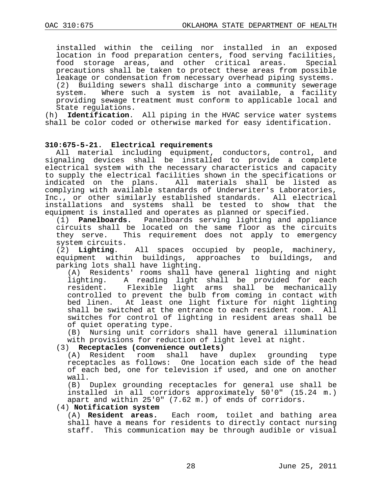installed within the ceiling nor installed in an exposed location in food preparation centers, food serving facilities,<br>food storage areas, and other critical areas. Special food storage areas, and other critical areas. precautions shall be taken to protect these areas from possible leakage or condensation from necessary overhead piping systems. (2) Building sewers shall discharge into a community sewerage system. Where such a system is not available, a facility providing sewage treatment must conform to applicable local and State regulations.<br>(h) **Identification**.

Identification. All piping in the HVAC service water systems shall be color coded or otherwise marked for easy identification.

## **310:675-5-21. Electrical requirements**

All material including equipment, conductors, control, and signaling devices shall be installed to provide a complete electrical system with the necessary characteristics and capacity to supply the electrical facilities shown in the specifications or indicated on the plans. All materials shall be listed as complying with available standards of Underwriter's Laboratories, Inc., or other similarly established standards. All electrical installations and systems shall be tested to show that the equipment is installed and operates as planned or specified.

(1) **Panelboards.** Panelboards serving lighting and appliance circuits shall be located on the same floor as the circuits<br>they serve. This requirement does not apply to emergency This requirement does not apply to emergency system circuits.<br>(2) Lighting.

All spaces occupied by people, machinery, equipment within buildings, approaches to buildings, and parking lots shall have lighting.

(A) Residents' rooms shall have general lighting and night lighting. A reading light shall be provided for each<br>resident. Flexible light arms shall be mechanically Flexible light arms shall be mechanically controlled to prevent the bulb from coming in contact with bed linen. At least one light fixture for night lighting shall be switched at the entrance to each resident room. All switches for control of lighting in resident areas shall be of quiet operating type.

(B) Nursing unit corridors shall have general illumination with provisions for reduction of light level at night.

## (3) **Receptacles (convenience outlets)**

have duplex grounding type receptacles as follows: One location each side of the head of each bed, one for television if used, and one on another wall.

(B) Duplex grounding receptacles for general use shall be installed in all corridors approximately 50'0" (15.24 m.) apart and within 25'0" (7.62 m.) of ends of corridors.

## (4) **Notification system**

Each room, toilet and bathing area shall have a means for residents to directly contact nursing staff. This communication may be through audible or visual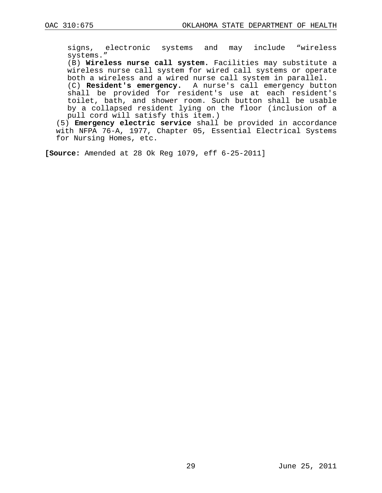signs, electronic systems and may include "wireless systems."

(B) **Wireless nurse call system.** Facilities may substitute a wireless nurse call system for wired call systems or operate both a wireless and a wired nurse call system in parallel.

(C) **Resident's emergency.** A nurse's call emergency button shall be provided for resident's use at each resident's toilet, bath, and shower room. Such button shall be usable by a collapsed resident lying on the floor (inclusion of a pull cord will satisfy this item.)

(5) **Emergency electric service** shall be provided in accordance with NFPA 76-A, 1977, Chapter 05, Essential Electrical Systems for Nursing Homes, etc.

**[Source:** Amended at 28 Ok Reg 1079, eff 6-25-2011]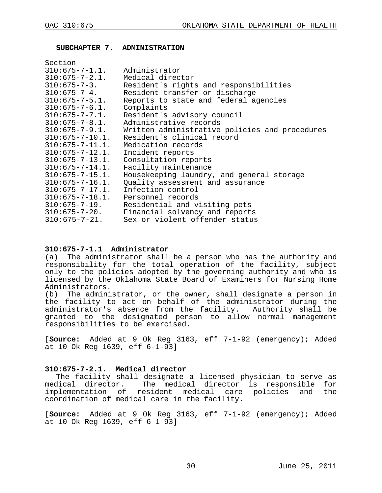#### <span id="page-29-0"></span>**SUBCHAPTER 7. ADMINISTRATION**

| Section                                |                                                               |
|----------------------------------------|---------------------------------------------------------------|
| $310:675 - 7 - 1.1$ . Administrator    |                                                               |
| $310:675 - 7 - 2.1$ . Medical director |                                                               |
|                                        | 310:675-7-3. Resident's rights and responsibilities           |
| $310:675 - 7 - 4$ .                    | Resident transfer or discharge                                |
| $310:675 - 7 - 5.1.$                   | Reports to state and federal agencies                         |
| $310:675 - 7 - 6.1.$                   | Complaints                                                    |
| $310:675 - 7 - 7.1.$                   | Resident's advisory council                                   |
| $310:675 - 7 - 8.1.$                   | Administrative records                                        |
|                                        | 310:675-7-9.1. Written administrative policies and procedures |
| $310:675 - 7 - 10.1.$                  | Resident's clinical record                                    |
| $310:675 - 7 - 11.1.$                  | Medication records                                            |
| $310:675 - 7 - 12.1$ .                 | Incident reports                                              |
| $310:675 - 7 - 13.1.$                  | Consultation reports                                          |
| $310:675 - 7 - 14.1.$                  | Facility maintenance                                          |
| $310:675 - 7 - 15.1.$                  | Housekeeping laundry, and general storage                     |
| $310:675 - 7 - 16.1$ .                 | Quality assessment and assurance                              |
| 310:675-7-17.1.                        | Infection control                                             |
|                                        | $310:675 - 7 - 18.1$ . Personnel records                      |
|                                        | 310:675-7-19. Residential and visiting pets                   |
| $310:675 - 7 - 20$ .                   | Financial solvency and reports                                |
| $310:675 - 7 - 21$ .                   | Sex or violent offender status                                |

## **310:675-7-1.1 Administrator**

The administrator shall be a person who has the authority and responsibility for the total operation of the facility, subject only to the policies adopted by the governing authority and who is licensed by the Oklahoma State Board of Examiners for Nursing Home Administrators.<br>(b) The admini

The administrator, or the owner, shall designate a person in the facility to act on behalf of the administrator during the administrator's absence from the facility. Authority shall be granted to the designated person to allow normal management responsibilities to be exercised.

[**Source:** Added at 9 Ok Reg 3163, eff 7-1-92 (emergency); Added at 10 Ok Reg 1639, eff 6-1-93]

### **310:675-7-2.1. Medical director**

The facility shall designate a licensed physician to serve as medical director. The medical director is responsible for implementation of resident medical care policies and the coordination of medical care in the facility.

[**Source:** Added at 9 Ok Reg 3163, eff 7-1-92 (emergency); Added at 10 Ok Reg 1639, eff 6-1-93]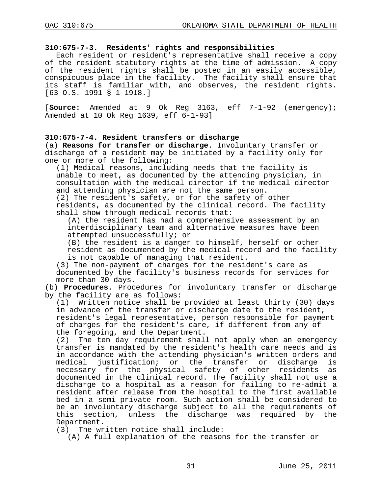### **310:675-7-3. Residents' rights and responsibilities**

Each resident or resident's representative shall receive a copy of the resident statutory rights at the time of admission. A copy of the resident rights shall be posted in an easily accessible, conspicuous place in the facility. The facility shall ensure that its staff is familiar with, and observes, the resident rights. [63 O.S. 1991 § 1-1918.]

[**Source:** Amended at 9 Ok Reg 3163, eff 7-1-92 (emergency); Amended at 10 Ok Reg 1639, eff 6-1-93]

## **310:675-7-4. Resident transfers or discharge**

(a) **Reasons for transfer or discharge**. Involuntary transfer or discharge of a resident may be initiated by a facility only for one or more of the following:

(1) Medical reasons, including needs that the facility is unable to meet, as documented by the attending physician, in consultation with the medical director if the medical director and attending physician are not the same person.

(2) The resident's safety, or for the safety of other residents, as documented by the clinical record. The facility shall show through medical records that:

(A) the resident has had a comprehensive assessment by an interdisciplinary team and alternative measures have been attempted unsuccessfully; or

(B) the resident is a danger to himself, herself or other resident as documented by the medical record and the facility is not capable of managing that resident.

(3) The non-payment of charges for the resident's care as documented by the facility's business records for services for more than 30 days.

(b) **Procedures.** Procedures for involuntary transfer or discharge by the facility are as follows:<br>(1) Written notice shall be

Written notice shall be provided at least thirty (30) days in advance of the transfer or discharge date to the resident, resident's legal representative, person responsible for payment of charges for the resident's care, if different from any of the foregoing, and the Department.<br>(2) The ten day requirement shall

The ten day requirement shall not apply when an emergency transfer is mandated by the resident's health care needs and is in accordance with the attending physician's written orders and<br>medical justification; or the transfer or discharge is justification; or the transfer or necessary for the physical safety of other residents as documented in the clinical record. The facility shall not use a discharge to a hospital as a reason for failing to re-admit a resident after release from the hospital to the first available bed in a semi-private room. Such action shall be considered to be an involuntary discharge subject to all the requirements of this section, unless the discharge was required by the Department.

(3) The written notice shall include:

(A) A full explanation of the reasons for the transfer or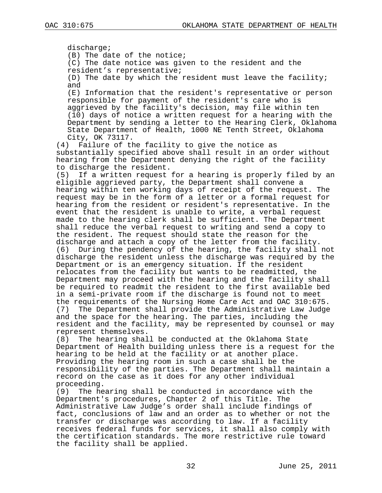discharge; (B) The date of the notice; (C) The date notice was given to the resident and the resident's representative; (D) The date by which the resident must leave the facility; and (E) Information that the resident's representative or person responsible for payment of the resident's care who is aggrieved by the facility's decision, may file within ten (10) days of notice a written request for a hearing with the Department by sending a letter to the Hearing Clerk, Oklahoma State Department of Health, 1000 NE Tenth Street, Oklahoma City, OK 73117.<br>(4) Failure of th Failure of the facility to give the notice as substantially specified above shall result in an order without hearing from the Department denying the right of the facility to discharge the resident.<br>(5) If a written request If a written request for a hearing is properly filed by an eligible aggrieved party, the Department shall convene a hearing within ten working days of receipt of the request. The request may be in the form of a letter or a formal request for hearing from the resident or resident's representative. In the event that the resident is unable to write, a verbal request made to the hearing clerk shall be sufficient. The Department shall reduce the verbal request to writing and send a copy to

the resident. The request should state the reason for the discharge and attach a copy of the letter from the facility.<br>(6) During the pendency of the hearing, the facility shall During the pendency of the hearing, the facility shall not discharge the resident unless the discharge was required by the Department or is an emergency situation. If the resident relocates from the facility but wants to be readmitted, the Department may proceed with the hearing and the facility shall be required to readmit the resident to the first available bed in a semi-private room if the discharge is found not to meet the requirements of the Nursing Home Care Act and OAC 310:675.<br>(7) The Department shall provide the Administrative Law Judge The Department shall provide the Administrative Law Judge and the space for the hearing. The parties, including the resident and the facility, may be represented by counsel or may represent themselves.<br>(8) The hearing shal

The hearing shall be conducted at the Oklahoma State Department of Health building unless there is a request for the hearing to be held at the facility or at another place. Providing the hearing room in such a case shall be the responsibility of the parties. The Department shall maintain a record on the case as it does for any other individual proceeding.<br>(9) The he

The hearing shall be conducted in accordance with the Department's procedures, Chapter 2 of this Title. The Administrative Law Judge's order shall include findings of fact, conclusions of law and an order as to whether or not the transfer or discharge was according to law. If a facility receives federal funds for services, it shall also comply with the certification standards. The more restrictive rule toward the facility shall be applied.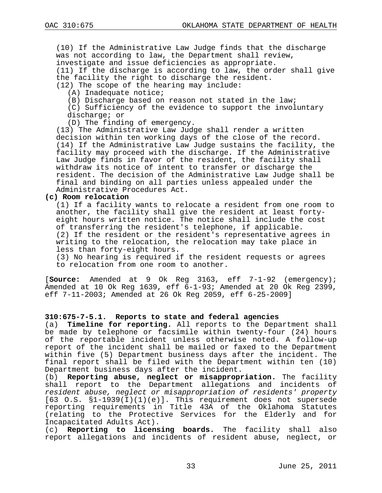(10) If the Administrative Law Judge finds that the discharge was not according to law, the Department shall review, investigate and issue deficiencies as appropriate. (11) If the discharge is according to law, the order shall give

the facility the right to discharge the resident.

(12) The scope of the hearing may include:

(A) Inadequate notice;

(B) Discharge based on reason not stated in the law;

(C) Sufficiency of the evidence to support the involuntary discharge; or

(D) The finding of emergency.

(13) The Administrative Law Judge shall render a written decision within ten working days of the close of the record. (14) If the Administrative Law Judge sustains the facility, the facility may proceed with the discharge. If the Administrative Law Judge finds in favor of the resident, the facility shall withdraw its notice of intent to transfer or discharge the resident. The decision of the Administrative Law Judge shall be final and binding on all parties unless appealed under the Administrative Procedures Act.

## **(c) Room relocation**

(1) If a facility wants to relocate a resident from one room to another, the facility shall give the resident at least fortyeight hours written notice. The notice shall include the cost of transferring the resident's telephone, if applicable. (2) If the resident or the resident's representative agrees in writing to the relocation, the relocation may take place in less than forty-eight hours.

(3) No hearing is required if the resident requests or agrees to relocation from one room to another.

[**Source:** Amended at 9 Ok Reg 3163, eff 7-1-92 (emergency); Amended at 10 Ok Reg 1639, eff 6-1-93; Amended at 20 Ok Reg 2399, eff 7-11-2003; Amended at 26 Ok Reg 2059, eff 6-25-2009]

## **310:675-7-5.1. Reports to state and federal agencies**

(a) **Timeline for reporting.** All reports to the Department shall be made by telephone or facsimile within twenty-four (24) hours of the reportable incident unless otherwise noted. A follow-up report of the incident shall be mailed or faxed to the Department within five (5) Department business days after the incident. The final report shall be filed with the Department within ten (10) Department business days after the incident.

(b) **Reporting abuse, neglect or misappropriation.** The facility shall report to the Department allegations and incidents of *resident abuse, neglect or misappropriation of residents' property*  [63 O.S. §1-1939(I)(1)(e)]. This requirement does not supersede reporting requirements in Title 43A of the Oklahoma Statutes (relating to the Protective Services for the Elderly and for Incapacitated Adults Act).

(c) **Reporting to licensing boards.** The facility shall also report allegations and incidents of resident abuse, neglect, or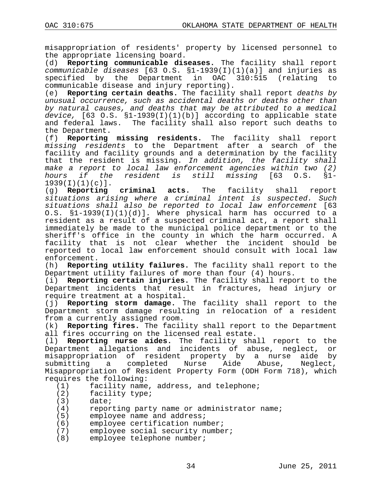misappropriation of residents' property by licensed personnel to the appropriate licensing board.<br>(d) **Reporting communicable dis** 

(d) **Reporting communicable diseases.** The facility shall report *communicable diseases* [63 O.S. §1-1939(I)(1)(a)] and injuries as specified by the Department in OAC communicable disease and injury reporting).<br>(e) **Reporting certain deaths.** The facility

(e) **Reporting certain deaths.** The facility shall report *deaths by unusual occurrence, such as accidental deaths or deaths other than by natural causes, and deaths that may be attributed to a medical device,* [63 O.S. §1-1939(I)(1)(b)] according to applicable state and federal laws. The facility shall also report such deaths to the Department.

(f) **Reporting missing residents.** The facility shall report *missing residents* to the Department after a search of the facility and facility grounds and a determination by the facility that the resident is missing. *In addition, the facility shall make a report to local law enforcement agencies within two (2) hours if the resident is still missing* [63 O.S. §1-

 $1939(I)(1)(c)$ ].<br>(q) **Reporting criminal acts.** The facility shall report *situations arising where a criminal intent is suspected. Such situations shall also be reported to local law enforcement* [63 O.S. §1-1939(I)(1)(d)]. Where physical harm has occurred to a resident as a result of a suspected criminal act, a report shall immediately be made to the municipal police department or to the sheriff's office in the county in which the harm occurred. A facility that is not clear whether the incident should be reported to local law enforcement should consult with local law

enforcement.<br>(h) **Reporti** Reporting utility failures. The facility shall report to the Department utility failures of more than four (4) hours.

(i) **Reporting certain injuries.** The facility shall report to the Department incidents that result in fractures, head injury or require treatment at a hospital.

(j) **Reporting storm damage.** The facility shall report to the Department storm damage resulting in relocation of a resident from a currently assigned room.

(k) **Reporting fires.** The facility shall report to the Department all fires occurring on the licensed real estate.

(l) **Reporting nurse aides.** The facility shall report to the Department allegations and incidents of abuse, neglect, or misappropriation of resident property by a nurse aide by<br>submitting a completed Nurse Aide Abuse, Neglect, submitting a completed Nurse Aide Abuse, Neglect, Misappropriation of Resident Property Form (ODH Form 718), which requires the following:<br>(1) facility name

(1) facility name, address, and telephone;<br>(2) facility type;

- (2) facility type;<br>(3) date;
- $(3)$  date;<br>(4) repor
- $(4)$  reporting party name or administrator name;<br>(5) employee name and address;
- (5) employee name and address;<br>(6) employee certification num
- (6) employee certification number;<br>(7) employee social security numbe
- (7) employee social security number;<br>(8) employee telephone number;
- employee telephone number;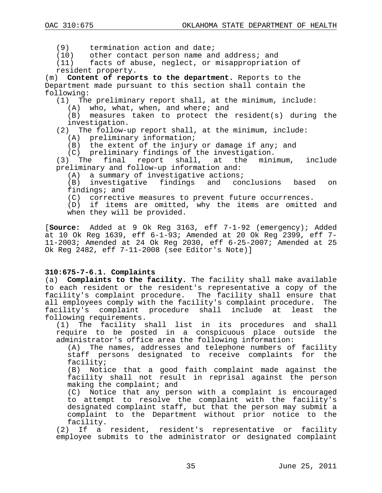(9) termination action and date;<br>(10) other contact person name an

(10) other contact person name and address; and<br>(11) facts of abuse, neglect, or misappropriation

facts of abuse, neglect, or misappropriation of resident property.

(m) **Content of reports to the department.** Reports to the Department made pursuant to this section shall contain the following:

(1) The preliminary report shall, at the minimum, include:

(A) who, what, when, and where; and

(B) measures taken to protect the resident(s) during the investigation.

(2) The follow-up report shall, at the minimum, include:

(A) preliminary information;

(B) the extent of the injury or damage if any; and

(C) preliminary findings of the investigation.

(3) The final report shall, at the minimum, include preliminary and follow-up information and:

(A) a summary of investigative actions;<br>(B) investigative findings and conclusions investigative findings and conclusions based on findings; and

(C) corrective measures to prevent future occurrences.

(D) if items are omitted, why the items are omitted and when they will be provided.

[**Source:** Added at 9 Ok Reg 3163, eff 7-1-92 (emergency); Added at 10 Ok Reg 1639, eff 6-1-93; Amended at 20 Ok Reg 2399, eff 7- 11-2003; Amended at 24 Ok Reg 2030, eff 6-25-2007; Amended at 25 Ok Reg 2482, eff 7-11-2008 (see Editor's Note)]

## **310:675-7-6.1. Complaints**

(a) **Complaints to the facility.** The facility shall make available to each resident or the resident's representative a copy of the facility's complaint procedure. The facility shall ensure that<br>all emplovees comply with the facility's complaint procedure. The all employees comply with the facility's complaint procedure. The<br>facility's complaint procedure shall include at least the facility's complaint procedure shall include at least following requirements.

(1) The facility shall list in its procedures and shall require to be posted in a conspicuous place outside the administrator's office area the following information:

(A) The names, addresses and telephone numbers of facility staff persons designated to receive complaints for the facility;

(B) Notice that a good faith complaint made against the facility shall not result in reprisal against the person making the complaint; and

(C) Notice that any person with a complaint is encouraged to attempt to resolve the complaint with the facility's designated complaint staff, but that the person may submit a complaint to the Department without prior notice to the facility.

(2) If a resident, resident's representative or facility employee submits to the administrator or designated complaint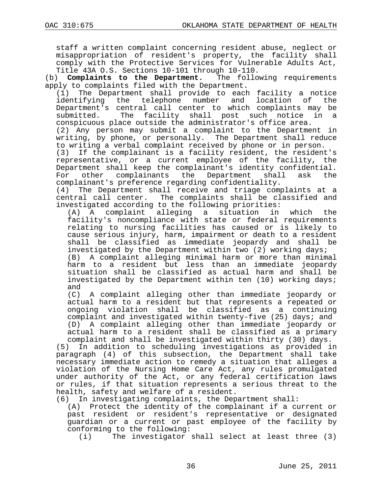staff a written complaint concerning resident abuse, neglect or misappropriation of resident's property, the facility shall comply with the Protective Services for Vulnerable Adults Act, Title 43A O.S. Sections 10-101 through 10-110.<br>) **Complaints to the Department.** The following requirements

(b) **Complaints to the Department.** apply to complaints filed with the Department.

(1) The Department shall provide to each facility a notice telephone number and location of Department's central call center to which complaints may be<br>submitted. The facility shall post such notice in a The facility shall post such notice in a conspicuous place outside the administrator's office area.

(2) Any person may submit a complaint to the Department in writing, by phone, or personally. The Department shall reduce to writing a verbal complaint received by phone or in person.

(3) If the complainant is a facility resident, the resident's representative, or a current employee of the facility, the Department shall keep the complainant's identity confidential.<br>For other complainants the Department shall ask the For other complainants the Department shall complainant's preference regarding confidentiality.

(4) The Department shall receive and triage complaints at a central call center. The complaints shall be classified and investigated according to the following priorities:

(A) A complaint alleging a situation in which the facility's noncompliance with state or federal requirements relating to nursing facilities has caused or is likely to cause serious injury, harm, impairment or death to a resident shall be classified as immediate jeopardy and shall be

investigated by the Department within two (2) working days;<br>(B) A complaint alleging minimal harm or more than minim A complaint alleging minimal harm or more than minimal harm to a resident but less than an immediate jeopardy situation shall be classified as actual harm and shall be investigated by the Department within ten (10) working days;

and<br>(C) A complaint alleging other than immediate jeopardy or actual harm to a resident but that represents a repeated or ongoing violation shall be classified as a continuing complaint and investigated within twenty-five (25) days; and (D) A complaint alleging other than immediate jeopardy or actual harm to a resident shall be classified as a primary complaint and shall be investigated within thirty (30) days.

(5) In addition to scheduling investigations as provided in paragraph (4) of this subsection, the Department shall take necessary immediate action to remedy a situation that alleges a violation of the Nursing Home Care Act, any rules promulgated under authority of the Act, or any federal certification laws or rules, if that situation represents a serious threat to the health, safety and welfare of a resident.

(6) In investigating complaints, the Department shall:

Protect the identity of the complainant if a current or past resident or resident's representative or designated guardian or a current or past employee of the facility by conforming to the following:<br>(i) The investigator

The investigator shall select at least three (3)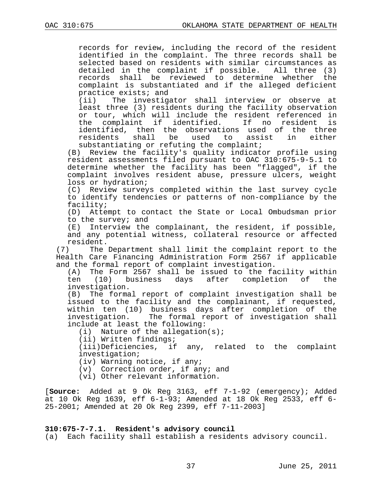records for review, including the record of the resident identified in the complaint. The three records shall be selected based on residents with similar circumstances as detailed in the complaint if possible. All three (3) records shall be reviewed to determine whether the complaint is substantiated and if the alleged deficient practice exists; and<br>(ii) The investige

The investigator shall interview or observe at least three (3) residents during the facility observation or tour, which will include the resident referenced in the complaint if identified. If no resident is identified, then the observations used of the three used to assist substantiating or refuting the complaint;

(B) Review the facility's quality indicator profile using resident assessments filed pursuant to OAC 310:675-9-5.1 to determine whether the facility has been "flagged", if the complaint involves resident abuse, pressure ulcers, weight loss or hydration;

(C) Review surveys completed within the last survey cycle to identify tendencies or patterns of non-compliance by the facility;

(D) Attempt to contact the State or Local Ombudsman prior to the survey; and

(E) Interview the complainant, the resident, if possible, and any potential witness, collateral resource or affected

resident.<br>(7) The The Department shall limit the complaint report to the Health Care Financing Administration Form 2567 if applicable and the formal report of complaint investigation.<br>(A) The Form 2567 shall be issued to the fa

(A) The Form 2567 shall be issued to the facility within<br>ten (10) business days after completion of the business days after completion of investigation.

(B) The formal report of complaint investigation shall be issued to the facility and the complainant, if requested, within ten (10) business days after completion of the investigation. The formal report of investigation shall include at least the following:

(i) Nature of the allegation(s);

(ii) Written findings;

(iii)Deficiencies, if any, related to the complaint investigation;

(iv) Warning notice, if any;

(v) Correction order, if any; and

(vi) Other relevant information.

[**Source:** Added at 9 Ok Reg 3163, eff 7-1-92 (emergency); Added at 10 Ok Reg 1639, eff 6-1-93; Amended at 18 Ok Reg 2533, eff 6- 25-2001; Amended at 20 Ok Reg 2399, eff 7-11-2003]

#### **310:675-7-7.1. Resident's advisory council**

(a) Each facility shall establish a residents advisory council.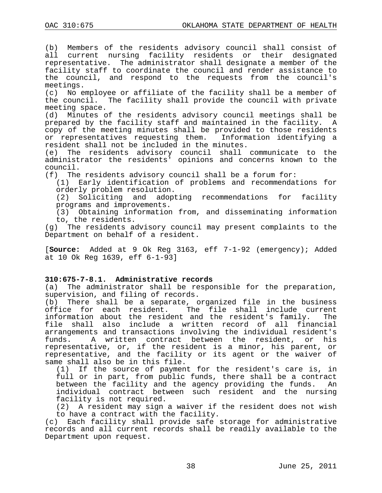(b) Members of the residents advisory council shall consist of all current nursing facility residents or their designated representative. The administrator shall designate a member of the facility staff to coordinate the council and render assistance to the council, and respond to the requests from the council's meetings.

(c) No employee or affiliate of the facility shall be a member of the council. The facility shall provide the council with private meeting space.<br>(d) Minutes o

Minutes of the residents advisory council meetings shall be prepared by the facility staff and maintained in the facility. A copy of the meeting minutes shall be provided to those residents<br>or representatives requesting them. Information identifying a or representatives requesting them. resident shall not be included in the minutes.

(e) The residents advisory council shall communicate to the administrator the residents' opinions and concerns known to the council.

(f) The residents advisory council shall be a forum for:

(1) Early identification of problems and recommendations for orderly problem resolution.<br>(2) Soliciting and adopt

and adopting recommendations for facility programs and improvements.

(3) Obtaining information from, and disseminating information to, the residents.

(g) The residents advisory council may present complaints to the Department on behalf of a resident.

[**Source:** Added at 9 Ok Reg 3163, eff 7-1-92 (emergency); Added at 10 Ok Reg 1639, eff 6-1-93]

# **310:675-7-8.1. Administrative records**

The administrator shall be responsible for the preparation, supervision, and filing of records.

(b) There shall be a separate, organized file in the business office for each resident. The file shall include current The file shall include current<br>and the resident's family. The information about the resident and the resident's family. file shall also include a written record of all financial arrangements and transactions involving the individual resident's<br>funds. A written contract between the resident, or his A written contract between the resident, or his representative, or, if the resident is a minor, his parent, or representative, and the facility or its agent or the waiver of same shall also be in this file.<br>(1) If the source of paymen

If the source of payment for the resident's care is, in full or in part, from public funds, there shall be a contract<br>between the facility and the agency providing the funds. An between the facility and the agency providing the funds. individual contract between such resident and the nursing facility is not required.

(2) A resident may sign a waiver if the resident does not wish to have a contract with the facility.

(c) Each facility shall provide safe storage for administrative records and all current records shall be readily available to the Department upon request.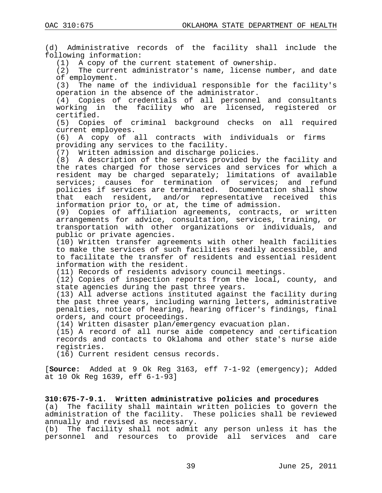(d) Administrative records of the facility shall include the following information:

(1) A copy of the current statement of ownership.<br>(2) The current administrator's name, license num

The current administrator's name, license number, and date of employment.<br>(3) The name

The name of the individual responsible for the facility's operation in the absence of the administrator.

(4) Copies of credentials of all personnel and consultants working in the facility who are licensed, registered or certified.

(5) Copies of criminal background checks on all required current employees.<br>(6) A copy of a

A copy of all contracts with individuals or firms providing any services to the facility.

(7) Written admission and discharge policies.

(8) A description of the services provided by the facility and the rates charged for those services and services for which a resident may be charged separately; limitations of available services; causes for termination of services; and refund policies if services are terminated. Documentation shall show<br>that each resident, and/or representative received this each resident, and/or representative received this information prior to, or at, the time of admission.

(9) Copies of affiliation agreements, contracts, or written arrangements for advice, consultation, services, training, or transportation with other organizations or individuals, and public or private agencies.

(10) Written transfer agreements with other health facilities to make the services of such facilities readily accessible, and to facilitate the transfer of residents and essential resident information with the resident.

(11) Records of residents advisory council meetings.

(12) Copies of inspection reports from the local, county, and state agencies during the past three years.

(13) All adverse actions instituted against the facility during the past three years, including warning letters, administrative penalties, notice of hearing, hearing officer's findings, final orders, and court proceedings.

(14) Written disaster plan/emergency evacuation plan.

(15) A record of all nurse aide competency and certification records and contacts to Oklahoma and other state's nurse aide registries.

(16) Current resident census records.

[**Source:** Added at 9 Ok Reg 3163, eff 7-1-92 (emergency); Added at 10 Ok Reg 1639, eff 6-1-93]

**310:675-7-9.1. Written administrative policies and procedures** (a) The facility shall maintain written policies to govern the administration of the facility. These policies shall be reviewed annually and revised as necessary.

(b) The facility shall not admit any person unless it has the personnel and resources to provide all services and care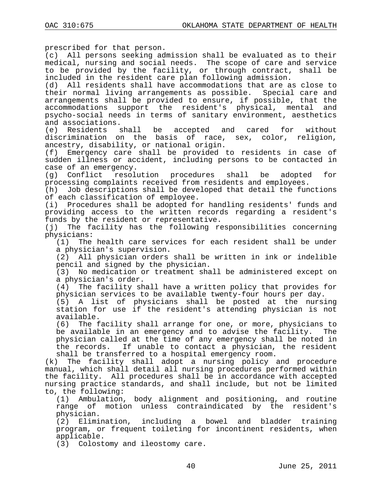prescribed for that person.

(c) All persons seeking admission shall be evaluated as to their medical, nursing and social needs. The scope of care and service to be provided by the facility, or through contract, shall be included in the resident care plan following admission.

(d) All residents shall have accommodations that are as close to their normal living arrangements as possible. Special care and arrangements shall be provided to ensure, if possible, that the accommodations support the resident's physical, mental and psycho-social needs in terms of sanitary environment, aesthetics and associations.<br>(e) Residents s

shall be accepted and cared for without discrimination on the basis of race, sex, color, religion, ancestry, disability, or national origin.

(f) Emergency care shall be provided to residents in case of sudden illness or accident, including persons to be contacted in case of an emergency.

(g) Conflict resolution procedures shall be adopted for processing complaints received from residents and employees.

(h) Job descriptions shall be developed that detail the functions of each classification of employee.<br>(i) Procedures shall be adopted fo

Procedures shall be adopted for handling residents' funds and providing access to the written records regarding a resident's funds by the resident or representative.<br>(j) The facility has the following re

The facility has the following responsibilities concerning physicians:<br>(1) The

The health care services for each resident shall be under a physician's supervision.

(2) All physician orders shall be written in ink or indelible pencil and signed by the physician.

(3) No medication or treatment shall be administered except on a physician's order.

(4) The facility shall have a written policy that provides for physician services to be available twenty-four hours per day.

(5) A list of physicians shall be posted at the nursing station for use if the resident's attending physician is not available.<br>(6) The f

The facility shall arrange for one, or more, physicians to be available in an emergency and to advise the facility. The physician called at the time of any emergency shall be noted in the records. If unable to contact a physician, the resident

shall be transferred to a hospital emergency room.<br>(k) The facility shall adopt a nursing policy a The facility shall adopt a nursing policy and procedure manual, which shall detail all nursing procedures performed within the facility. All procedures shall be in accordance with accepted nursing practice standards, and shall include, but not be limited to, the following:<br>(1) Ambulation

Ambulation, body alignment and positioning, and routine range of motion unless contraindicated by the resident's physician.<br>(2) Elimi

Elimination, including a bowel and bladder training program, or frequent toileting for incontinent residents, when applicable.

(3) Colostomy and ileostomy care.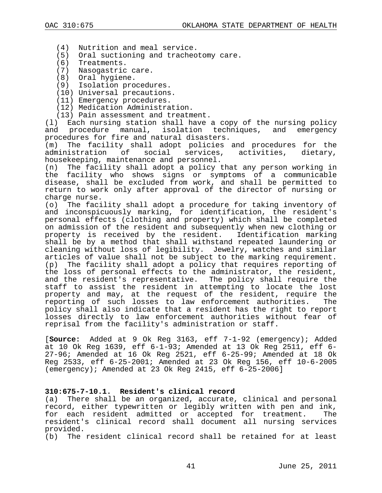- (4) Nutrition and meal service.
- (5) Oral suctioning and tracheotomy care.
- (6) Treatments.
- (7) Nasogastric care.
- (8) Oral hygiene.
- (9) Isolation procedures.
- (10) Universal precautions.
- (11) Emergency procedures.
- (12) Medication Administration.
- 

(13) Pain assessment and treatment.<br>(1) Each nursing station shall have Each nursing station shall have a copy of the nursing policy<br>procedure manual, isolation techniques, and emergency and procedure manual, isolation techniques, and procedures for fire and natural disasters.<br>(m) The facility shall adopt policies

The facility shall adopt policies and procedures for the administration of social services, activities, dietary, housekeeping, maintenance and personnel.<br>(n) The facility shall adopt a policy t

The facility shall adopt a policy that any person working in the facility who shows signs or symptoms of a communicable disease, shall be excluded from work, and shall be permitted to return to work only after approval of the director of nursing or charge nurse.<br>(o) The faci

The facility shall adopt a procedure for taking inventory of and inconspicuously marking, for identification, the resident's personal effects (clothing and property) which shall be completed on admission of the resident and subsequently when new clothing or property is received by the resident. Identification marking shall be by a method that shall withstand repeated laundering or cleaning without loss of legibility. Jewelry, watches and similar articles of value shall not be subject to the marking requirement. (p) The facility shall adopt a policy that requires reporting of the loss of personal effects to the administrator, the resident, and the resident's representative. The policy shall require the staff to assist the resident in attempting to locate the lost property and may, at the request of the resident, require the reporting of such losses to law enforcement authorities. The policy shall also indicate that a resident has the right to report losses directly to law enforcement authorities without fear of reprisal from the facility's administration or staff.

[**Source:** Added at 9 Ok Reg 3163, eff 7-1-92 (emergency); Added at 10 Ok Reg 1639, eff 6-1-93; Amended at 13 Ok Reg 2511, eff 6- 27-96; Amended at 16 Ok Reg 2521, eff 6-25-99; Amended at 18 Ok Reg 2533, eff 6-25-2001; Amended at 23 Ok Reg 156, eff 10-6-2005 (emergency); Amended at 23 Ok Reg 2415, eff 6-25-2006]

#### **310:675-7-10.1. Resident's clinical record**

(a) There shall be an organized, accurate, clinical and personal record, either typewritten or legibly written with pen and ink,<br>for each resident admitted or accepted for treatment. The for each resident admitted or accepted for treatment. resident's clinical record shall document all nursing services provided.

(b) The resident clinical record shall be retained for at least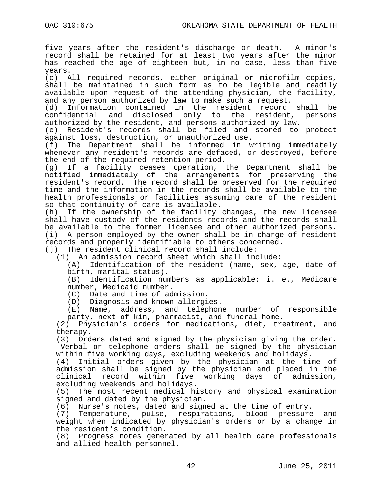five years after the resident's discharge or death. A minor's record shall be retained for at least two years after the minor has reached the age of eighteen but, in no case, less than five years.

(c) All required records, either original or microfilm copies, shall be maintained in such form as to be legible and readily available upon request of the attending physician, the facility, and any person authorized by law to make such a request.<br>(d) Information contained in the resident record

(d) Information contained in the resident record shall be confidential and disclosed only to the resident, persons and disclosed only to the resident, authorized by the resident, and persons authorized by law.

(e) Resident's records shall be filed and stored to protect against loss, destruction, or unauthorized use.<br>(f) The Department shall be informed in w

The Department shall be informed in writing immediately whenever any resident's records are defaced, or destroyed, before the end of the required retention period.<br>(g) If a facility ceases operation,

If a facility ceases operation, the Department shall be notified immediately of the arrangements for preserving the resident's record. The record shall be preserved for the required time and the information in the records shall be available to the health professionals or facilities assuming care of the resident so that continuity of care is available.

(h) If the ownership of the facility changes, the new licensee shall have custody of the residents records and the records shall be available to the former licensee and other authorized persons.<br>(i) A person employed by the owner shall be in charge of resident A person employed by the owner shall be in charge of resident records and properly identifiable to others concerned.

(j) The resident clinical record shall include:

(1) An admission record sheet which shall include:

(A) Identification of the resident (name, sex, age, date of birth, marital status).<br>(B) Identification num

Identification numbers as applicable: i. e., Medicare number, Medicaid number.

(C) Date and time of admission.

(D) Diagnosis and known allergies.

(E) Name, address, and telephone number of responsible party, next of kin, pharmacist, and funeral home.

(2) Physician's orders for medications, diet, treatment, and therapy.

(3) Orders dated and signed by the physician giving the order. Verbal or telephone orders shall be signed by the physician

within five working days, excluding weekends and holidays.<br>(4) Initial orders given by the physician at the tip Initial orders given by the physician at the time of admission shall be signed by the physician and placed in the clinical record within five working days of admission, excluding weekends and holidays.<br>(5) The most recent medical hi

The most recent medical history and physical examination signed and dated by the physician.

(6) Nurse's notes, dated and signed at the time of entry.

(7) Temperature, pulse, respirations, blood pressure and weight when indicated by physician's orders or by a change in the resident's condition.<br>(8) Progress notes gener

Progress notes generated by all health care professionals and allied health personnel.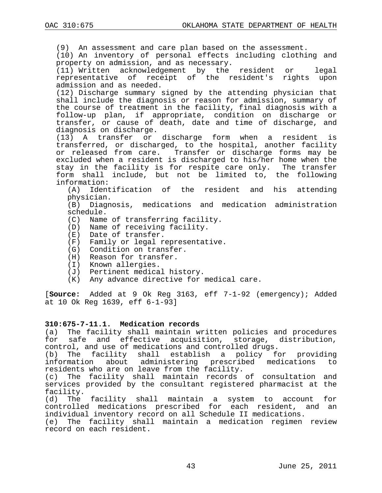(9) An assessment and care plan based on the assessment. (10) An inventory of personal effects including clothing and property on admission, and as necessary.<br>(11) Written acknowledgement by the resident or (11) Written acknowledgement by the resident or legal representative of receipt of the resident's rights upon admission and as needed. (12) Discharge summary signed by the attending physician that shall include the diagnosis or reason for admission, summary of the course of treatment in the facility, final diagnosis with a follow-up plan, if appropriate, condition on discharge or transfer, or cause of death, date and time of discharge, and diagnosis on discharge.<br>(13) A transfer or discharge form when a resident is transferred, or discharged, to the hospital, another facility or released from care. Transfer or discharge forms may be excluded when a resident is discharged to his/her home when the stay in the facility is for respite care only. The transfer form shall include, but not be limited to, the following information:<br>A) Ident)

Identification of the resident and his attending physician.<br>(B) Diagn

Diagnosis, medications and medication administration schedule.

- (C) Name of transferring facility.
- (D) Name of receiving facility.
- (E) Date of transfer.
- (F) Family or legal representative.
- (G) Condition on transfer.
- (H) Reason for transfer.
- (I) Known allergies.
- (J) Pertinent medical history.<br>(K) Any advance directive for
- Any advance directive for medical care.

[**Source:** Added at 9 Ok Reg 3163, eff 7-1-92 (emergency); Added at 10 Ok Reg 1639, eff 6-1-93]

#### **310:675-7-11.1. Medication records**

(a) The facility shall maintain written policies and procedures for safe and effective acquisition, storage, distribution, control, and use of medications and controlled drugs.

(b) The facility shall establish a policy for providing<br>information about administering prescribed medications to about administering prescribed medications residents who are on leave from the facility.

(c) The facility shall maintain records of consultation and services provided by the consultant registered pharmacist at the facility.<br>(d) The

The facility shall maintain a system to account for<br>rolled medications prescribed for each resident, and an: controlled medications prescribed for each resident, and individual inventory record on all Schedule II medications.

(e) The facility shall maintain a medication regimen review record on each resident.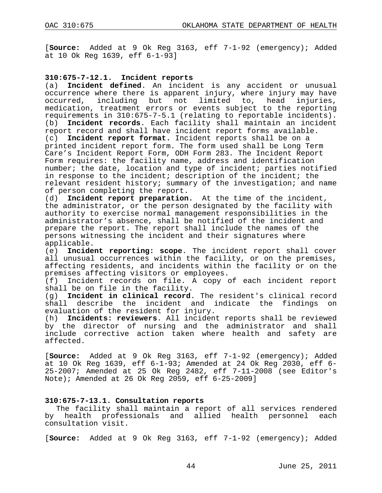[**Source:** Added at 9 Ok Reg 3163, eff 7-1-92 (emergency); Added at 10 Ok Reg 1639, eff 6-1-93]

#### **310:675-7-12.1. Incident reports**

(a) **Incident defined**. An incident is any accident or unusual occurrence where there is apparent injury, where injury may have occurred, including but not limited to, head injuries, medication, treatment errors or events subject to the reporting requirements in 310:675-7-5.1 (relating to reportable incidents).<br>(b) Incident records. Each facility shall maintain an incident Incident records. Each facility shall maintain an incident report record and shall have incident report forms available.<br>(c) Incident report format. Incident reports shall be on a Incident report format. Incident reports shall be on a printed incident report form. The form used shall be Long Term Care's Incident Report Form, ODH Form 283. The Incident Report Form requires: the facility name, address and identification number; the date, location and type of incident; parties notified in response to the incident; description of the incident; the relevant resident history; summary of the investigation; and name of person completing the report.

(d) **Incident report preparation.** At the time of the incident, the administrator, or the person designated by the facility with authority to exercise normal management responsibilities in the administrator's absence, shall be notified of the incident and prepare the report. The report shall include the names of the persons witnessing the incident and their signatures where

applicable.<br>(e) **Incide Incident reporting: scope**. The incident report shall cover all unusual occurrences within the facility, or on the premises, affecting residents, and incidents within the facility or on the premises affecting visitors or employees.

(f) Incident records on file. A copy of each incident report shall be on file in the facility.

(g) **Incident in clinical record**. The resident's clinical record shall describe the incident and indicate the findings evaluation of the resident for injury.

(h) **Incidents: reviewers**. All incident reports shall be reviewed by the director of nursing and the administrator and shall include corrective action taken where health and safety are affected.

[**Source:** Added at 9 Ok Reg 3163, eff 7-1-92 (emergency); Added at 10 Ok Reg 1639, eff 6-1-93; Amended at 24 Ok Reg 2030, eff 6- 25-2007; Amended at 25 Ok Reg 2482, eff 7-11-2008 (see Editor's Note); Amended at 26 Ok Reg 2059, eff 6-25-2009]

#### **310:675-7-13.1. Consultation reports**

The facility shall maintain a report of all services rendered by health professionals and allied health personnel consultation visit.

[**Source:** Added at 9 Ok Reg 3163, eff 7-1-92 (emergency); Added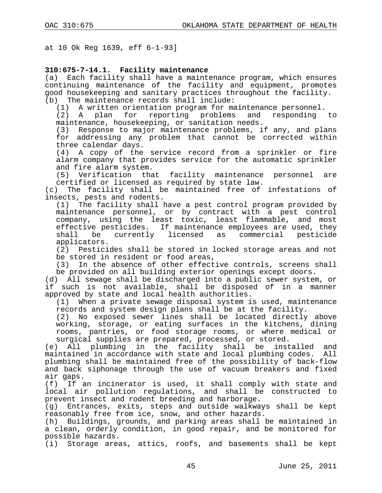at 10 Ok Reg 1639, eff 6-1-93]

# **310:675-7-14.1. Facility maintenance**

Each facility shall have a maintenance program, which ensures continuing maintenance of the facility and equipment, promotes good housekeeping and sanitary practices throughout the facility.

(b) The maintenance records shall include:<br>(1) A written orientation program for ma

(1) A written orientation program for maintenance personnel.<br>(2) A plan for reporting problems and responding reporting problems and responding to

maintenance, housekeeping, or sanitation needs.<br>(3) Response to major maintenance problems, i Response to major maintenance problems, if any, and plans for addressing any problem that cannot be corrected within three calendar days.

(4) A copy of the service record from a sprinkler or fire alarm company that provides service for the automatic sprinkler and fire alarm system.

(5) Verification that facility maintenance personnel are certified or licensed as required by state law.<br>(c) The facility shall be maintained free of

The facility shall be maintained free of infestations of insects, pests and rodents.

(1) The facility shall have a pest control program provided by maintenance personnel, or by contract with a pest control company, using the least toxic, least flammable, and most effective pesticides. If maintenance employees are used, they<br>shall be currently licensed as commercial pesticide currently licensed as commercial pesticide applicators.

(2) Pesticides shall be stored in locked storage areas and not be stored in resident or food areas,

(3) In the absence of other effective controls, screens shall be provided on all building exterior openings except doors.

(d) All sewage shall be discharged into a public sewer system, or if such is not available, shall be disposed of in a manner approved by state and local health authorities.<br>(1) When a private sewage disposal system i

When a private sewage disposal system is used, maintenance records and system design plans shall be at the facility.

(2) No exposed sewer lines shall be located directly above working, storage, or eating surfaces in the kitchens, dining rooms, pantries, or food storage rooms, or where medical or surgical supplies are prepared, processed, or stored.

(e) All plumbing in the facility shall be installed and maintained in accordance with state and local plumbing codes. All plumbing shall be maintained free of the possibility of back-flow and back siphonage through the use of vacuum breakers and fixed air gaps.<br>(f) If a

If an incinerator is used, it shall comply with state and local air pollution regulations, and shall be constructed to prevent insect and rodent breeding and harborage.<br>(g) Entrances, exits, steps and outside walkwa

Entrances, exits, steps and outside walkways shall be kept reasonably free from ice, snow, and other hazards.

(h) Buildings, grounds, and parking areas shall be maintained in a clean, orderly condition, in good repair, and be monitored for possible hazards.

(i) Storage areas, attics, roofs, and basements shall be kept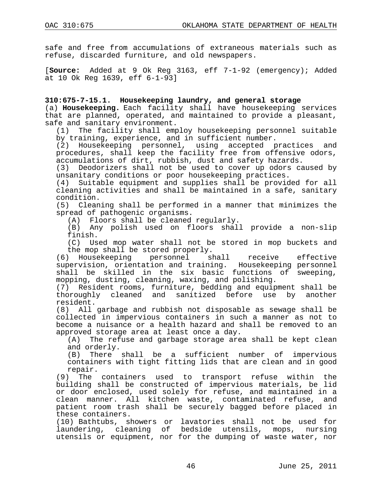safe and free from accumulations of extraneous materials such as refuse, discarded furniture, and old newspapers.

[**Source:** Added at 9 Ok Reg 3163, eff 7-1-92 (emergency); Added at 10 Ok Reg 1639, eff 6-1-93]

**310:675-7-15.1. Housekeeping laundry, and general storage** (a) **Housekeeping.** Each facility shall have housekeeping services that are planned, operated, and maintained to provide a pleasant,

safe and sanitary environment.<br>(1) The facility shall emp The facility shall employ housekeeping personnel suitable by training, experience, and in sufficient number.

(2) Housekeeping personnel, using accepted practices and procedures, shall keep the facility free from offensive odors, accumulations of dirt, rubbish, dust and safety hazards.<br>(3) Deodorizers shall not be used to cover up odors ca

Deodorizers shall not be used to cover up odors caused by unsanitary conditions or poor housekeeping practices.

(4) Suitable equipment and supplies shall be provided for all cleaning activities and shall be maintained in a safe, sanitary condition.

(5) Cleaning shall be performed in a manner that minimizes the spread of pathogenic organisms.

(A) Floors shall be cleaned regularly.

(B) Any polish used on floors shall provide a non-slip finish.

(C) Used mop water shall not be stored in mop buckets and

the mop shall be stored properly.<br>(6) Housekeeping personnel shall (6) Housekeeping personnel shall receive effective supervision, orientation and training. Housekeeping personnel shall be skilled in the six basic functions of sweeping, mopping, dusting, cleaning, waxing, and polishing.

(7) Resident rooms, furniture, bedding and equipment shall be thoroughly cleaned and sanitized before use by another resident.

(8) All garbage and rubbish not disposable as sewage shall be collected in impervious containers in such a manner as not to become a nuisance or a health hazard and shall be removed to an approved storage area at least once a day.

(A) The refuse and garbage storage area shall be kept clean and orderly.

(B) There shall be a sufficient number of impervious containers with tight fitting lids that are clean and in good repair.

(9) The containers used to transport refuse within the building shall be constructed of impervious materials, be lid or door enclosed, used solely for refuse, and maintained in a clean manner. All kitchen waste, contaminated refuse, and patient room trash shall be securely bagged before placed in these containers.

(10) Bathtubs, showers or lavatories shall not be used for laundering, cleaning of bedside utensils, mops, nursing utensils or equipment, nor for the dumping of waste water, nor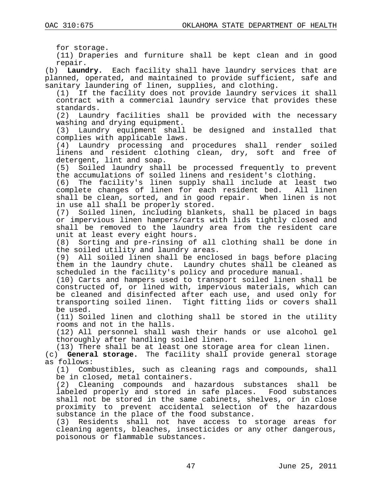for storage.

(11) Draperies and furniture shall be kept clean and in good

repair.<br>b) **Laun**o (b) **Laundry.** Each facility shall have laundry services that are planned, operated, and maintained to provide sufficient, safe and sanitary laundering of linen, supplies, and clothing.

(1) If the facility does not provide laundry services it shall contract with a commercial laundry service that provides these

standards.<br>(2) Laund Laundry facilities shall be provided with the necessary washing and drying equipment.

(3) Laundry equipment shall be designed and installed that complies with applicable laws.<br>(4) Laundry processing and

Laundry processing and procedures shall render soiled linens and resident clothing clean, dry, soft and free of detergent, lint and soap.<br>(5) Soiled laundry shal

Soiled laundry shall be processed frequently to prevent the accumulations of soiled linens and resident's clothing.

(6) The facility's linen supply shall include at least two complete changes of linen for each resident bed. shall be clean, sorted, and in good repair. When linen is not in use all shall be properly stored.

(7) Soiled linen, including blankets, shall be placed in bags or impervious linen hampers/carts with lids tightly closed and shall be removed to the laundry area from the resident care unit at least every eight hours.<br>(8) Sorting and pre-rinsing of

Sorting and pre-rinsing of all clothing shall be done in the soiled utility and laundry areas.

(9) All soiled linen shall be enclosed in bags before placing them in the laundry chute. Laundry chutes shall be cleaned as scheduled in the facility's policy and procedure manual.

(10) Carts and hampers used to transport soiled linen shall be constructed of, or lined with, impervious materials, which can be cleaned and disinfected after each use, and used only for transporting soiled linen. Tight fitting lids or covers shall be used.

(11) Soiled linen and clothing shall be stored in the utility rooms and not in the halls.

(12) All personnel shall wash their hands or use alcohol gel thoroughly after handling soiled linen.

(13) There shall be at least one storage area for clean linen.

(c) **General storage.** The facility shall provide general storage as follows:

(1) Combustibles, such as cleaning rags and compounds, shall be in closed, metal containers.

(2) Cleaning compounds and hazardous substances shall be labeled properly and stored in safe places. Food substances shall not be stored in the same cabinets, shelves, or in close proximity to prevent accidental selection of the hazardous substance in the place of the food substance.

(3) Residents shall not have access to storage areas for cleaning agents, bleaches, insecticides or any other dangerous, poisonous or flammable substances.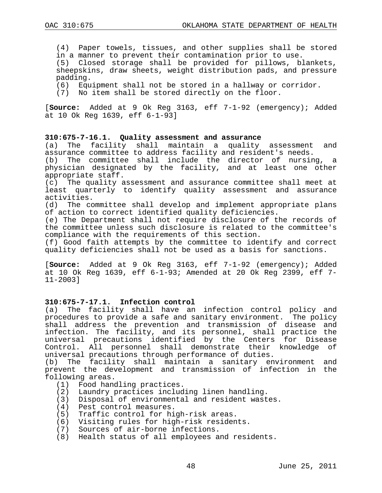(4) Paper towels, tissues, and other supplies shall be stored in a manner to prevent their contamination prior to use.

(5) Closed storage shall be provided for pillows, blankets, sheepskins, draw sheets, weight distribution pads, and pressure padding.

(6) Equipment shall not be stored in a hallway or corridor.

(7) No item shall be stored directly on the floor.

[**Source:** Added at 9 Ok Reg 3163, eff 7-1-92 (emergency); Added at 10 Ok Reg 1639, eff 6-1-93]

# **310:675-7-16.1. Quality assessment and assurance**

maintain a quality assessment and assurance committee to address facility and resident's needs.

(b) The committee shall include the director of nursing, a physician designated by the facility, and at least one other appropriate staff.

(c) The quality assessment and assurance committee shall meet at least quarterly to identify quality assessment and assurance activities.

(d) The committee shall develop and implement appropriate plans of action to correct identified quality deficiencies.

(e) The Department shall not require disclosure of the records of the committee unless such disclosure is related to the committee's compliance with the requirements of this section.

(f) Good faith attempts by the committee to identify and correct quality deficiencies shall not be used as a basis for sanctions.

[**Source:** Added at 9 Ok Reg 3163, eff 7-1-92 (emergency); Added at 10 Ok Reg 1639, eff 6-1-93; Amended at 20 Ok Reg 2399, eff 7- 11-2003]

# **310:675-7-17.1. Infection control**

The facility shall have an infection control policy and procedures to provide a safe and sanitary environment. The policy shall address the prevention and transmission of disease and infection. The facility, and its personnel, shall practice the universal precautions identified by the Centers for Disease Control. All personnel shall demonstrate their knowledge of universal precautions through performance of duties.<br>(b) The facility shall maintain a sanitary en

The facility shall maintain a sanitary environment and prevent the development and transmission of infection in the following areas.

- (1) Food handling practices.
- (2) Laundry practices including linen handling.
- (3) Disposal of environmental and resident wastes.
- (4) Pest control measures.
- (5) Traffic control for high-risk areas.
- (6) Visiting rules for high-risk residents.
- (7) Sources of air-borne infections.
- (8) Health status of all employees and residents.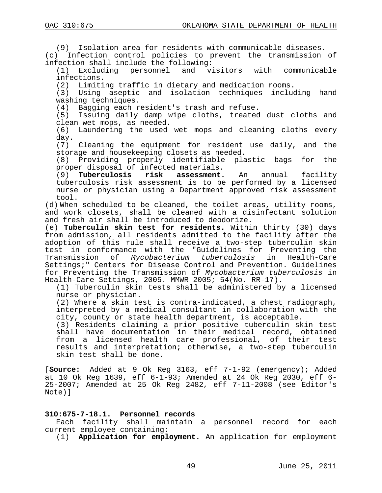(9) Isolation area for residents with communicable diseases.

(c) Infection control policies to prevent the transmission of infection shall include the following:<br>(1) Excluding personnel and vi

visitors with communicable infections.

(2) Limiting traffic in dietary and medication rooms.

(3) Using aseptic and isolation techniques including hand washing techniques.

(4) Bagging each resident's trash and refuse.

Issuing daily damp wipe cloths, treated dust cloths and clean wet mops, as needed.

(6) Laundering the used wet mops and cleaning cloths every day.

(7) Cleaning the equipment for resident use daily, and the storage and housekeeping closets as needed.

(8) Providing properly identifiable plastic bags for the proper disposal of infected materials.

(9) **Tuberculosis risk assessment.** An annual facility tuberculosis risk assessment is to be performed by a licensed nurse or physician using a Department approved risk assessment tool.

(d) When scheduled to be cleaned, the toilet areas, utility rooms, and work closets, shall be cleaned with a disinfectant solution and fresh air shall be introduced to deodorize.

(e) **Tuberculin skin test for residents.** Within thirty (30) days from admission, all residents admitted to the facility after the adoption of this rule shall receive a two-step tuberculin skin test in conformance with the "Guidelines for Preventing the Transmission of *Mycobacterium tuberculosis* in Health-Care Settings;" Centers for Disease Control and Prevention. Guidelines for Preventing the Transmission of *Mycobacterium tuberculosis* in Health-Care Settings, 2005. MMWR 2005; 54(No. RR-17).

(1) Tuberculin skin tests shall be administered by a licensed nurse or physician.

(2) Where a skin test is contra-indicated, a chest radiograph, interpreted by a medical consultant in collaboration with the city, county or state health department, is acceptable.

(3) Residents claiming a prior positive tuberculin skin test shall have documentation in their medical record, obtained from a licensed health care professional, of their test results and interpretation; otherwise, a two-step tuberculin skin test shall be done.

[**Source:** Added at 9 Ok Reg 3163, eff 7-1-92 (emergency); Added at 10 Ok Reg 1639, eff 6-1-93; Amended at 24 Ok Reg 2030, eff 6- 25-2007; Amended at 25 Ok Reg 2482, eff 7-11-2008 (see Editor's Note)]

#### **310:675-7-18.1. Personnel records**

Each facility shall maintain a personnel record for each current employee containing:

(1) **Application for employment.** An application for employment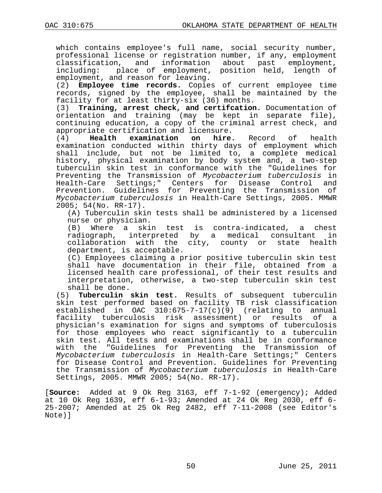which contains employee's full name, social security number, professional license or registration number, if any, employment<br>classification, and information about past employment, classification, and information about<br>including: place of employment, positio place of employment, position held, length of employment, and reason for leaving.

(2) **Employee time records.** Copies of current employee time records, signed by the employee, shall be maintained by the facility for at least thirty-six (36) months.<br>(3) **Training, arrest check, and certifcation** 

Training, arrest check, and certifcation. Documentation of orientation and training (may be kept in separate file), continuing education, a copy of the criminal arrest check, and appropriate certification and licensure.<br>(4) **Health examination on hire.** 

**examination on hire.** Record of health examination conducted within thirty days of employment which shall include, but not be limited to, a complete medical history, physical examination by body system and, a two-step tuberculin skin test in conformance with the "Guidelines for Preventing the Transmission of *Mycobacterium tuberculosis* in Health-Care Settings;" Centers for Disease Control and Prevention. Guidelines for Preventing the Transmission of *Mycobacterium tuberculosis* in Health-Care Settings, 2005. MMWR 2005; 54(No. RR-17).

(A) Tuberculin skin tests shall be administered by a licensed nurse or physician.

(B) Where a skin test is contra-indicated, a chest<br>radiograph, interpreted by a medical consultant in radiograph, interpreted by a medical consultant collaboration with the city, county or state health department, is acceptable.

(C) Employees claiming a prior positive tuberculin skin test shall have documentation in their file, obtained from a licensed health care professional, of their test results and interpretation, otherwise, a two-step tuberculin skin test

shall be done.<br>(5) **Tuberculin** Tuberculin skin test. Results of subsequent tuberculin skin test performed based on facility TB risk classification established in OAC 310:675-7-17(c)(9) (relating to annual facility tuberculosis risk assessment) or results of a physician's examination for signs and symptoms of tuberculosis for those employees who react significantly to a tuberculin skin test. All tests and examinations shall be in conformance with the "Guidelines for Preventing the Transmission of *Mycobacterium tuberculosis* in Health-Care Settings;" Centers for Disease Control and Prevention. Guidelines for Preventing the Transmission of *Mycobacterium tuberculosis* in Health-Care Settings, 2005. MMWR 2005; 54(No. RR-17).

[**Source:** Added at 9 Ok Reg 3163, eff 7-1-92 (emergency); Added 25-2007; Amended at 25 Ok Reg 2482, eff 7-11-2008 (see Editor's Note)]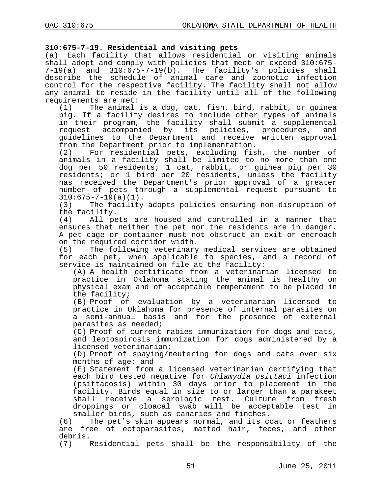### **310:675-7-19. Residential and visiting pets**

(a) Each facility that allows residential or visiting animals shall adopt and comply with policies that meet or exceed 310:675- 7-19(a) and 310:675-7-19(b). The facility's policies shall describe the schedule of animal care and zoonotic infection control for the respective facility. The facility shall not allow any animal to reside in the facility until all of the following requirements are met:<br>(1) The animal

The animal is a dog, cat, fish, bird, rabbit, or guinea pig. If a facility desires to include other types of animals in their program, the facility shall submit a supplemental<br>request accompanied by its policies, procedures, and request accompanied by its policies, procedures, guidelines to the Department and receive written approval from the Department prior to implementation.<br>(2) For residential pets, excluding fis

For residential pets, excluding fish, the number of animals in a facility shall be limited to no more than one dog per 50 residents; 1 cat, rabbit, or guinea pig per 30 residents; or 1 bird per 20 residents, unless the facility has received the Department's prior approval of a greater number of pets through a supplemental request pursuant to  $310:675-7-19(a)(1)$ .<br>(3) The facility

The facility adopts policies ensuring non-disruption of the facility.<br>(4) All pe

All pets are housed and controlled in a manner that ensures that neither the pet nor the residents are in danger. A pet cage or container must not obstruct an exit or encroach on the required corridor width.<br>(5) The following veterinary

The following veterinary medical services are obtained for each pet, when applicable to species, and a record of service is maintained on file at the facility:

(A) A health certificate from a veterinarian licensed to practice in Oklahoma stating the animal is healthy on physical exam and of acceptable temperament to be placed in the facility;

(B) Proof of evaluation by a veterinarian licensed to practice in Oklahoma for presence of internal parasites on a semi-annual basis and for the presence of external parasites as needed;

(C) Proof of current rabies immunization for dogs and cats, and leptospirosis immunization for dogs administered by a licensed veterinarian;

(D) Proof of spaying/neutering for dogs and cats over six months of age; and

(E) Statement from a licensed veterinarian certifying that each bird tested negative for *Chlamydia psittaci* infection (psittacosis) within 30 days prior to placement in the facility. Birds equal in size to or larger than a parakeet shall receive a serologic test. Culture from fresh droppings or cloacal swab will be acceptable test in smaller birds, such as canaries and finches.

(6) The pet's skin appears normal, and its coat or feathers are free of ectoparasites, matted hair, feces, and other debris.<br>(7)

Residential pets shall be the responsibility of the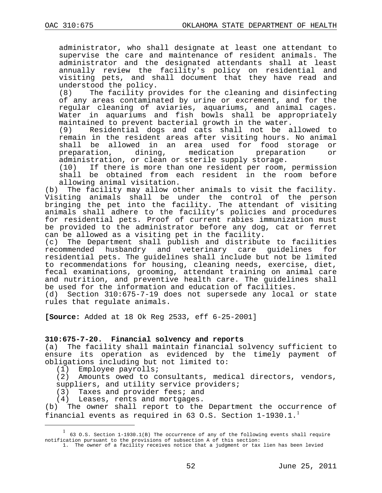administrator, who shall designate at least one attendant to supervise the care and maintenance of resident animals. The administrator and the designated attendants shall at least annually review the facility's policy on residential and visiting pets, and shall document that they have read and

understood the policy.<br>(8) The facility pr The facility provides for the cleaning and disinfecting of any areas contaminated by urine or excrement, and for the regular cleaning of aviaries, aquariums, and animal cages. Water in aquariums and fish bowls shall be appropriately maintained to prevent bacterial growth in the water.<br>(9) Residential dogs and cats shall not be a

Residential dogs and cats shall not be allowed to remain in the resident areas after visiting hours. No animal shall be allowed in an area used for food storage or<br>preparation, dining, medication preparation or preparation

administration, or clean or sterile supply storage.<br>(10) If there is more than one resident per room, If there is more than one resident per room, permission shall be obtained from each resident in the room before

allowing animal visitation.<br>b) The facility may allow ot The facility may allow other animals to visit the facility. Visiting animals shall be under the control of the person bringing the pet into the facility. The attendant of visiting animals shall adhere to the facility's policies and procedures for residential pets. Proof of current rabies immunization must be provided to the administrator before any dog, cat or ferret

can be allowed as a visiting pet in the facility.<br>(c) The Department shall publish and distribut (c) The Department shall publish and distribute to facilities<br>recommended husbandry and veterinary care guidelines for veterinary care guidelines for residential pets. The guidelines shall include but not be limited to recommendations for housing, cleaning needs, exercise, diet, fecal examinations, grooming, attendant training on animal care and nutrition, and preventive health care. The guidelines shall be used for the information and education of facilities.

(d) Section 310:675-7-19 does not supersede any local or state rules that regulate animals.

**[Source:** Added at 18 Ok Reg 2533, eff 6-25-2001]

#### **310:675-7-20. Financial solvency and reports**

(a) The facility shall maintain financial solvency sufficient to ensure its operation as evidenced by the timely payment of obligations including but not limited to:<br>(1) Employee payrolls;

Employee payrolls;

(2) Amounts owed to consultants, medical directors, vendors, suppliers, and utility service providers;

(3) Taxes and provider fees; and

(4) Leases, rents and mortgages.<br>(b) The owner shall report to the The owner shall report to the Department the occurrence of financial events as required in 63 O.S. Section  $1-1930.1$  $1-1930.1$ .<sup>1</sup>

<span id="page-51-0"></span> $\overline{\phantom{a}}$ 63 O.S. Section 1-1930.1(B) The occurrence of any of the following events shall require notification pursuant to the provisions of subsection A of this section:

<sup>1.</sup> The owner of a facility receives notice that a judgment or tax lien has been levied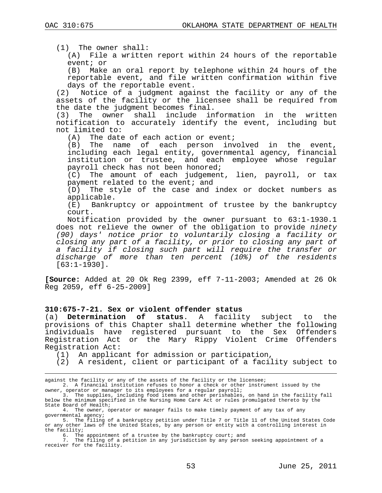(1) The owner shall:

(A) File a written report within 24 hours of the reportable event; or

(B) Make an oral report by telephone within 24 hours of the reportable event, and file written confirmation within five days of the reportable event.

(2) Notice of a judgment against the facility or any of the assets of the facility or the licensee shall be required from the date the judgment becomes final.<br>(3) The owner shall include in

The owner shall include information in the written notification to accurately identify the event, including but not limited to:

 $(A)$  The date of each action or event;<br>(B) The name of each person inv

The name of each person involved in the event, including each legal entity, governmental agency, financial institution or trustee, and each employee whose regular payroll check has not been honored;

(C) The amount of each judgement, lien, payroll, or tax payment related to the event; and

(D) The style of the case and index or docket numbers as applicable.<br>(E) Bankru

Bankruptcy or appointment of trustee by the bankruptcy court.

Notification provided by the owner pursuant to 63:1-1930.1 does not relieve the owner of the obligation to provide *ninety (90) days' notice prior to voluntarily closing a facility or closing any part of a facility, or prior to closing any part of a facility if closing such part will require the transfer or discharge of more than ten percent (10%) of the residents* [63:1-1930].

**[Source:** Added at 20 Ok Reg 2399, eff 7-11-2003; Amended at 26 Ok Reg 2059, eff 6-25-2009]

#### **310:675-7-21. Sex or violent offender status**

(a) **Determination of status**. A facility subject to the provisions of this Chapter shall determine whether the following individuals have registered pursuant to the Sex Offenders Registration Act or the Mary Rippy Violent Crime Offenders Registration Act:

(1) An applicant for admission or participation,

(2) A resident, client or participant of a facility subject to

2. A financial institution refuses to honor a check or other instrument issued by the owner, operator or manager to its employees for a regular payroll;

against the facility or any of the assets of the facility or the licensee;

<sup>3.</sup> The supplies, including food items and other perishables, on hand in the facility fall below the minimum specified in the Nursing Home Care Act or rules promulgated thereto by the State Board of Health;

<sup>4.</sup> The owner, operator or manager fails to make timely payment of any tax of any governmental agency;

<sup>5.</sup> The filing of a bankruptcy petition under Title 7 or Title 11 of the United States Code or any other laws of the United States, by any person or entity with a controlling interest in the facility;

<sup>6.</sup> The appointment of a trustee by the bankruptcy court; and

<sup>7.</sup> The filing of a petition in any jurisdiction by any person seeking appointment of a receiver for the facility.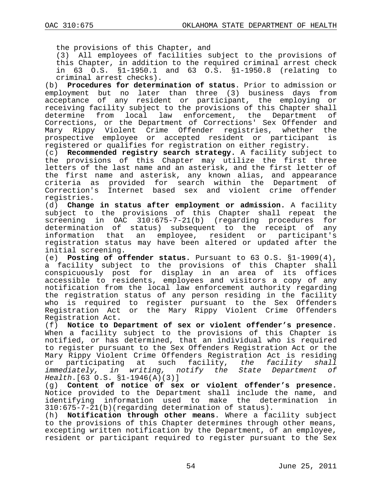the provisions of this Chapter, and

(3) All employees of facilities subject to the provisions of this Chapter, in addition to the required criminal arrest check in 63 O.S.  $\S1-1950.1$  and 63 O.S.  $\S1-1950.8$  (relating

criminal arrest checks).<br>(b) **Procedures for determ**: (b) **Procedures for determination of status**. Prior to admission or employment but no later than three (3) business days from acceptance of any resident or participant, the employing or receiving facility subject to the provisions of this Chapter shall determine from local law enforcement, the Department of Corrections, or the Department of Corrections' Sex Offender and<br>Mary Rippy Violent Crime Offender registries, whether the Mary Rippy Violent Crime Offender registries, whether prospective employee or accepted resident or participant is registered or qualifies for registration on either registry.

(c) **Recommended registry search strategy.** A facility subject to the provisions of this Chapter may utilize the first three letters of the last name and an asterisk, and the first letter of the first name and asterisk, any known alias, and appearance criteria as provided for search within the Department Correction's Internet based sex and violent crime offender registries.

(d) **Change in status after employment or admission.** A facility subject to the provisions of this Chapter shall repeat the screening in OAC 310:675-7-21(b) (regarding procedures for determination of status) subsequent to the receipt of any information that an employee, resident or participant's registration status may have been altered or updated after the initial screening.

(e) **Posting of offender status.** Pursuant to 63 O.S. §1-1909(4), a facility subject to the provisions of this Chapter shall conspicuously post for display in an area of its offices accessible to residents, employees and visitors a copy of any notification from the local law enforcement authority regarding the registration status of any person residing in the facility who is required to register pursuant to the Sex Offenders Registration Act or the Mary Rippy Violent Crime Offenders Registration Act.

(f) **Notice to Department of sex or violent offender's presence**. When a facility subject to the provisions of this Chapter is notified, or has determined, that an individual who is required to register pursuant to the Sex Offenders Registration Act or the Mary Rippy Violent Crime Offenders Registration Act is residing<br>or participating at such facility, the facility shall or participating at such facility, *the facility shall notify the State Department Health*.[63 O.S. §1-1946(A)(3)]

(g) **Content of notice of sex or violent offender's presence.**  Notice provided to the Department shall include the name, and<br>identifying information used to make the determination in identifying information used to make the determination 310:675-7-21(b)(regarding determination of status).

(h) **Notification through other means**. Where a facility subject to the provisions of this Chapter determines through other means, excepting written notification by the Department, of an employee, resident or participant required to register pursuant to the Sex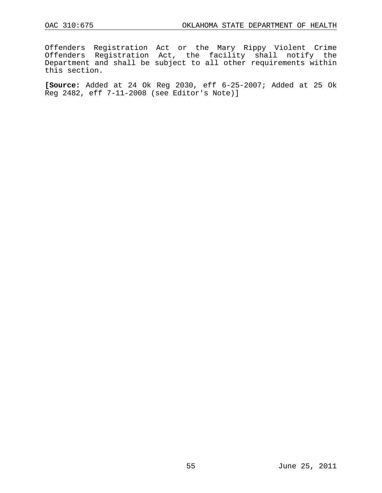Offenders Registration Act or the Mary Rippy Violent Crime Offenders Registration Act, the facility shall notify the Department and shall be subject to all other requirements within this section.

**[Source:** Added at 24 Ok Reg 2030, eff 6-25-2007; Added at 25 Ok Reg 2482, eff 7-11-2008 (see Editor's Note)]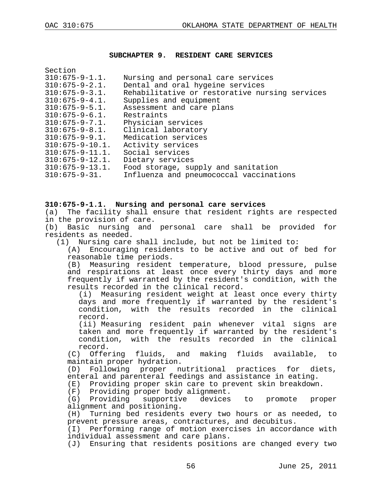#### **SUBCHAPTER 9. RESIDENT CARE SERVICES**

| Section                |                                                |
|------------------------|------------------------------------------------|
| $310:675 - 9 - 1.1.$   | Nursing and personal care services             |
| $310:675 - 9 - 2.1.$   | Dental and oral hygeine services               |
| $310:675 - 9 - 3.1.$   | Rehabilitative or restorative nursing services |
| $310:675 - 9 - 4.1.$   | Supplies and equipment                         |
| $310:675 - 9 - 5.1.$   | Assessment and care plans                      |
| $310:675 - 9 - 6.1.$   | Restraints                                     |
| $310:675 - 9 - 7.1.$   | Physician services                             |
| $310:675 - 9 - 8.1.$   | Clinical laboratory                            |
| $310:675 - 9 - 9.1.$   | Medication services                            |
| $310:675 - 9 - 10.1$ . | Activity services                              |
| $310:675 - 9 - 11.1.$  | Social services                                |
| $310:675 - 9 - 12.1.$  | Dietary services                               |
| $310:675 - 9 - 13.1.$  | Food storage, supply and sanitation            |
| $310:675 - 9 - 31.$    | Influenza and pneumococcal vaccinations        |
|                        |                                                |

#### **310:675-9-1.1. Nursing and personal care services**

(a) The facility shall ensure that resident rights are respected in the provision of care.

(b) Basic nursing and personal care shall be provided for residents as needed.

(1) Nursing care shall include, but not be limited to:

(A) Encouraging residents to be active and out of bed for reasonable time periods.

(B) Measuring resident temperature, blood pressure, pulse and respirations at least once every thirty days and more frequently if warranted by the resident's condition, with the results recorded in the clinical record.

(i) Measuring resident weight at least once every thirty days and more frequently if warranted by the resident's condition, with the results recorded in the clinical record.

(ii) Measuring resident pain whenever vital signs are taken and more frequently if warranted by the resident's condition, with the results recorded in the clinical

record.<br>C) Offer) Offering fluids, and making fluids available, to maintain proper hydration.

(D) Following proper nutritional practices for diets, enteral and parenteral feedings and assistance in eating.

(E) Providing proper skin care to prevent skin breakdown.

(F) Providing proper body alignment.<br>(G) Providing supportive devices

(G) Providing supportive devices to promote proper alignment and positioning.<br>(H) Turning bed residents

Turning bed residents every two hours or as needed, to prevent pressure areas, contractures, and decubitus.

(I) Performing range of motion exercises in accordance with individual assessment and care plans.

(J) Ensuring that residents positions are changed every two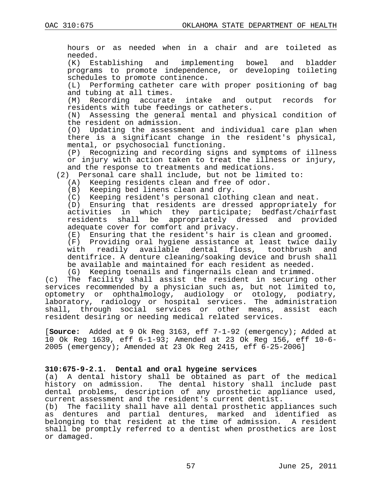hours or as needed when in a chair and are toileted as needed.<br>(K) Es Establishing and implementing bowel and bladder programs to promote independence, or developing toileting schedules to promote continence.<br>(L) Performing catheter care wi Performing catheter care with proper positioning of bag and tubing at all times. (M) Recording accurate intake and output records for residents with tube feedings or catheters. (N) Assessing the general mental and physical condition of the resident on admission. (O) Updating the assessment and individual care plan when there is a significant change in the resident's physical, mental, or psychosocial functioning. (P) Recognizing and recording signs and symptoms of illness or injury with action taken to treat the illness or injury, and the response to treatments and medications. (2) Personal care shall include, but not be limited to: (A) Keeping residents clean and free of odor. (B) Keeping bed linens clean and dry. (C) Keeping resident's personal clothing clean and neat.<br>(D) Ensuring that residents are dressed appropriately Ensuring that residents are dressed appropriately for activities in which they participate; bedfast/chairfast residents shall be appropriately dressed and provided adequate cover for comfort and privacy. (E) Ensuring that the resident's hair is clean and groomed. (F) Providing oral hygiene assistance at least twice daily dental floss, toothbrush dentifrice. A denture cleaning/soaking device and brush shall be available and maintained for each resident as needed. (G) Keeping toenails and fingernails clean and trimmed. (c) The facility shall assist the resident in securing other services recommended by a physician such as, but not limited to, optometry or ophthalmology, audiology or otology, podiatry, laboratory, radiology or hospital services. The administration shall, through social services or other means, assist each resident desiring or needing medical related services. [**Source:** Added at 9 Ok Reg 3163, eff 7-1-92 (emergency); Added at

## **310:675-9-2.1. Dental and oral hygeine services**

(a) A dental history shall be obtained as part of the medical history on admission. The dental history shall include past dental problems, description of any prosthetic appliance used, current assessment and the resident's current dentist.

10 Ok Reg 1639, eff 6-1-93; Amended at 23 Ok Reg 156, eff 10-6- 2005 (emergency); Amended at 23 Ok Reg 2415, eff 6-25-2006]

(b) The facility shall have all dental prosthetic appliances such as dentures and partial dentures, marked and identified as belonging to that resident at the time of admission. A resident shall be promptly referred to a dentist when prosthetics are lost or damaged.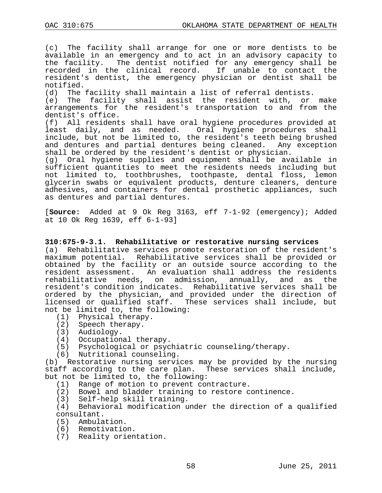(c) The facility shall arrange for one or more dentists to be available in an emergency and to act in an advisory capacity to the facility. The dentist notified for any emergency shall be recorded in the clinical record. If unable to contact the resident's dentist, the emergency physician or dentist shall be notified.<br>(d) The

(d) The facility shall maintain a list of referral dentists.<br>(e) The facility shall assist the resident with, or

The facility shall assist the resident with, or make arrangements for the resident's transportation to and from the dentist's office.

(f) All residents shall have oral hygiene procedures provided at least daily, and as needed. Oral hygiene procedures shall include, but not be limited to, the resident's teeth being brushed and dentures and partial dentures being cleaned. Any exception shall be ordered by the resident's dentist or physician.

(g) Oral hygiene supplies and equipment shall be available in sufficient quantities to meet the residents needs including but not limited to, toothbrushes, toothpaste, dental floss, lemon glycerin swabs or equivalent products, denture cleaners, denture adhesives, and containers for dental prosthetic appliances, such as dentures and partial dentures.

[**Source:** Added at 9 Ok Reg 3163, eff 7-1-92 (emergency); Added at 10 Ok Reg 1639, eff 6-1-93]

## **310:675-9-3.1. Rehabilitative or restorative nursing services**

(a) Rehabilitative services promote restoration of the resident's maximum potential. Rehabilitative services shall be provided or obtained by the facility or an outside source according to the resident assessment. An evaluation shall address the residents<br>rehabilitative needs, on admission, annually, and as the rehabilitative needs, on admission, annually, resident's condition indicates. Rehabilitative services shall be ordered by the physician, and provided under the direction of licensed or qualified staff. These services shall include, but not be limited to, the following:

- (1) Physical therapy.
- (2) Speech therapy.
- (3) Audiology.
- (4) Occupational therapy.
- (5) Psychological or psychiatric counseling/therapy.
- (6) Nutritional counseling.

(b) Restorative nursing services may be provided by the nursing staff according to the care plan. These services shall include, but not be limited to, the following:

(1) Range of motion to prevent contracture.

(2) Bowel and bladder training to restore continence.

(3) Self-help skill training.

(4) Behavioral modification under the direction of a qualified consultant.

- (5) Ambulation.
- (6) Remotivation.
- (7) Reality orientation.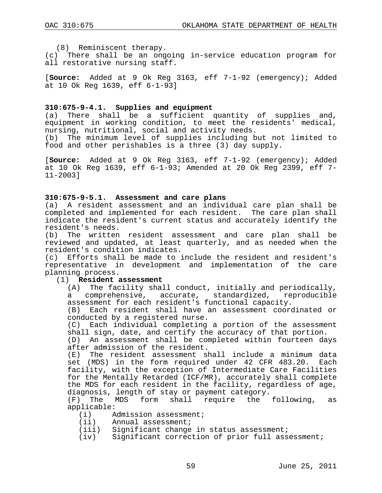(8) Reminiscent therapy.

(c) There shall be an ongoing in-service education program for all restorative nursing staff.

[**Source:** Added at 9 Ok Reg 3163, eff 7-1-92 (emergency); Added at 10 Ok Reg 1639, eff 6-1-93]

## **310:675-9-4.1. Supplies and equipment**

There shall be a sufficient quantity of supplies and, equipment in working condition, to meet the residents' medical, nursing, nutritional, social and activity needs. (b) The minimum level of supplies including but not limited to food and other perishables is a three (3) day supply.

[**Source:** Added at 9 Ok Reg 3163, eff 7-1-92 (emergency); Added at 10 Ok Reg 1639, eff 6-1-93; Amended at 20 Ok Reg 2399, eff 7- 11-2003]

#### **310:675-9-5.1. Assessment and care plans**

(a) A resident assessment and an individual care plan shall be completed and implemented for each resident. The care plan shall indicate the resident's current status and accurately identify the resident's needs.<br>(b) The written

The written resident assessment and care plan shall be reviewed and updated, at least quarterly, and as needed when the resident's condition indicates.

(c) Efforts shall be made to include the resident and resident's representative in development and implementation of the care planning process.

#### (1) **Resident assessment**

(A) The facility shall conduct, initially and periodically, a comprehensive, accurate, standardized, reproducible assessment for each resident's functional capacity.

(B) Each resident shall have an assessment coordinated or conducted by a registered nurse.

(C) Each individual completing a portion of the assessment shall sign, date, and certify the accuracy of that portion.

(D) An assessment shall be completed within fourteen days after admission of the resident.

(E) The resident assessment shall include a minimum data set (MDS) in the form required under 42 CFR 483.20. Each facility, with the exception of Intermediate Care Facilities for the Mentally Retarded (ICF/MR), accurately shall complete the MDS for each resident in the facility, regardless of age, diagnosis, length of stay or payment category.

(F) The MDS form shall require the following, as applicable:<br>(i) A

- (i) Admission assessment;<br>(ii) Annual assessment;
- Annual assessment;
- (iii) Significant change in status assessment;
- Significant correction of prior full assessment;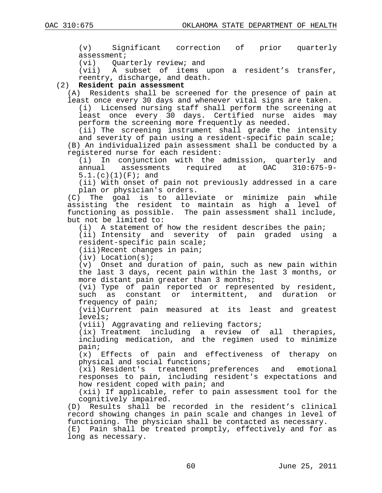(v) Significant correction of prior quarterly assessment;<br>(vi) Oual

Quarterly review; and

(vii) A subset of items upon a resident's transfer, reentry, discharge, and death.

## (2) **Resident pain assessment**

(A) Residents shall be screened for the presence of pain at least once every 30 days and whenever vital signs are taken.

(i) Licensed nursing staff shall perform the screening at least once every 30 days. Certified nurse aides may perform the screening more frequently as needed.

(ii) The screening instrument shall grade the intensity and severity of pain using a resident-specific pain scale; (B) An individualized pain assessment shall be conducted by a registered nurse for each resident:

(i) In conjunction with the admission, quarterly and assessments required  $5.1.$  (c)(1)(F); and

(ii) With onset of pain not previously addressed in a care plan or physician's orders.

(C) The goal is to alleviate or minimize pain while assisting the resident to maintain as high a level of functioning as possible. The pain assessment shall include, but not be limited to:

(i) A statement of how the resident describes the pain;

(ii) Intensity and severity of pain graded using a resident-specific pain scale;

(iii)Recent changes in pain;

(iv) Location(s);

(v) Onset and duration of pain, such as new pain within the last 3 days, recent pain within the last 3 months, or more distant pain greater than 3 months;

(vi) Type of pain reported or represented by resident, such as constant or intermittent, and duration or frequency of pain;

(vii)Current pain measured at its least and greatest levels;

(viii) Aggravating and relieving factors;

(ix) Treatment including a review of all therapies, including medication, and the regimen used to minimize pain;<br> $(x)$ 

Effects of pain and effectiveness of therapy on physical and social functions;

(xi) Resident's treatment preferences and emotional responses to pain, including resident's expectations and how resident coped with pain; and

(xii) If applicable, refer to pain assessment tool for the cognitively impaired.

(D) Results shall be recorded in the resident's clinical record showing changes in pain scale and changes in level of functioning. The physician shall be contacted as necessary. (E) Pain shall be treated promptly, effectively and for as long as necessary.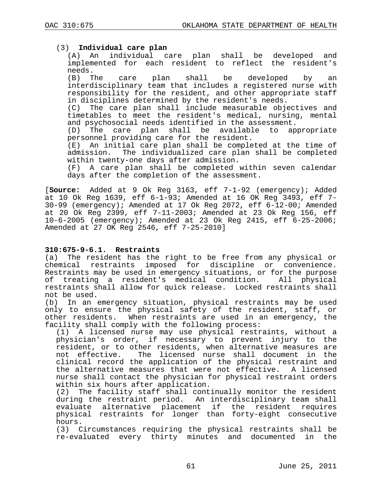## (3) **Individual care plan**

(A) An individual care plan shall be developed and implemented for each resident to reflect the resident's

needs.<br>(B) The care plan shall be developed by an interdisciplinary team that includes a registered nurse with responsibility for the resident, and other appropriate staff in disciplines determined by the resident's needs.<br>(C) The care plan shall include measurable obje

The care plan shall include measurable objectives and timetables to meet the resident's medical, nursing, mental and psychosocial needs identified in the assessment.<br>(D) The care plan shall be available to appropriate

 $(D)$  The care plan shall be available personnel providing care for the resident.<br>(E) An initial care plan shall be comple

An initial care plan shall be completed at the time of admission. The individualized care plan shall be completed within twenty-one days after admission.<br>(F) A care plan shall be completed

A care plan shall be completed within seven calendar days after the completion of the assessment.

[**Source:** Added at 9 Ok Reg 3163, eff 7-1-92 (emergency); Added at 10 Ok Reg 1639, eff 6-1-93; Amended at 16 OK Reg 3493, eff 7- 30-99 (emergency); Amended at 17 Ok Reg 2072, eff 6-12-00; Amended at 20 Ok Reg 2399, eff 7-11-2003; Amended at 23 Ok Reg 156, eff 10-6-2005 (emergency); Amended at 23 Ok Reg 2415, eff 6-25-2006; Amended at 27 OK Reg 2546, eff 7-25-2010]

## **310:675-9-6.1. Restraints**

(a) The resident has the right to be free from any physical or chemical restraints imposed for discipline or convenience. Restraints may be used in emergency situations, or for the purpose of treating a resident's medical condition. All physical restraints shall allow for quick release. Locked restraints shall not be used.

(b) In an emergency situation, physical restraints may be used only to ensure the physical safety of the resident, staff, or other residents. When restraints are used in an emergency, the facility shall comply with the following process:

(1) A licensed nurse may use physical restraints, without a physician's order, if necessary to prevent injury to the resident, or to other residents, when alternative measures are<br>not effective. The licensed nurse shall document in the The licensed nurse shall document in the clinical record the application of the physical restraint and the alternative measures that were not effective. A licensed nurse shall contact the physician for physical restraint orders within six hours after application.<br>(2) The facility staff shall cont

The facility staff shall continually monitor the resident during the restraint period. An interdisciplinary team shall evaluate alternative placement if the resident requires physical restraints for longer than forty-eight consecutive hours.

(3) Circumstances requiring the physical restraints shall be re-evaluated every thirty minutes and documented in the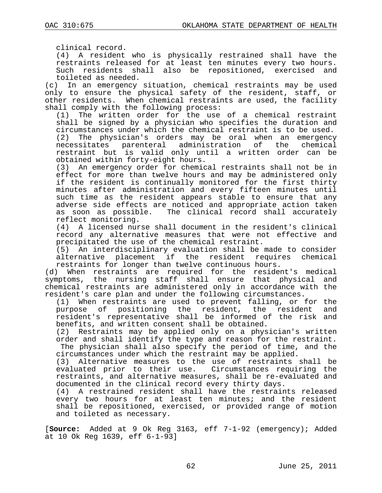clinical record.

(4) A resident who is physically restrained shall have the restraints released for at least ten minutes every two hours.<br>Such residents shall also be repositioned, exercised and Such residents shall also be repositioned, exercised

toileted as needed.<br>(c) In an emergency In an emergency situation, chemical restraints may be used only to ensure the physical safety of the resident, staff, or other residents. When chemical restraints are used, the facility shall comply with the following process:

(1) The written order for the use of a chemical restraint shall be signed by a physician who specifies the duration and circumstances under which the chemical restraint is to be used.

(2) The physician's orders may be oral when an emergency necessitates parenteral administration of the chemical parenteral administration of the chemical restraint but is valid only until a written order can be obtained within forty-eight hours.<br>(3) An emergency order for chemic

An emergency order for chemical restraints shall not be in effect for more than twelve hours and may be administered only if the resident is continually monitored for the first thirty minutes after administration and every fifteen minutes until such time as the resident appears stable to ensure that any adverse side effects are noticed and appropriate action taken<br>as soon as possible. The clinical record shall accurately The clinical record shall accurately reflect monitoring.

(4) A licensed nurse shall document in the resident's clinical record any alternative measures that were not effective and precipitated the use of the chemical restraint.

(5) An interdisciplinary evaluation shall be made to consider alternative placement if the resident restraints for longer than twelve continuous hours.

(d) When restraints are required for the resident's medical symptoms, the nursing staff shall ensure that physical and chemical restraints are administered only in accordance with the resident's care plan and under the following circumstances.

(1) When restraints are used to prevent falling, or for the<br>purpose of positioning the resident, the resident and of positioning the resident, the resident resident's representative shall be informed of the risk and benefits, and written consent shall be obtained.

(2) Restraints may be applied only on a physician's written order and shall identify the type and reason for the restraint. The physician shall also specify the period of time, and the circumstances under which the restraint may be applied.

(3) Alternative measures to the use of restraints shall be evaluated prior to their use. Circumstances requiring the restraints, and alternative measures, shall be re-evaluated and documented in the clinical record every thirty days.<br>(4) A restrained resident shall have the restrain

A restrained resident shall have the restraints released every two hours for at least ten minutes; and the resident shall be repositioned, exercised, or provided range of motion and toileted as necessary.

[**Source:** Added at 9 Ok Reg 3163, eff 7-1-92 (emergency); Added at 10 Ok Reg 1639, eff 6-1-93]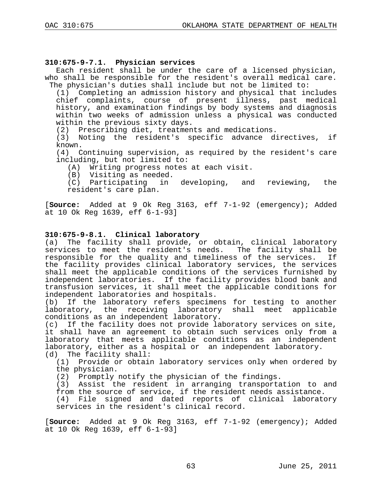## **310:675-9-7.1. Physician services**

Each resident shall be under the care of a licensed physician, who shall be responsible for the resident's overall medical care. The physician's duties shall include but not be limited to:

(1) Completing an admission history and physical that includes chief complaints, course of present illness, past medical history, and examination findings by body systems and diagnosis within two weeks of admission unless a physical was conducted within the previous sixty days.<br>(2) Prescribing diet, treatmen

Prescribing diet, treatments and medications.

(3) Noting the resident's specific advance directives, if known.

(4) Continuing supervision, as required by the resident's care including, but not limited to:

(A) Writing progress notes at each visit.

(B) Visiting as needed.

(C) Participating in developing, and reviewing, the resident's care plan.

[**Source:** Added at 9 Ok Reg 3163, eff 7-1-92 (emergency); Added at 10 Ok Reg 1639, eff 6-1-93]

## **310:675-9-8.1. Clinical laboratory**

(a) The facility shall provide, or obtain, clinical laboratory services to meet the resident's needs. The facility shall be responsible for the quality and timeliness of the services. If the facility provides clinical laboratory services, the services shall meet the applicable conditions of the services furnished by independent laboratories. If the facility provides blood bank and transfusion services, it shall meet the applicable conditions for independent laboratories and hospitals.<br>(b) If the laboratory refers specime

If the laboratory refers specimens for testing to another laboratory, the receiving laboratory shall meet applicable conditions as an independent laboratory.

(c) If the facility does not provide laboratory services on site, it shall have an agreement to obtain such services only from a laboratory that meets applicable conditions as an independent laboratory, either as a hospital or an independent laboratory.

(d) The facility shall:<br>(1) Provide or obtair Provide or obtain laboratory services only when ordered by the physician.

(2) Promptly notify the physician of the findings.

(3) Assist the resident in arranging transportation to and from the source of service, if the resident needs assistance.

(4) File signed and dated reports of clinical laboratory services in the resident's clinical record.

[**Source:** Added at 9 Ok Reg 3163, eff 7-1-92 (emergency); Added at 10 Ok Reg 1639, eff 6-1-93]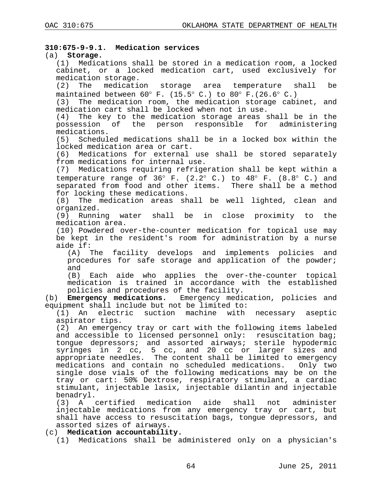## **310:675-9-9.1. Medication services**

## (a) **Storage.**

(1) Medications shall be stored in a medication room, a locked cabinet, or a locked medication cart, used exclusively for medication storage.<br>(2) The medication

storage area temperature shall be maintained between  $60^{\circ}$  F. (15.5° C.) to  $80^{\circ}$  F. (26.6° C.)

(3) The medication room, the medication storage cabinet, and medication cart shall be locked when not in use.

(4) The key to the medication storage areas shall be in the possession of the person responsible for administering medications.

(5) Scheduled medications shall be in a locked box within the locked medication area or cart.

(6) Medications for external use shall be stored separately from medications for internal use.

(7) Medications requiring refrigeration shall be kept within a temperature range of  $36^{\circ}$  F.  $(2.2^{\circ}$  C.) to  $48^{\circ}$  F.  $(8.8^{\circ}$  C.) and separated from food and other items. There shall be a method for locking these medications.

(8) The medication areas shall be well lighted, clean and organized.<br>(9) Running water shall

be in close proximity to the medication area.

(10) Powdered over-the-counter medication for topical use may be kept in the resident's room for administration by a nurse aide if:<br>(A)  $\bar{ }$ 

The facility develops and implements policies and procedures for safe storage and application of the powder; and<br>(B)

Each aide who applies the over-the-counter topical medication is trained in accordance with the established policies and procedures of the facility.

(b) **Emergency medications.** Emergency medication, policies and equipment shall include but not be limited to:

(1) An electric suction machine with necessary aseptic aspirator tips.

(2) An emergency tray or cart with the following items labeled and accessible to licensed personnel only: resuscitation bag; tongue depressors; and assorted airways; sterile hypodermic syringes in 2 cc, 5 cc, and 20 cc or larger sizes and appropriate needles. The content shall be limited to emergency medications and contain no scheduled medications. Only two single dose vials of the following medications may be on the tray or cart: 50% Dextrose, respiratory stimulant, a cardiac stimulant, injectable lasix, injectable dilantin and injectable benadryl.

(3) A certified medication aide shall not administer injectable medications from any emergency tray or cart, but shall have access to resuscitation bags, tongue depressors, and assorted sizes of airways.

(c) **Medication accountability.**

(1) Medications shall be administered only on a physician's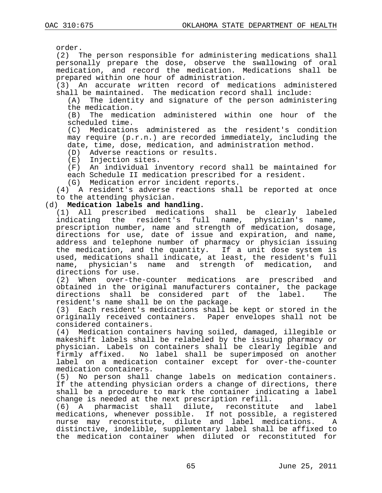order.

(2) The person responsible for administering medications shall personally prepare the dose, observe the swallowing of oral medication, and record the medication. Medications shall be prepared within one hour of administration.

(3) An accurate written record of medications administered shall be maintained. The medication record shall include:

(A) The identity and signature of the person administering the medication.<br>(B) The medic

The medication administered within one hour of the scheduled time.

(C) Medications administered as the resident's condition may require (p.r.n.) are recorded immediately, including the date, time, dose, medication, and administration method.

(D) Adverse reactions or results.<br>(E) Injection sites.

(E) Injection sites.

An individual inventory record shall be maintained for each Schedule II medication prescribed for a resident.

(G) Medication error incident reports.

(4) A resident's adverse reactions shall be reported at once to the attending physician.

## (d) **Medication labels and handling.**

(1) All prescribed medications shall be clearly labeled indicating the resident's full name, physician's name, prescription number, name and strength of medication, dosage, directions for use, date of issue and expiration, and name, address and telephone number of pharmacy or physician issuing the medication, and the quantity. If a unit dose system is used, medications shall indicate, at least, the resident's full<br>name, physician's name and strength of medication, and name, physician's name and strength of directions for use.<br>(2) When over-the

When over-the-counter medications are prescribed and obtained in the original manufacturers container, the package<br>directions shall be considered part of the label. The directions shall be considered part of the label. resident's name shall be on the package.<br>(3) Each resident's medications shall b

Each resident's medications shall be kept or stored in the originally received containers. Paper envelopes shall not be considered containers.<br>(4) Medication contai

Medication containers having soiled, damaged, illegible or makeshift labels shall be relabeled by the issuing pharmacy or physician. Labels on containers shall be clearly legible and firmly affixed. No label shall be superimposed on another label on a medication container except for over-the-counter medication containers.

(5) No person shall change labels on medication containers. If the attending physician orders a change of directions, there shall be a procedure to mark the container indicating a label

change is needed at the next prescription refill.<br>(6) A pharmacist shall dilute, reconstitut (6) A pharmacist shall dilute, reconstitute and label medications, whenever possible. If not possible, a registered<br>nurse may reconstitute, dilute and label medications. A nurse may reconstitute, dilute and label medications. A distinctive, indelible, supplementary label shall be affixed to the medication container when diluted or reconstituted for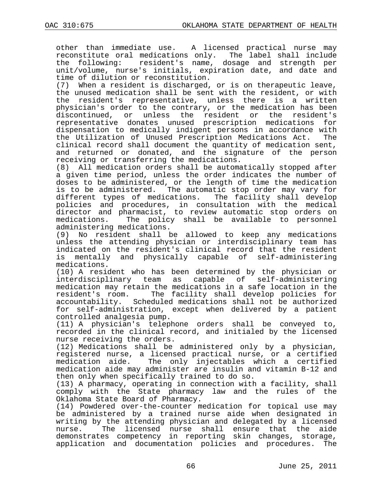other than immediate use. A licensed practical nurse may reconstitute oral medications only. The label shall include<br>the following: resident's name, dosage and strength per resident's name, dosage and strength per unit/volume, nurse's initials, expiration date, and date and time of dilution or reconstitution.<br>(7) When a resident is discharged,

When a resident is discharged, or is on therapeutic leave, the unused medication shall be sent with the resident, or with the resident's representative, unless there is a written physician's order to the contrary, or the medication has been<br>discontinued, or unless the resident or the resident's or unless the resident or the representative donates unused prescription medications for dispensation to medically indigent persons in accordance with the Utilization of Unused Prescription Medications Act. The clinical record shall document the quantity of medication sent, and returned or donated, and the signature of the person receiving or transferring the medications.

(8) All medication orders shall be automatically stopped after a given time period, unless the order indicates the number of doses to be administered, or the length of time the medication is to be administered. The automatic stop order may vary for<br>different types of medications. The facility shall develop different types of medications. policies and procedures, in consultation with the medical director and pharmacist, to review automatic stop orders on<br>medications. The policy shall be available to personnel The policy shall be available to personnel administering medications.

(9) No resident shall be allowed to keep any medications unless the attending physician or interdisciplinary team has indicated on the resident's clinical record that the resident is mentally and physically capable of self-administering medications.

(10) A resident who has been determined by the physician or interdisciplinary team as capable of self-administering medication may retain the medications in a safe location in the<br>resident's room. The facility shall develop policies for The facility shall develop policies for accountability. Scheduled medications shall not be authorized for self-administration, except when delivered by a patient controlled analgesia pump.

(11) A physician's telephone orders shall be conveyed to, recorded in the clinical record, and initialed by the licensed nurse receiving the orders.

(12) Medications shall be administered only by a physician, registered nurse, a licensed practical nurse, or a certified<br>medication aide. The only injectables which a certified The only injectables which a certified medication aide may administer are insulin and vitamin B-12 and then only when specifically trained to do so.

(13) A pharmacy, operating in connection with a facility, shall comply with the State pharmacy law and the rules of the Oklahoma State Board of Pharmacy.

(14) Powdered over-the-counter medication for topical use may be administered by a trained nurse aide when designated in writing by the attending physician and delegated by a licensed<br>nurse. The licensed nurse shall ensure that the aide The licensed nurse shall ensure that the aide demonstrates competency in reporting skin changes, storage, application and documentation policies and procedures. The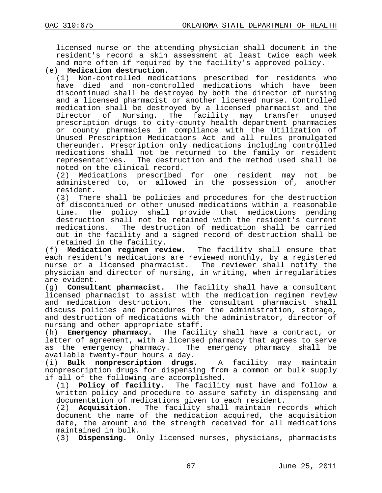licensed nurse or the attending physician shall document in the resident's record a skin assessment at least twice each week and more often if required by the facility's approved policy.

## (e) **Medication destruction**.

Non-controlled medications prescribed for residents who have died and non-controlled medications which have been discontinued shall be destroyed by both the director of nursing and a licensed pharmacist or another licensed nurse. Controlled medication shall be destroyed by a licensed pharmacist and the<br>Director of Nursing. The facility may transfer unused The facility may transfer prescription drugs to city-county health department pharmacies or county pharmacies in compliance with the Utilization of Unused Prescription Medications Act and all rules promulgated thereunder. Prescription only medications including controlled medications shall not be returned to the family or resident representatives. The destruction and the method used shall be noted on the clinical record.

(2) Medications prescribed for one resident may not be administered to, or allowed in the possession of, another resident.

(3) There shall be policies and procedures for the destruction of discontinued or other unused medications within a reasonable<br>time. The policy shall provide that medications pending The policy shall provide that medications pending destruction shall not be retained with the resident's current medications. The destruction of medication shall be carried out in the facility and a signed record of destruction shall be

retained in the facility.<br>(f) **Medication regimen review.** The facility shall ensure that each resident's medications are reviewed monthly, by a registered nurse or a licensed pharmacist. The reviewer shall notify the physician and director of nursing, in writing, when irregularities

are evident.<br>(g) **Consult** (g) **Consultant pharmacist.** The facility shall have a consultant licensed pharmacist to assist with the medication regimen review and medication destruction. The consultant pharmacist shall discuss policies and procedures for the administration, storage, and destruction of medications with the administrator, director of nursing and other appropriate staff.<br>(h) **Emergency pharmacy.** The facil

**Emergency pharmacy.** The facility shall have a contract, or letter of agreement, with a licensed pharmacy that agrees to serve as the emergency pharmacy. The emergency pharmacy shall be

available twenty-four hours a day.<br>(i) **Bulk nonprescription drugs.** (i) **Bulk nonprescription drugs.** A facility may maintain nonprescription drugs for dispensing from a common or bulk supply

if all of the following are accomplished.<br>(1) **Policy of facility.** The facility Policy of facility. The facility must have and follow a written policy and procedure to assure safety in dispensing and

documentation of medications given to each resident.<br>(2) **Acquisition.** The facility shall maintain re Acquisition. The facility shall maintain records which document the name of the medication acquired, the acquisition date, the amount and the strength received for all medications maintained in bulk.

(3) **Dispensing.** Only licensed nurses, physicians, pharmacists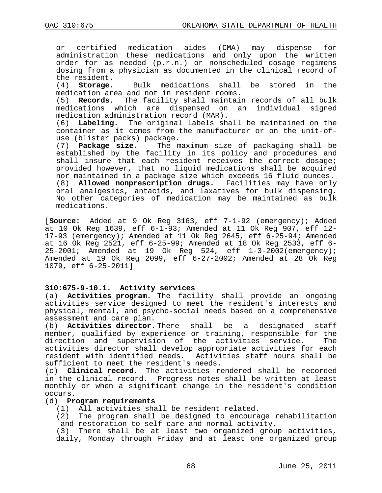or certified medication aides (CMA) may dispense for administration these medications and only upon the written order for as needed (p.r.n.) or nonscheduled dosage regimens dosing from a physician as documented in the clinical record of the resident.<br>(4) **Storage.** 

Bulk medications shall be stored in the medication area and not in resident rooms.

(5) **Records.** The facility shall maintain records of all bulk medications which are dispensed on an individual signed medication administration record (MAR).

(6) **Labeling.** The original labels shall be maintained on the container as it comes from the manufacturer or on the unit-ofuse (blister packs) package.

(7) **Package size.** The maximum size of packaging shall be established by the facility in its policy and procedures and shall insure that each resident receives the correct dosage; provided however, that no liquid medications shall be acquired nor maintained in a package size which exceeds 16 fluid ounces. (8) **Allowed nonprescription drugs.** Facilities may have only oral analgesics, antacids, and laxatives for bulk dispensing. No other categories of medication may be maintained as bulk medications.

[**Source:** Added at 9 Ok Reg 3163, eff 7-1-92 (emergency); Added at 10 Ok Reg 1639, eff 6-1-93; Amended at 11 Ok Reg 907, eff 12- 17-93 (emergency); Amended at 11 Ok Reg 2645, eff 6-25-94; Amended at 16 Ok Reg 2521, eff 6-25-99; Amended at 18 Ok Reg 2533, eff 6- 25-2001; Amended at 19 Ok Reg 524, eff 1-3-2002(emergency); Amended at 19 Ok Reg 2099, eff 6-27-2002; Amended at 28 Ok Reg 1079, eff 6-25-2011]

#### **310:675-9-10.1. Activity services**

(a) **Activities program.** The facility shall provide an ongoing activities service designed to meet the resident's interests and physical, mental, and psycho-social needs based on a comprehensive

assessment and care plan.<br>(b) **Activities director.** Activities director. There shall be a designated staff member, qualified by experience or training, responsible for the direction and supervision of the activities service. activities director shall develop appropriate activities for each resident with identified needs. Activities staff hours shall be sufficient to meet the resident's needs.

(c) **Clinical record.** The activities rendered shall be recorded in the clinical record. Progress notes shall be written at least monthly or when a significant change in the resident's condition occurs.

#### (d) **Program requirements**

(1) All activities shall be resident related.

(2) The program shall be designed to encourage rehabilitation and restoration to self care and normal activity.

(3) There shall be at least two organized group activities, daily, Monday through Friday and at least one organized group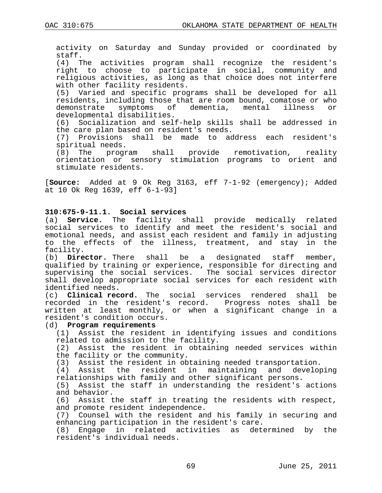activity on Saturday and Sunday provided or coordinated by staff.

(4) The activities program shall recognize the resident's right to choose to participate in social, community and religious activities, as long as that choice does not interfere with other facility residents.

(5) Varied and specific programs shall be developed for all residents, including those that are room bound, comatose or who demonstrate symptoms of dementia, mental developmental disabilities.

(6) Socialization and self-help skills shall be addressed in the care plan based on resident's needs.

(7) Provisions shall be made to address each resident's spiritual needs.<br>(8) The program

shall provide remotivation, reality orientation or sensory stimulation programs to orient and stimulate residents.

[**Source:** Added at 9 Ok Reg 3163, eff 7-1-92 (emergency); Added at 10 Ok Reg 1639, eff 6-1-93]

#### **310:675-9-11.1. Social services**

(a) **Service.** The facility shall provide medically related social services to identify and meet the resident's social and emotional needs, and assist each resident and family in adjusting to the effects of the illness, treatment, and stay in the facility.<br>(b) **Director.** There shall

be a designated staff member, qualified by training or experience, responsible for directing and supervising the social services. The social services director shall develop appropriate social services for each resident with identified needs.

(c) **Clinical record.** The social services rendered shall be recorded in the resident's record. Progress notes shall be written at least monthly, or when a significant change in a resident's condition occurs.

#### (d) **Program requirements**

(1) Assist the resident in identifying issues and conditions related to admission to the facility.

(2) Assist the resident in obtaining needed services within the facility or the community.

(3) Assist the resident in obtaining needed transportation.

(4) Assist the resident in maintaining and developing relationships with family and other significant persons.

(5) Assist the staff in understanding the resident's actions and behavior.

(6) Assist the staff in treating the residents with respect, and promote resident independence.

(7) Counsel with the resident and his family in securing and enhancing participation in the resident's care.

(8) Engage in related activities as determined by the resident's individual needs.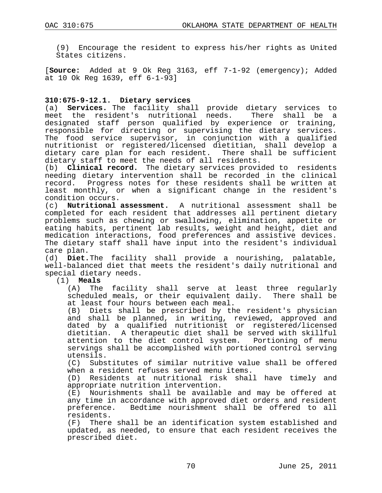(9) Encourage the resident to express his/her rights as United States citizens.

[**Source:** Added at 9 Ok Reg 3163, eff 7-1-92 (emergency); Added at 10 Ok Reg 1639, eff 6-1-93]

## **310:675-9-12.1. Dietary services**

(a) **Services.** The facility shall provide dietary services to meet the resident's nutritional needs. There shall be a meet the resident's nutritional needs. designated staff person qualified by experience or training, responsible for directing or supervising the dietary services. The food service supervisor, in conjunction with a qualified nutritionist or registered/licensed dietitian, shall develop a dietary care plan for each resident. There shall be sufficient dietary staff to meet the needs of all residents.<br>(b) **Clinical record.** The dietary services provi

Clinical record. The dietary services provided to residents needing dietary intervention shall be recorded in the clinical Progress notes for these residents shall be written at least monthly, or when a significant change in the resident's condition occurs.

(c) **Nutritional assessment.** A nutritional assessment shall be completed for each resident that addresses all pertinent dietary problems such as chewing or swallowing, elimination, appetite or eating habits, pertinent lab results, weight and height, diet and medication interactions, food preferences and assistive devices. The dietary staff shall have input into the resident's individual care plan.

(d) **Diet.**The facility shall provide a nourishing, palatable, well-balanced diet that meets the resident's daily nutritional and special dietary needs.

# $(1)$  **Meals**<br> $(A)$  The

The facility shall serve at least three regularly scheduled meals, or their equivalent daily. There shall be at least four hours between each meal.

(B) Diets shall be prescribed by the resident's physician and shall be planned, in writing, reviewed, approved and dated by a qualified nutritionist or registered/licensed dietitian. A therapeutic diet shall be served with skillful attention to the diet control system. Portioning of menu servings shall be accomplished with portioned control serving utensils.

(C) Substitutes of similar nutritive value shall be offered when a resident refuses served menu items.

(D) Residents at nutritional risk shall have timely and appropriate nutrition intervention.

(E) Nourishments shall be available and may be offered at any time in accordance with approved diet orders and resident preference. Bedtime nourishment shall be offered to all residents.

(F) There shall be an identification system established and updated, as needed, to ensure that each resident receives the prescribed diet.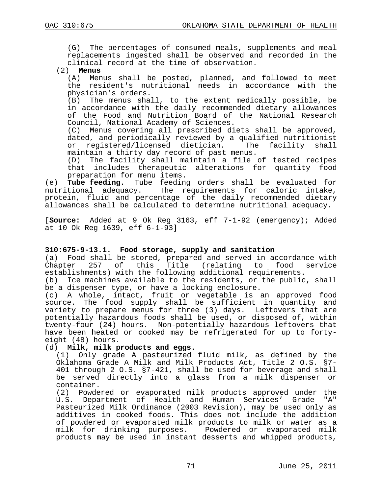(G) The percentages of consumed meals, supplements and meal replacements ingested shall be observed and recorded in the clinical record at the time of observation.

#### (2) **Menus**

(A) Menus shall be posted, planned, and followed to meet the resident's nutritional needs in accordance with the physician's orders.

(B) The menus shall, to the extent medically possible, be in accordance with the daily recommended dietary allowances of the Food and Nutrition Board of the National Research Council, National Academy of Sciences.

(C) Menus covering all prescribed diets shall be approved, dated, and periodically reviewed by a qualified nutritionist<br>or reqistered/licensed dietician. The facility shall or registered/licensed dietician. maintain a thirty day record of past menus.

(D) The facility shall maintain a file of tested recipes that includes therapeutic alterations for quantity food preparation for menu items.

(e) **Tube feeding.** Tube feeding orders shall be evaluated for The requirements for caloric intake, protein, fluid and percentage of the daily recommended dietary allowances shall be calculated to determine nutritional adequacy.

[**Source:** Added at 9 Ok Reg 3163, eff 7-1-92 (emergency); Added at 10 Ok Reg 1639, eff 6-1-93]

## **310:675-9-13.1. Food storage, supply and sanitation**

(a) Food shall be stored, prepared and served in accordance with<br>Chapter 257 of this Title (relating to food service Chapter 257 of this Title (relating to food service establishments) with the following additional requirements.

(b) Ice machines available to the residents, or the public, shall be a dispenser type, or have a locking enclosure.

(c) A whole, intact, fruit or vegetable is an approved food source. The food supply shall be sufficient in quantity and variety to prepare menus for three (3) days. Leftovers that are potentially hazardous foods shall be used, or disposed of, within twenty-four (24) hours. Non-potentially hazardous leftovers that have been heated or cooked may be refrigerated for up to forty-<br>eight (48) hours.

#### (d) **Milk, milk products and eggs.**

(1) Only grade A pasteurized fluid milk, as defined by the 401 through 2 O.S. §7-421, shall be used for beverage and shall be served directly into a glass from a milk dispenser or container.

(2) Powdered or evaporated milk products approved under the U.S. Department of Health and Human Services' Grade "A" Pasteurized Milk Ordinance (2003 Revision), may be used only as additives in cooked foods. This does not include the addition of powdered or evaporated milk products to milk or water as a milk for drinking purposes. Powdered or evaporated milk products may be used in instant desserts and whipped products,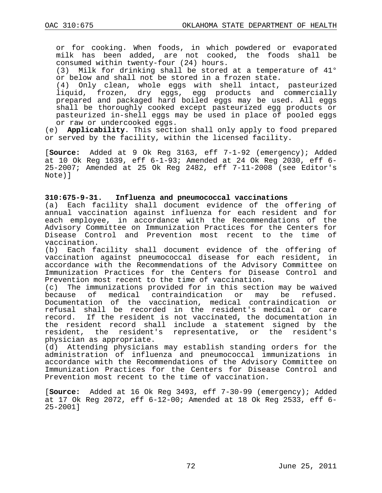or for cooking. When foods, in which powdered or evaporated milk has been added, are not cooked, the foods shall be consumed within twenty-four (24) hours.

(3) Milk for drinking shall be stored at a temperature of 41° or below and shall not be stored in a frozen state.

(4) Only clean, whole eggs with shell intact, pasteurized liquid, frozen, dry eggs, egg products and commercially prepared and packaged hard boiled eggs may be used. All eggs shall be thoroughly cooked except pasteurized egg products or pasteurized in-shell eggs may be used in place of pooled eggs or raw or undercooked eggs.

(e) **Applicability**. This section shall only apply to food prepared or served by the facility, within the licensed facility.

[**Source:** Added at 9 Ok Reg 3163, eff 7-1-92 (emergency); Added at 10 Ok Reg 1639, eff 6-1-93; Amended at 24 Ok Reg 2030, eff 6- 25-2007; Amended at 25 Ok Reg 2482, eff 7-11-2008 (see Editor's Note)]

#### **310:675-9-31. Influenza and pneumococcal vaccinations**

(a) Each facility shall document evidence of the offering of annual vaccination against influenza for each resident and for each employee, in accordance with the Recommendations of the Advisory Committee on Immunization Practices for the Centers for Disease Control and Prevention most recent to the time of vaccination.<br>(b) Each fa

Each facility shall document evidence of the offering of vaccination against pneumococcal disease for each resident, in accordance with the Recommendations of the Advisory Committee on Immunization Practices for the Centers for Disease Control and Prevention most recent to the time of vaccination.<br>(c) The immunizations provided for in this section

(c) The immunizations provided for in this section may be waived<br>because of medical contraindication or may be refused. medical contraindication or may be refused. Documentation of the vaccination, medical contraindication or refusal shall be recorded in the resident's medical or care record. If the resident is not vaccinated, the documentation in the resident record shall include a statement signed by the resident, the resident's representative, or the resident's physician as appropriate.

(d) Attending physicians may establish standing orders for the administration of influenza and pneumococcal immunizations in accordance with the Recommendations of the Advisory Committee on Immunization Practices for the Centers for Disease Control and Prevention most recent to the time of vaccination.

[**Source:** Added at 16 Ok Reg 3493, eff 7-30-99 (emergency); Added at 17 Ok Reg 2072, eff 6-12-00; Amended at 18 Ok Reg 2533, eff 6- 25-2001]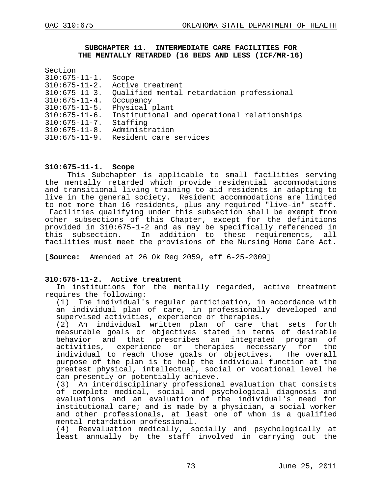#### **SUBCHAPTER 11. INTERMEDIATE CARE FACILITIES FOR THE MENTALLY RETARDED (16 BEDS AND LESS (ICF/MR-16)**

| Section              |                                             |
|----------------------|---------------------------------------------|
| $310:675 - 11 - 1.$  | Scope                                       |
| $310:675 - 11 - 2.$  | Active treatment                            |
| $310:675 - 11 - 3.$  | Qualified mental retardation professional   |
| $310:675 - 11 - 4.$  | Occupancy                                   |
| $310:675 - 11 - 5$ . | Physical plant                              |
| $310:675 - 11 - 6$ . | Institutional and operational relationships |
| $310:675 - 11 - 7$ . | Staffing                                    |
| $310:675 - 11 - 8.$  | Administration                              |
| $310:675 - 11 - 9.$  | Resident care services                      |
|                      |                                             |

### **310:675-11-1. Scope**

This Subchapter is applicable to small facilities serving the mentally retarded which provide residential accommodations and transitional living training to aid residents in adapting to live in the general society. Resident accommodations are limited to not more than 16 residents, plus any required "live-in" staff. Facilities qualifying under this subsection shall be exempt from other subsections of this Chapter, except for the definitions provided in 310:675-1-2 and as may be specifically referenced in In addition to these requirements, all facilities must meet the provisions of the Nursing Home Care Act.

[**Source:** Amended at 26 Ok Reg 2059, eff 6-25-2009]

### **310:675-11-2. Active treatment**

In institutions for the mentally regarded, active treatment requires the following:

 $(1)$  The individual's regular participation, in accordance with an individual plan of care, in professionally developed and supervised activities, experience or therapies.

(2) An individual written plan of care that sets forth measurable goals or objectives stated in terms of desirable behavior and that prescribes an integrated program of activities, experience or therapies necessary for the individual to reach those goals or objectives. The overall purpose of the plan is to help the individual function at the greatest physical, intellectual, social or vocational level he can presently or potentially achieve.

(3) An interdisciplinary professional evaluation that consists of complete medical, social and psychological diagnosis and evaluations and an evaluation of the individual's need for institutional care; and is made by a physician, a social worker and other professionals, at least one of whom is a qualified mental retardation professional.

(4) Reevaluation medically, socially and psychologically at least annually by the staff involved in carrying out the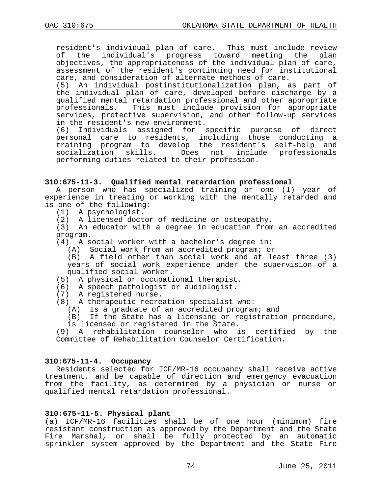resident's individual plan of care. This must include review of the individual's progress toward meeting the plan objectives, the appropriateness of the individual plan of care, assessment of the resident's continuing need for institutional care, and consideration of alternate methods of care.

(5) An individual postinstitutionalization plan, as part of the individual plan of care, developed before discharge by a qualified mental retardation professional and other appropriate professionals. This must include provision for appropriate services, protective supervision, and other follow-up services in the resident's new environment.

(6) Individuals assigned for specific purpose of direct personal care to residents, including those conducting a training program to develop the resident's self-help and socialization skills. Does not include professionals performing duties related to their profession.

### **310:675-11-3. Qualified mental retardation professional**

A person who has specialized training or one (1) year of experience in treating or working with the mentally retarded and is one of the following:

- (1) A psychologist.
- (2) A licensed doctor of medicine or osteopathy.

(3) An educator with a degree in education from an accredited program.

- (4) A social worker with a bachelor's degree in:
	- (A) Social work from an accredited program; or

(B) A field other than social work and at least three (3) years of social work experience under the supervision of a qualified social worker.

- (5) A physical or occupational therapist.
- (6) A speech pathologist or audiologist.
- (7) A registered nurse.
- (8) A therapeutic recreation specialist who:
	- (A) Is a graduate of an accredited program; and

(B) If the State has a licensing or registration procedure, is licensed or registered in the State.

(9) A rehabilitation counselor who is certified by the Committee of Rehabilitation Counselor Certification.

#### **310:675-11-4. Occupancy**

Residents selected for ICF/MR-16 occupancy shall receive active treatment, and be capable of direction and emergency evacuation from the facility, as determined by a physician or nurse or qualified mental retardation professional.

#### **310:675-11-5. Physical plant**

(a) ICF/MR-16 facilities shall be of one hour (minimum) fire resistant construction as approved by the Department and the State Fire Marshal, or shall be fully protected by an automatic sprinkler system approved by the Department and the State Fire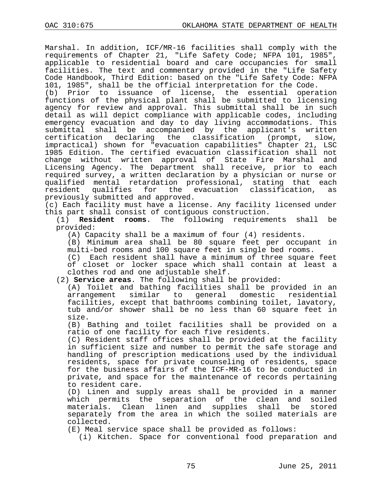Marshal. In addition, ICF/MR-16 facilities shall comply with the requirements of Chapter 21, "Life Safety Code; NFPA 101, 1985", applicable to residential board and care occupancies for small facilities. The text and commentary provided in the "Life Safety Code Handbook, Third Edition: based on the "Life Safety Code: NFPA 101, 1985", shall be the official interpretation for the Code.

(b) Prior to issuance of license, the essential operation functions of the physical plant shall be submitted to licensing agency for review and approval. This submittal shall be in such detail as will depict compliance with applicable codes, including emergency evacuation and day to day living accommodations. This submittal shall be accompanied by the applicant's written certification declaring the classification (prompt, slow, impractical) shown for "evacuation capabilities" Chapter 21, LSC 1985 Edition. The certified evacuation classification shall not change without written approval of State Fire Marshal and Licensing Agency. The Department shall receive, prior to each required survey, a written declaration by a physician or nurse or qualified mental retardation professional, stating that each<br>resident qualifies for the evacuation classification, as for the evacuation classification, previously submitted and approved.

(c) Each facility must have a license. Any facility licensed under this part shall consist of contiguous construction.

(1) **Resident rooms**. The following requirements shall be provided:

(A) Capacity shall be a maximum of four (4) residents.

(B) Minimum area shall be 80 square feet per occupant in multi-bed rooms and 100 square feet in single bed rooms.

(C) Each resident shall have a minimum of three square feet of closet or locker space which shall contain at least a clothes rod and one adjustable shelf.

(2) **Service areas**. The following shall be provided:

(A) Toilet and bathing facilities shall be provided in an arrangement similar to general domestic residential facilities, except that bathrooms combining toilet, lavatory, tub and/or shower shall be no less than 60 square feet in size.

(B) Bathing and toilet facilities shall be provided on a ratio of one facility for each five residents.

(C) Resident staff offices shall be provided at the facility in sufficient size and number to permit the safe storage and handling of prescription medications used by the individual residents, space for private counseling of residents, space for the business affairs of the ICF-MR-16 to be conducted in private, and space for the maintenance of records pertaining to resident care.

(D) Linen and supply areas shall be provided in a manner which permits the separation of the clean and soiled<br>materials. Clean linen and supplies shall be stored materials. Clean linen and supplies shall be separately from the area in which the soiled materials are collected.

(E) Meal service space shall be provided as follows:

(i) Kitchen. Space for conventional food preparation and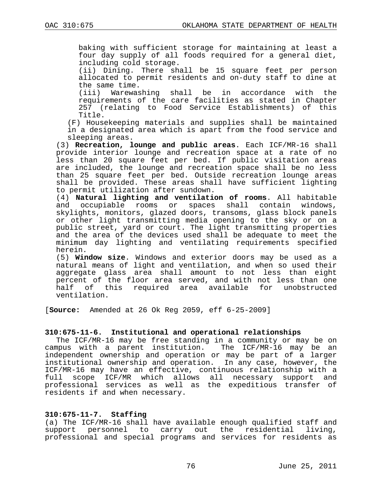baking with sufficient storage for maintaining at least a four day supply of all foods required for a general diet, including cold storage.

(ii) Dining. There shall be 15 square feet per person allocated to permit residents and on-duty staff to dine at

the same time.<br>(iii) Warewas Warewashing shall be in accordance with the requirements of the care facilities as stated in Chapter 257 (relating to Food Service Establishments) of this Title.

(F) Housekeeping materials and supplies shall be maintained in a designated area which is apart from the food service and sleeping areas.

(3) **Recreation, lounge and public areas**. Each ICF/MR-16 shall provide interior lounge and recreation space at a rate of no less than 20 square feet per bed. If public visitation areas are included, the lounge and recreation space shall be no less than 25 square feet per bed. Outside recreation lounge areas shall be provided. These areas shall have sufficient lighting to permit utilization after sundown.

(4) **Natural lighting and ventilation of rooms**. All habitable and occupiable rooms or spaces shall contain windows, skylights, monitors, glazed doors, transoms, glass block panels or other light transmitting media opening to the sky or on a public street, yard or court. The light transmitting properties and the area of the devices used shall be adequate to meet the minimum day lighting and ventilating requirements specified herein.

(5) **Window size**. Windows and exterior doors may be used as a natural means of light and ventilation, and when so used their aggregate glass area shall amount to not less than eight percent of the floor area served, and with not less than one<br>half of this required area available for unobstructed of this required area available for unobstructed ventilation.

[**Source:** Amended at 26 Ok Reg 2059, eff 6-25-2009]

# **310:675-11-6. Institutional and operational relationships**

The ICF/MR-16 may be free standing in a community or may be on campus with a parent institution. The ICF/MR-16 may be an independent ownership and operation or may be part of a larger institutional ownership and operation. In any case, however, the ICF/MR-16 may have an effective, continuous relationship with a full scope ICF/MR which allows all necessary support and professional services as well as the expeditious transfer of residents if and when necessary.

# **310:675-11-7. Staffing**

(a) The ICF/MR-16 shall have available enough qualified staff and<br>support personnel to carry out the residential living, support personnel to carry out the residential professional and special programs and services for residents as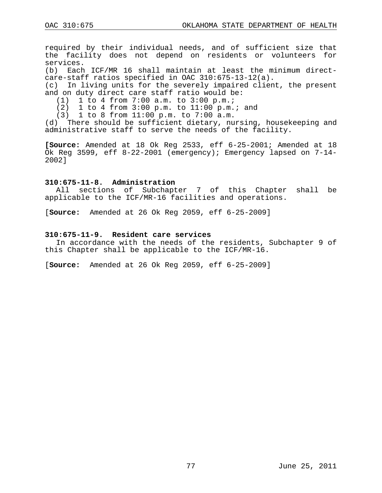required by their individual needs, and of sufficient size that the facility does not depend on residents or volunteers for services.

(b) Each ICF/MR 16 shall maintain at least the minimum directcare-staff ratios specified in OAC 310:675-13-12(a).

(c) In living units for the severely impaired client, the present and on duty direct care staff ratio would be:

(1) 1 to 4 from 7:00 a.m. to 3:00 p.m.;<br>(2) 1 to 4 from 3:00 p.m. to 11:00 p.m.

(2) 1 to 4 from 3:00 p.m. to 11:00 p.m.; and

(3) 1 to 8 from 11:00 p.m. to 7:00 a.m.

(d) There should be sufficient dietary, nursing, housekeeping and administrative staff to serve the needs of the facility.

**[Source:** Amended at 18 Ok Reg 2533, eff 6-25-2001; Amended at 18 Ok Reg 3599, eff 8-22-2001 (emergency); Emergency lapsed on 7-14- 2002]

#### **310:675-11-8. Administration**

All sections of Subchapter 7 of this Chapter shall be applicable to the ICF/MR-16 facilities and operations.

[**Source:** Amended at 26 Ok Reg 2059, eff 6-25-2009]

#### **310:675-11-9. Resident care services**

In accordance with the needs of the residents, Subchapter 9 of this Chapter shall be applicable to the ICF/MR-16.

[**Source:** Amended at 26 Ok Reg 2059, eff 6-25-2009]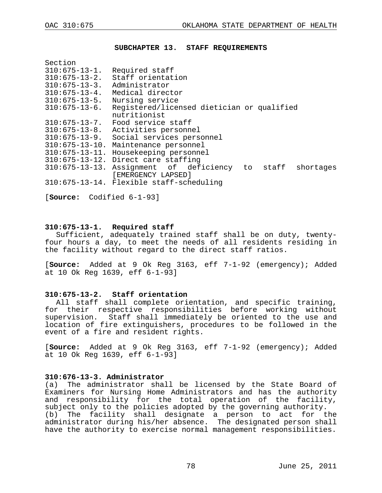#### **SUBCHAPTER 13. STAFF REQUIREMENTS**

| Section               |                                                            |  |           |
|-----------------------|------------------------------------------------------------|--|-----------|
| $310:675 - 13 - 1.$   | Required staff                                             |  |           |
| $310:675 - 13 - 2$ .  | Staff orientation                                          |  |           |
| $310:675 - 13 - 3$ .  | Administrator                                              |  |           |
| $310:675 - 13 - 4.$   | Medical director                                           |  |           |
| $310:675 - 13 - 5$ .  | Nursing service                                            |  |           |
| $310:675 - 13 - 6$ .  | Registered/licensed dietician or qualified<br>nutritionist |  |           |
| $310:675 - 13 - 7$ .  | Food service staff                                         |  |           |
| $310:675 - 13 - 8$ .  | Activities personnel                                       |  |           |
| $310:675 - 13 - 9.$   | Social services personnel                                  |  |           |
| $310:675 - 13 - 10$ . | Maintenance personnel                                      |  |           |
| $310:675 - 13 - 11$ . | Housekeeping personnel                                     |  |           |
| $310:675 - 13 - 12$ . | Direct care staffing                                       |  |           |
| $310:675 - 13 - 13.$  | Assignment of deficiency to staff<br>[EMERGENCY LAPSED]    |  | shortages |
|                       | 310:675-13-14. Flexible staff-scheduling                   |  |           |
|                       |                                                            |  |           |

[**Source:** Codified 6-1-93]

#### **310:675-13-1. Required staff**

Sufficient, adequately trained staff shall be on duty, twentyfour hours a day, to meet the needs of all residents residing in the facility without regard to the direct staff ratios.

[**Source:** Added at 9 Ok Reg 3163, eff 7-1-92 (emergency); Added at 10 Ok Reg 1639, eff 6-1-93]

#### **310:675-13-2. Staff orientation**

All staff shall complete orientation, and specific training, for their respective responsibilities before working without supervision. Staff shall immediately be oriented to the use and location of fire extinguishers, procedures to be followed in the event of a fire and resident rights.

[**Source:** Added at 9 Ok Reg 3163, eff 7-1-92 (emergency); Added at 10 Ok Reg 1639, eff 6-1-93]

# **310:676-13-3. Administrator**

(a) The administrator shall be licensed by the State Board of Examiners for Nursing Home Administrators and has the authority and responsibility for the total operation of the facility, subject only to the policies adopted by the governing authority. (b) The facility shall designate a person to act for the administrator during his/her absence. The designated person shall have the authority to exercise normal management responsibilities.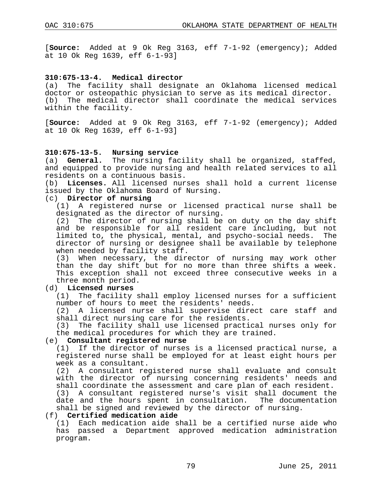[**Source:** Added at 9 Ok Reg 3163, eff 7-1-92 (emergency); Added at 10 Ok Reg 1639, eff 6-1-93]

### **310:675-13-4. Medical director**

(a) The facility shall designate an Oklahoma licensed medical doctor or osteopathic physician to serve as its medical director. (b) The medical director shall coordinate the medical services within the facility.

[**Source:** Added at 9 Ok Reg 3163, eff 7-1-92 (emergency); Added at 10 Ok Reg 1639, eff 6-1-93]

#### **310:675-13-5. Nursing service**

(a) **General.** The nursing facility shall be organized, staffed, and equipped to provide nursing and health related services to all residents on a continuous basis.

(b) **Licenses.** All licensed nurses shall hold a current license issued by the Oklahoma Board of Nursing.

# (c) **Director of nursing**

(1) A registered nurse or licensed practical nurse shall be designated as the director of nursing.

(2) The director of nursing shall be on duty on the day shift and be responsible for all resident care including, but not limited to, the physical, mental, and psycho-social needs. The director of nursing or designee shall be available by telephone when needed by facility staff.

(3) When necessary, the director of nursing may work other than the day shift but for no more than three shifts a week. This exception shall not exceed three consecutive weeks in a three month period.

# (d) **Licensed nurses**

The facility shall employ licensed nurses for a sufficient number of hours to meet the residents' needs.

(2) A licensed nurse shall supervise direct care staff and shall direct nursing care for the residents.

(3) The facility shall use licensed practical nurses only for the medical procedures for which they are trained.

# (e) **Consultant registered nurse**

If the director of nurses is a licensed practical nurse, a registered nurse shall be employed for at least eight hours per week as a consultant.

(2) A consultant registered nurse shall evaluate and consult with the director of nursing concerning residents' needs and shall coordinate the assessment and care plan of each resident.

(3) A consultant registered nurse's visit shall document the date and the hours spent in consultation. The documentation shall be signed and reviewed by the director of nursing.

#### (f) **Certified medication aide**

(1) Each medication aide shall be a certified nurse aide who has passed a Department approved medication administration program.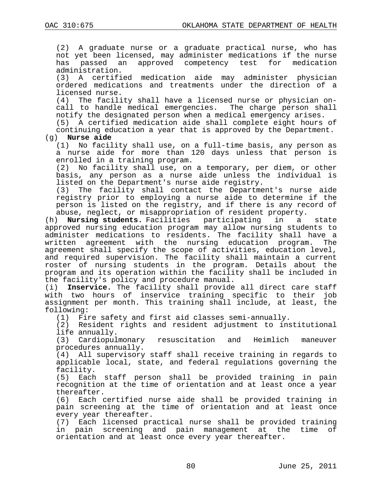(2) A graduate nurse or a graduate practical nurse, who has not yet been licensed, may administer medications if the nurse<br>has passed an approved competency test for medication approved competency test for medication administration.

(3) A certified medication aide may administer physician ordered medications and treatments under the direction of a licensed nurse.

(4) The facility shall have a licensed nurse or physician oncall to handle medical emergencies. The charge person shall notify the designated person when a medical emergency arises.

(5) A certified medication aide shall complete eight hours of continuing education a year that is approved by the Department.

# (g) **Nurse aide**

No facility shall use, on a full-time basis, any person as a nurse aide for more than 120 days unless that person is enrolled in a training program.<br>(2) No facility shall use, on

No facility shall use, on a temporary, per diem, or other basis, any person as a nurse aide unless the individual is listed on the Department's nurse aide registry.

(3) The facility shall contact the Department's nurse aide registry prior to employing a nurse aide to determine if the person is listed on the registry, and if there is any record of abuse, neglect, or misappropriation of resident property.<br>) **Nursing students.** Facilities participating in a

(h) **Nursing students.** Facilities participating in a state approved nursing education program may allow nursing students to administer medications to residents. The facility shall have a written agreement with the nursing education program. The agreement shall specify the scope of activities, education level, and required supervision. The facility shall maintain a current roster of nursing students in the program. Details about the program and its operation within the facility shall be included in the facility's policy and procedure manual.

(i) **Inservice.** The facility shall provide all direct care staff with two hours of inservice training specific to their job assignment per month. This training shall include, at least, the following:<br>(1) Fi

Fire safety and first aid classes semi-annually.

(2) Resident rights and resident adjustment to institutional life annually.<br>(3) Cardiopulmonary

resuscitation and Heimlich maneuver procedures annually.

(4) All supervisory staff shall receive training in regards to applicable local, state, and federal regulations governing the facility.

(5) Each staff person shall be provided training in pain recognition at the time of orientation and at least once a year thereafter.

(6) Each certified nurse aide shall be provided training in pain screening at the time of orientation and at least once every year thereafter.

(7) Each licensed practical nurse shall be provided training in pain screening and pain management at the time of orientation and at least once every year thereafter.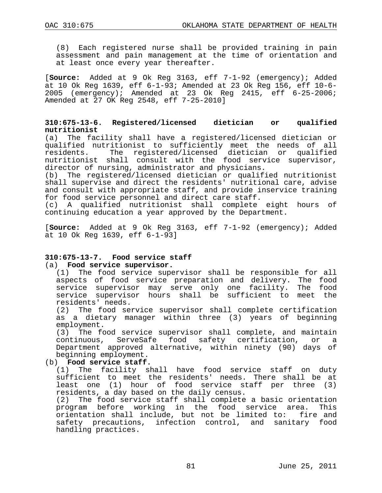(8) Each registered nurse shall be provided training in pain assessment and pain management at the time of orientation and at least once every year thereafter.

[**Source:** Added at 9 Ok Reg 3163, eff 7-1-92 (emergency); Added at 10 Ok Reg 1639, eff  $6-1-93$ ; Amended at 23 Ok Reg 156, eff 10-6-<br>2005 (emergency); Amended at 23 Ok Reg 2415, eff 6-25-2006;  $(energy):$  Amended at 23 Ok Req 2415, eff  $6-25-2006i$ Amended at 27 OK Reg 2548, eff 7-25-2010]

## **310:675-13-6. Registered/licensed dietician or qualified nutritionist**

(a) The facility shall have a registered/licensed dietician or qualified nutritionist to sufficiently meet the needs of all The registered/licensed dietician or qualified nutritionist shall consult with the food service supervisor, director of nursing, administrator and physicians.

(b) The registered/licensed dietician or qualified nutritionist shall supervise and direct the residents' nutritional care, advise and consult with appropriate staff, and provide inservice training for food service personnel and direct care staff.

(c) A qualified nutritionist shall complete eight hours of continuing education a year approved by the Department.

[**Source:** Added at 9 Ok Reg 3163, eff 7-1-92 (emergency); Added at 10 Ok Reg 1639, eff 6-1-93]

# **310:675-13-7. Food service staff**

### (a) **Food service supervisor.**

(1) The food service supervisor shall be responsible for all aspects of food service preparation and delivery. The food service supervisor may serve only one facility. The food service supervisor hours shall be sufficient to meet the residents' needs.

(2) The food service supervisor shall complete certification as a dietary manager within three (3) years of beginning employment.

(3) The food service supervisor shall complete, and maintain continuous, ServeSafe food safety certification, or a Department approved alternative, within ninety (90) days of beginning employment.

### (b) **Food service staff.**

(1) The facility shall have food service staff on duty sufficient to meet the residents' needs. There shall be at least one (1) hour of food service staff per three (3) residents, a day based on the daily census.

(2) The food service staff shall complete a basic orientation program before working in the food service area. This orientation shall include, but not be limited to: fire and safety precautions, infection control, and sanitary food handling practices.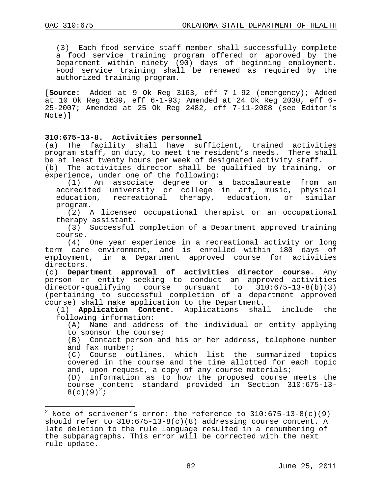$\overline{a}$ 

(3) Each food service staff member shall successfully complete a food service training program offered or approved by the Department within ninety (90) days of beginning employment. Food service training shall be renewed as required by the authorized training program.

[**Source:** Added at 9 Ok Reg 3163, eff 7-1-92 (emergency); Added at 10 Ok Reg 1639, eff 6-1-93; Amended at 24 Ok Reg 2030, eff 6- 25-2007; Amended at 25 Ok Reg 2482, eff 7-11-2008 (see Editor's Note)]

# **310:675-13-8. Activities personnel**

The facility shall have sufficient, trained activities program staff, on duty, to meet the resident's needs. There shall be at least twenty hours per week of designated activity staff.

(b) The activities director shall be qualified by training, or experience, under one of the following:<br>(1) An associate degree or a

An associate degree or a baccalaureate from an accredited university or college in art, music, physical<br>education, recreational therapy, education, or similar education, recreational therapy, education, or program.

(2) A licensed occupational therapist or an occupational therapy assistant.

(3) Successful completion of a Department approved training course.

(4) One year experience in a recreational activity or long term care environment, and is enrolled within 180 days of employment, in a Department approved course for activities directors.

(c) **Department approval of activities director course**. Any person or entity seeking to conduct an approved activities director-qualifying course pursuant to 310:675-13-8(b)(3) (pertaining to successful completion of a department approved course) shall make application to the Department.<br>(1) **Application Content.** Applications shall

(1) **Application Content.** Applications shall include the following information:

(A) Name and address of the individual or entity applying to sponsor the course;

(B) Contact person and his or her address, telephone number and fax number;

(C) Course outlines, which list the summarized topics covered in the course and the time allotted for each topic

and, upon request, a copy of any course materials;<br>(D) Information as to how the proposed course Information as to how the proposed course meets the course content standard provided in Section 310:675-13-  $8(c)(9)^{2};$  $8(c)(9)^{2};$  $8(c)(9)^{2};$ 

<span id="page-81-0"></span><sup>&</sup>lt;sup>2</sup> Note of scrivener's error: the reference to  $310:675-13-8(c)(9)$ should refer to  $310:675-13-8(c)(8)$  addressing course content. A late deletion to the rule language resulted in a renumbering of the subparagraphs. This error will be corrected with the next rule update.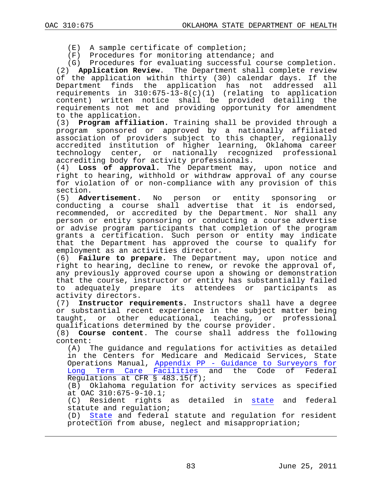÷,

- (E) A sample certificate of completion;
- (F) Procedures for monitoring attendance; and

(G) Procedures for evaluating successful course completion.

(2) **Application Review**. The Department shall complete review of the application within thirty (30) calendar days. If the<br>Department finds the application has not addressed all Department finds the application has not addressed requirements in  $310:675-13-8(c)(1)$  (relating to application content) written notice shall be provided detailing the requirements not met and providing opportunity for amendment to the application.

(3) **Program affiliation.** Training shall be provided through a program sponsored or approved by a nationally affiliated association of providers subject to this chapter, regionally accredited institution of higher learning, Oklahoma career technology center, or nationally recognized professional accrediting body for activity professionals.

(4) **Loss of approval.** The Department may, upon notice and right to hearing, withhold or withdraw approval of any course for violation of or non-compliance with any provision of this

section.<br>(5) Advertisement. (5) **Advertisement**. No person or entity sponsoring or conducting a course shall advertise that it is endorsed, recommended, or accredited by the Department. Nor shall any person or entity sponsoring or conducting a course advertise or advise program participants that completion of the program grants a certification. Such person or entity may indicate that the Department has approved the course to qualify for employment as an activities director.

(6) **Failure to prepare.** The Department may, upon notice and right to hearing, decline to renew, or revoke the approval of, any previously approved course upon a showing or demonstration that the course, instructor or entity has substantially failed<br>to adequately prepare its attendees or participants as to adequately prepare its attendees or activity directors.

(7) **Instructor requirements.** Instructors shall have a degree or substantial recent experience in the subject matter being taught, or other educational, teaching, or professional qualifications determined by the course provider.

(8) **Course content**. The course shall address the following  $\text{content:} \quad (A) \quad \mathbb{I}$ 

The guidance and regulations for activities as detailed in the Centers for Medicare and Medicaid Services, State Operations Manual, Appendix PP - [Guidance to Surveyors for](http://cms.hhs.gov/manuals/Downloads/som107ap_pp_guidelines_ltcf.pdf)  [Long Term Care Facilities](http://cms.hhs.gov/manuals/Downloads/som107ap_pp_guidelines_ltcf.pdf) and the Code of Federal Regulations at CFR § 483.15(f);

(B) Oklahoma regulation for activity services as specified at OAC 310:675-9-10.1;

(C) Resident rights as detailed in [state](http://www.ok.gov/health/Protective_Health/Health_Resources_Development_Service/Health_Facility_Systems_/Nursing_and_Specialized_Facility_Licensure/index.html) and federal statute and regulation;

(D) [State](http://www.ok.gov/health/Protective_Health/Health_Resources_Development_Service/Health_Facility_Systems_/Nursing_and_Specialized_Facility_Licensure/index.html) and federal statute and regulation for resident protection from abuse, neglect and misappropriation;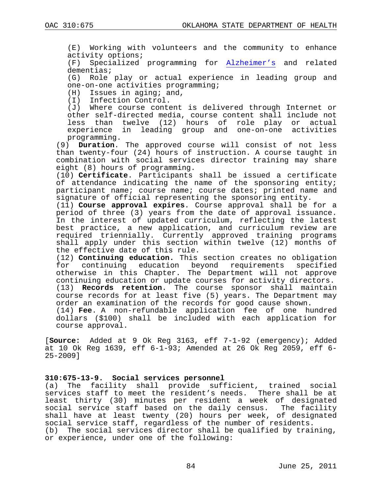(E) Working with volunteers and the community to enhance activity options;<br>(F) Specialized

Specialized programming for [Alzheimer's](http://www.ok.gov/health/documents/Broyles%20Alzheimer%20Curriculum.doc) and related dementias;

(G) Role play or actual experience in leading group and one-on-one activities programming;

 $(H)$  Issues in aging; and,<br>(I) Infection Control.

Infection Control.

(J) Where course content is delivered through Internet or other self-directed media, course content shall include not less than twelve (12) hours of role play or actual experience in leading group and one-on-one activities programming.

(9) **Duration**. The approved course will consist of not less than twenty-four (24) hours of instruction. A course taught in combination with social services director training may share eight (8) hours of programming.

(10) **Certificate**. Participants shall be issued a certificate of attendance indicating the name of the sponsoring entity; participant name; course name; course dates; printed name and signature of official representing the sponsoring entity.

(11) **Course approval expires**. Course approval shall be for a period of three (3) years from the date of approval issuance. In the interest of updated curriculum, reflecting the latest best practice, a new application, and curriculum review are required triennially. Currently approved training programs shall apply under this section within twelve (12) months of the effective date of this rule.

(12) **Continuing education.** This section creates no obligation continuing education beyond requirements specified otherwise in this Chapter. The Department will not approve continuing education or update courses for activity directors.

(13) **Records retention**. The course sponsor shall maintain course records for at least five (5) years. The Department may order an examination of the records for good cause shown.

(14) **Fee**. A non-refundable application fee of one hundred dollars (\$100) shall be included with each application for course approval.

[**Source:** Added at 9 Ok Reg 3163, eff 7-1-92 (emergency); Added at 10 Ok Reg 1639, eff 6-1-93; Amended at 26 Ok Reg 2059, eff 6- 25-2009]

### **310:675-13-9. Social services personnel**

(a) The facility shall provide sufficient, trained social services staff to meet the resident's needs. There shall be at least thirty (30) minutes per resident a week of designated social service staff based on the daily census. The facility shall have at least twenty (20) hours per week, of designated social service staff, regardless of the number of residents. (b) The social services director shall be qualified by training, or experience, under one of the following: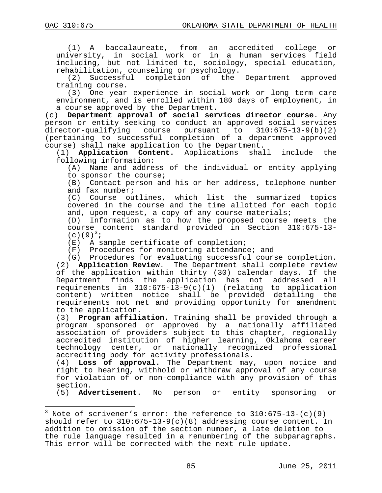$\overline{a}$ 

(1) A baccalaureate, from an accredited college or university, in social work or in a human services field including, but not limited to, sociology, special education,

rehabilitation, counseling or psychology.<br>(2) Successful completion of the Department approved  $(2)$  Successful completion of the training course.

(3) One year experience in social work or long term care environment, and is enrolled within 180 days of employment, in a course approved by the Department.

(c) **Department approval of social services director course**. Any person or entity seeking to conduct an approved social services director-qualifying course pursuant to 310:675-13-9(b)(2) (pertaining to successful completion of a department approved course) shall make application to the Department.<br>(1) **Application Content.** Applications shall

(1) **Application Content.** Applications shall include the following information:

(A) Name and address of the individual or entity applying to sponsor the course;

(B) Contact person and his or her address, telephone number and fax number;

(C) Course outlines, which list the summarized topics covered in the course and the time allotted for each topic and, upon request, a copy of any course materials;<br>(D) Information as to how the proposed course

Information as to how the proposed course meets the course content standard provided in Section 310:675-13-  $(c)(9)^{3}$  $(c)(9)^{3}$  $(c)(9)^{3}$ 

(E) A sample certificate of completion;

(F) Procedures for monitoring attendance; and

(G) Procedures for evaluating successful course completion. (2) **Application Review**. The Department shall complete review of the application within thirty (30) calendar days. If the Department finds the application has not addressed all requirements in 310:675-13-9(c)(1) (relating to application content) written notice shall be provided detailing the requirements not met and providing opportunity for amendment to the application.

(3) **Program affiliation.** Training shall be provided through a program sponsored or approved by a nationally affiliated association of providers subject to this chapter, regionally accredited institution of higher learning, Oklahoma career technology center, or nationally recognized professional accrediting body for activity professionals.

(4) **Loss of approval.** The Department may, upon notice and right to hearing, withhold or withdraw approval of any course for violation of or non-compliance with any provision of this section.<br>(5) Advertisement.

(5) **Advertisement**. No person or entity sponsoring or

<span id="page-84-0"></span> $3$  Note of scrivener's error: the reference to  $310:675-13-$ (c)(9) should refer to  $310:675-13-9(c)(8)$  addressing course content. In addition to omission of the section number, a late deletion to the rule language resulted in a renumbering of the subparagraphs. This error will be corrected with the next rule update.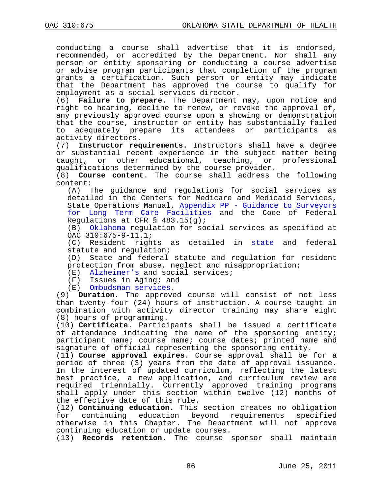conducting a course shall advertise that it is endorsed, recommended, or accredited by the Department. Nor shall any person or entity sponsoring or conducting a course advertise or advise program participants that completion of the program grants a certification. Such person or entity may indicate that the Department has approved the course to qualify for employment as a social services director.

(6) **Failure to prepare.** The Department may, upon notice and right to hearing, decline to renew, or revoke the approval of, any previously approved course upon a showing or demonstration that the course, instructor or entity has substantially failed<br>to adequately prepare its attendees or participants as to adequately prepare its attendees or activity directors.

(7) **Instructor requirements.** Instructors shall have a degree or substantial recent experience in the subject matter being<br>taught, or other educational, teaching, or professional or other educational, teaching, or professional qualifications determined by the course provider.

(8) **Course content**. The course shall address the following  $\text{content:} \quad (A) \quad 1$ 

The guidance and regulations for social services as detailed in the Centers for Medicare and Medicaid Services, State Operations Manual, Appendix PP - [Guidance to Surveyors](http://cms.hhs.gov/manuals/Downloads/som107ap_pp_guidelines_ltcf.pdf)  [for Long Term Care Facilities](http://cms.hhs.gov/manuals/Downloads/som107ap_pp_guidelines_ltcf.pdf) and the Code of Federal Regulations at CFR § 483.15(g);

(B) [Oklahoma](http://www.ok.gov/health/Protective_Health/Health_Resources_Development_Service/Health_Facility_Systems_/Nursing_and_Specialized_Facility_Licensure/index.html) regulation for social services as specified at OAC 310:675-9-11.1;

(C) Resident rights as detailed in [state](http://www.ok.gov/health/Protective_Health/Health_Resources_Development_Service/Health_Facility_Systems_/Nursing_and_Specialized_Facility_Licensure/index.html) and federal statute and regulation;

(D) State and federal statute and regulation for resident protection from abuse, neglect and misappropriation;

(E) [Alzheimer's](http://www.ok.gov/health/documents/Broyles%20Alzheimer%20Curriculum.doc) and social services;

(F) Issues in Aging; and

(E) [Ombudsman services.](http://www.okdhs.org/programsandservices/aging/ltc/?&MSHiC=65001&L=10&W=OMBUDS%20OMBUDSMANS%20OMBUDSMEN%20ombudsman%20&Pre=%3CFONT%20STYLE%3D%22color%3A%20%23000000%3B%20background-color%3A%20%23FFFF00%22%3E&Post=%3C/FONT%3E)

(9) **Duration**. The approved course will consist of not less than twenty-four (24) hours of instruction. A course taught in combination with activity director training may share eight (8) hours of programming.

(10) **Certificate**. Participants shall be issued a certificate of attendance indicating the name of the sponsoring entity; participant name; course name; course dates; printed name and signature of official representing the sponsoring entity.

(11) **Course approval expires**. Course approval shall be for a period of three (3) years from the date of approval issuance. In the interest of updated curriculum, reflecting the latest best practice, a new application, and curriculum review are required triennially. Currently approved training programs shall apply under this section within twelve (12) months of the effective date of this rule.

(12) **Continuing education.** This section creates no obligation continuing education beyond requirements specified otherwise in this Chapter. The Department will not approve continuing education or update courses.

(13) **Records retention**. The course sponsor shall maintain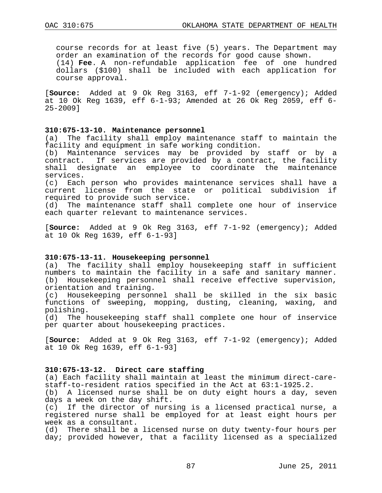course records for at least five (5) years. The Department may order an examination of the records for good cause shown. (14) **Fee**. A non-refundable application fee of one hundred dollars (\$100) shall be included with each application for course approval.

[**Source:** Added at 9 Ok Reg 3163, eff 7-1-92 (emergency); Added at 10 Ok Reg 1639, eff 6-1-93; Amended at 26 Ok Reg 2059, eff 6- 25-2009]

## **310:675-13-10. Maintenance personnel**

(a) The facility shall employ maintenance staff to maintain the facility and equipment in safe working condition.

(b) Maintenance services may be provided by staff or by a contract. If services are provided by a contract, the facility shall designate an employee to coordinate the maintenance services.

(c) Each person who provides maintenance services shall have a current license from the state or political subdivision if required to provide such service.

(d) The maintenance staff shall complete one hour of inservice each quarter relevant to maintenance services.

[**Source:** Added at 9 Ok Reg 3163, eff 7-1-92 (emergency); Added at 10 Ok Reg 1639, eff 6-1-93]

#### **310:675-13-11. Housekeeping personnel**

(a) The facility shall employ housekeeping staff in sufficient numbers to maintain the facility in a safe and sanitary manner. (b) Housekeeping personnel shall receive effective supervision, orientation and training.

(c) Housekeeping personnel shall be skilled in the six basic functions of sweeping, mopping, dusting, cleaning, waxing, and polishing.

(d) The housekeeping staff shall complete one hour of inservice per quarter about housekeeping practices.

[**Source:** Added at 9 Ok Reg 3163, eff 7-1-92 (emergency); Added at 10 Ok Reg 1639, eff 6-1-93]

#### **310:675-13-12. Direct care staffing**

(a) Each facility shall maintain at least the minimum direct-care- staff-to-resident ratios specified in the Act at 63:1-1925.2.

(b) A licensed nurse shall be on duty eight hours a day, seven days a week on the day shift.

(c) If the director of nursing is a licensed practical nurse, a registered nurse shall be employed for at least eight hours per week as a consultant.

(d) There shall be a licensed nurse on duty twenty-four hours per day; provided however, that a facility licensed as a specialized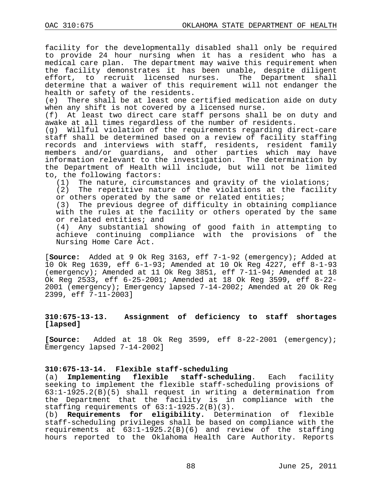facility for the developmentally disabled shall only be required to provide 24 hour nursing when it has a resident who has a medical care plan. The department may waive this requirement when the facility demonstrates it has been unable, despite diligent<br>effort, to recruit licensed nurses. The Department shall effort, to recruit licensed nurses. The Department determine that a waiver of this requirement will not endanger the health or safety of the residents.

(e) There shall be at least one certified medication aide on duty when any shift is not covered by a licensed nurse.

(f) At least two direct care staff persons shall be on duty and awake at all times regardless of the number of residents.

(g) Willful violation of the requirements regarding direct-care staff shall be determined based on a review of facility staffing records and interviews with staff, residents, resident family members and/or guardians, and other parties which may have information relevant to the investigation. The determination by the Department of Health will include, but will not be limited to, the following factors:

(1) The nature, circumstances and gravity of the violations;

(2) The repetitive nature of the violations at the facility or others operated by the same or related entities;

(3) The previous degree of difficulty in obtaining compliance with the rules at the facility or others operated by the same or related entities; and

(4) Any substantial showing of good faith in attempting to achieve continuing compliance with the provisions of the Nursing Home Care Act.

[**Source:** Added at 9 Ok Reg 3163, eff 7-1-92 (emergency); Added at 10 Ok Reg 1639, eff 6-1-93; Amended at 10 Ok Reg 4227, eff 8-1-93 (emergency); Amended at 11 Ok Reg 3851, eff 7-11-94; Amended at 18 Ok Reg 2533, eff 6-25-2001; Amended at 18 Ok Reg 3599, eff 8-22- 2001 (emergency); Emergency lapsed 7-14-2002; Amended at 20 Ok Reg 2399, eff 7-11-2003]

# **310:675-13-13. Assignment of deficiency to staff shortages [lapsed]**

**[Source:** Added at 18 Ok Reg 3599, eff 8-22-2001 (emergency); Emergency lapsed 7-14-2002]

# **310:675-13-14. Flexible staff-scheduling**

(a) **Implementing flexible staff-scheduling**. Each facility seeking to implement the flexible staff-scheduling provisions of 63:1-1925.2(B)(5) shall request in writing a determination from the Department that the facility is in compliance with the staffing requirements of 63:1-1925.2(B)(3).

(b) **Requirements for eligibility.** Determination of flexible staff-scheduling privileges shall be based on compliance with the requirements at 63:1-1925.2(B)(6) and review of the staffing hours reported to the Oklahoma Health Care Authority. Reports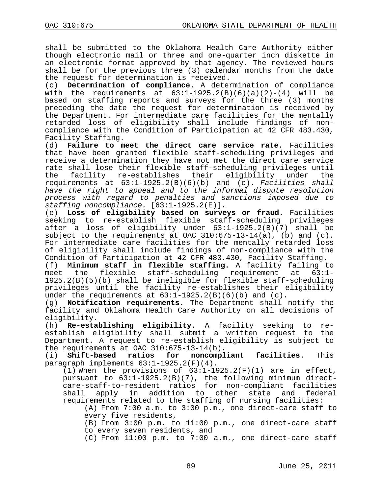shall be submitted to the Oklahoma Health Care Authority either though electronic mail or three and one-quarter inch diskette in an electronic format approved by that agency. The reviewed hours shall be for the previous three (3) calendar months from the date the request for determination is received.

(c) **Determination of compliance**. A determination of compliance with the requirements at  $63:1-1925.2(B)(6)(a)(2)-(4)$  will be based on staffing reports and surveys for the three (3) months preceding the date the request for determination is received by the Department. For intermediate care facilities for the mentally retarded loss of eligibility shall include findings of noncompliance with the Condition of Participation at 42 CFR 483.430, Facility Staffing.<br>(d) **Failure to m** 

(d) **Failure to meet the direct care service rate.** Facilities that have been granted flexible staff-scheduling privileges and receive a determination they have not met the direct care service rate shall lose their flexible staff-scheduling privileges until<br>the facility re-establishes their eligibility under the facility re-establishes their eligibility under requirements at 63:1-1925.2(B)(6)(b) and (c). *Facilities shall have the right to appeal and to the informal dispute resolution process with regard to penalties and sanctions imposed due to staffing noncompliance.* [63:1-1925.2(E)].<br>(e) Loss of eligibility based on surve

Loss of eligibility based on surveys or fraud. Facilities seeking to re-establish flexible staff-scheduling privileges after a loss of eligibility under 63:1-1925.2(B)(7) shall be subject to the requirements at OAC  $310:675-13-14(a)$ , (b) and (c). For intermediate care facilities for the mentally retarded loss of eligibility shall include findings of non-compliance with the Condition of Participation at 42 CFR 483.430, Facility Staffing.

(f) **Minimum staff in flexible staffing.** A facility failing to the flexible staff-scheduling requirement at 1925.2(B)(5)(b) shall be ineligible for flexible staff-scheduling privileges until the facility re-establishes their eligibility under the requirements at  $63:1-1925.2(B)(6)(b)$  and  $(c)$ .<br>(q) **Notification requirements.** The Department shall

**Notification requirements.** The Department shall notify the facility and Oklahoma Health Care Authority on all decisions of eligibility.<br>(h) **Re-esta** 

(h) **Re-establishing eligibility.** A facility seeking to reestablish eligibility shall submit a written request to the Department. A request to re-establish eligibility is subject to the requirements at OAC  $310:675-13-14(b)$ .<br>(i) Shift-based ratios for noncompl

**noncompliant facilities**. This paragraph implements 63:1-1925.2(F)(4).

(1) When the provisions of  $63:1-1925.2(F)(1)$  are in effect, pursuant to  $63:1-1925.2(B)(7)$ , the following minimum directcare-staff-to-resident ratios for non-compliant facilities<br>shall apply in addition to other state and federal apply in addition to other state and federal requirements related to the staffing of nursing facilities:

(A) From 7:00 a.m. to 3:00 p.m., one direct-care staff to every five residents,

(B) From 3:00 p.m. to 11:00 p.m., one direct-care staff to every seven residents, and

(C) From 11:00 p.m. to 7:00 a.m., one direct-care staff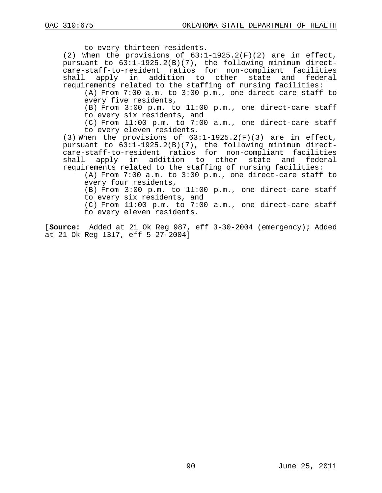to every thirteen residents.

(2) When the provisions of 63:1-1925.2(F)(2) are in effect, pursuant to 63:1-1925.2(B)(7), the following minimum directcare-staff-to-resident ratios for non-compliant facilities shall apply in addition to other state and federal requirements related to the staffing of nursing facilities:

(A) From 7:00 a.m. to 3:00 p.m., one direct-care staff to every five residents,

(B) From 3:00 p.m. to 11:00 p.m., one direct-care staff to every six residents, and

(C) From 11:00 p.m. to 7:00 a.m., one direct-care staff to every eleven residents.

(3) When the provisions of 63:1-1925.2(F)(3) are in effect, pursuant to 63:1-1925.2(B)(7), the following minimum directcare-staff-to-resident ratios for non-compliant facilities shall apply in addition to other state and federal requirements related to the staffing of nursing facilities:

(A) From 7:00 a.m. to 3:00 p.m., one direct-care staff to every four residents,

(B) From 3:00 p.m. to 11:00 p.m., one direct-care staff to every six residents, and

(C) From 11:00 p.m. to 7:00 a.m., one direct-care staff to every eleven residents.

[**Source:** Added at 21 Ok Reg 987, eff 3-30-2004 (emergency); Added at 21 Ok Reg 1317, eff 5-27-2004]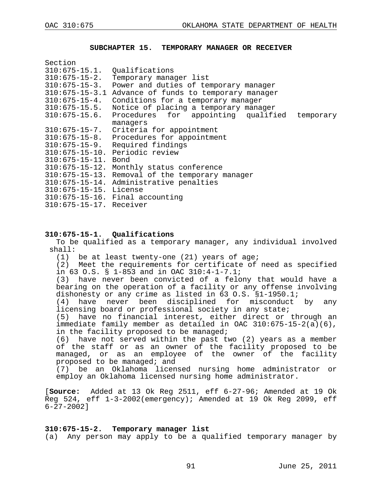$S = \frac{1}{2}$ 

#### **SUBCHAPTER 15. TEMPORARY MANAGER OR RECEIVER**

| 500 UNI                        |                                                  |
|--------------------------------|--------------------------------------------------|
| $310:675 - 15.1.$              | Qualifications                                   |
| $310:675 - 15 - 2$ .           | Temporary manager list                           |
| $310:675 - 15 - 3$ .           | Power and duties of temporary manager            |
| $310:675 - 15 - 3.1$           | Advance of funds to temporary manager            |
| $310:675 - 15 - 4$ .           | Conditions for a temporary manager               |
| $310:675 - 15.5$ .             | Notice of placing a temporary manager            |
| $310:675 - 15.6$ .             | Procedures for appointing qualified<br>temporary |
|                                | managers                                         |
| $310:675 - 15 - 7$ .           | Criteria for appointment                         |
| $310:675 - 15 - 8.$            | Procedures for appointment                       |
| $310:675 - 15 - 9$ .           | Required findings                                |
|                                | 310:675-15-10. Periodic review                   |
| $310:675 - 15 - 11$ . Bond     |                                                  |
| $310:675 - 15 - 12$ .          | Monthly status conference                        |
| $310:675 - 15 - 13$ .          | Removal of the temporary manager                 |
|                                | 310:675-15-14. Administrative penalties          |
| $310:675 - 15 - 15$ . License  |                                                  |
|                                | $310:675-15-16$ . Final accounting               |
| $310:675 - 15 - 17$ . Receiver |                                                  |
|                                |                                                  |

#### **310:675-15-1. Qualifications**

To be qualified as a temporary manager, any individual involved shall:

(1) be at least twenty-one (21) years of age;

(2) Meet the requirements for certificate of need as specified in 63 O.S. § 1-853 and in OAC 310:4-1-7.1;

(3) have never been convicted of a felony that would have a bearing on the operation of a facility or any offense involving dishonesty or any crime as listed in 63 O.S. §1-1950.1;

(4) have never been disciplined for misconduct by any licensing board or professional society in any state;

(5) have no financial interest, either direct or through an immediate family member as detailed in OAC 310:675-15-2(a)(6), in the facility proposed to be managed;

(6) have not served within the past two (2) years as a member of the staff or as an owner of the facility proposed to be managed, or as an employee of the owner of the facility proposed to be managed; and

(7) be an Oklahoma licensed nursing home administrator or employ an Oklahoma licensed nursing home administrator.

[**Source:** Added at 13 Ok Reg 2511, eff 6-27-96; Amended at 19 Ok Reg 524, eff 1-3-2002(emergency); Amended at 19 Ok Reg 2099, eff 6-27-2002]

#### **310:675-15-2. Temporary manager list**

(a) Any person may apply to be a qualified temporary manager by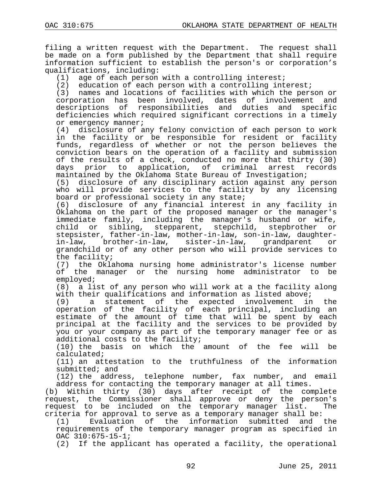filing a written request with the Department. The request shall be made on a form published by the Department that shall require information sufficient to establish the person's or corporation's

qualifications, including:<br>(1) age of each person (1) age of each person with a controlling interest;<br>(2) education of each person with a controlling int

(2) education of each person with a controlling interest;<br>(3) names and locations of facilities with which the pers

names and locations of facilities with which the person or corporation has been involved, dates of involvement and descriptions of responsibilities and duties and specific deficiencies which required significant corrections in a timely or emergency manner;

(4) disclosure of any felony conviction of each person to work in the facility or be responsible for resident or facility funds, regardless of whether or not the person believes the conviction bears on the operation of a facility and submission of the results of a check, conducted no more that thirty (30)<br>days prior to application, of criminal arrest records prior to application, of criminal arrest maintained by the Oklahoma State Bureau of Investigation;

(5) disclosure of any disciplinary action against any person who will provide services to the facility by any licensing board or professional society in any state;<br>(6) disclosure of any financial interest

(6) disclosure of any financial interest in any facility in Oklahoma on the part of the proposed manager or the manager's immediate family, including the manager's husband or wife, child or sibling, stepparent, stepchild, stepbrother stepsister, father-in-law, mother-in-law, son-in-law, daughter-<br>in-law, brother-in-law, sister-in-law, grandparent or in-law, brother-in-law, sister-in-law, grandchild or of any other person who will provide services to the facility;<br>(7) the Okla

(7) the Oklahoma nursing home administrator's license number of the manager or the nursing home administrator to be employed;

(8) a list of any person who will work at a the facility along with their qualifications and information as listed above;<br>(9) a statement of the expected involvement in

a statement of the expected involvement in the operation of the facility of each principal, including an estimate of the amount of time that will be spent by each principal at the facility and the services to be provided by you or your company as part of the temporary manager fee or as additional costs to the facility;

(10) the basis on which the amount of the fee will be calculated;

(11) an attestation to the truthfulness of the information submitted; and

(12) the address, telephone number, fax number, and email

address for contacting the temporary manager at all times.<br>(b) Within thirty (30) days after receipt of the com Within thirty (30) days after receipt of the complete request, the Commissioner shall approve or deny the person's request to be included on the temporary manager list. criteria for approval to serve as a temporary manager shall be:<br>(1) Evaluation of the information submitted and the

Evaluation of the information submitted and requirements of the temporary manager program as specified in OAC 310:675-15-1;

(2) If the applicant has operated a facility, the operational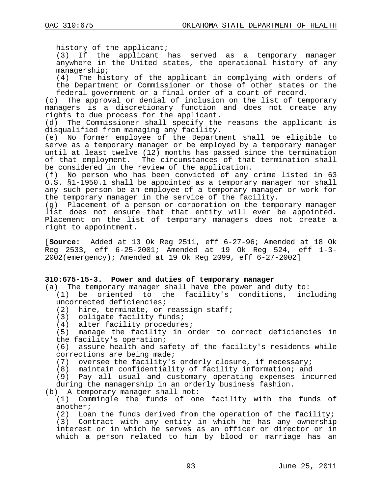history of the applicant;

(3) If the applicant has served as a temporary manager anywhere in the United states, the operational history of any

managership;<br>(4) The his The history of the applicant in complying with orders of the Department or Commissioner or those of other states or the federal government or a final order of a court of record.

(c) The approval or denial of inclusion on the list of temporary managers is a discretionary function and does not create any rights to due process for the applicant.

(d) The Commissioner shall specify the reasons the applicant is disqualified from managing any facility.

(e) No former employee of the Department shall be eligible to serve as a temporary manager or be employed by a temporary manager until at least twelve (12) months has passed since the termination of that employment. The circumstances of that termination shall be considered in the review of the application.

(f) No person who has been convicted of any crime listed in 63 O.S. §1-1950.1 shall be appointed as a temporary manager nor shall any such person be an employee of a temporary manager or work for the temporary manager in the service of the facility.

(g) Placement of a person or corporation on the temporary manager list does not ensure that that entity will ever be appointed. Placement on the list of temporary managers does not create a right to appointment.

[**Source:** Added at 13 Ok Reg 2511, eff 6-27-96; Amended at 18 Ok Reg 2533, eff 6-25-2001; Amended at 19 Ok Reg 524, eff 1-3- 2002(emergency); Amended at 19 Ok Reg 2099, eff 6-27-2002]

### **310:675-15-3. Power and duties of temporary manager**

- (a) The temporary manager shall have the power and duty to: (1) be oriented to the facility's conditions, including uncorrected deficiencies;<br>(2) hire, terminate, or
	- hire, terminate, or reassign staff;
	- (3) obligate facility funds;
	- (4) alter facility procedures;
	- (5) manage the facility in order to correct deficiencies in the facility's operation;

(6) assure health and safety of the facility's residents while corrections are being made;

(7) oversee the facility's orderly closure, if necessary;

(8) maintain confidentiality of facility information; and

(9) Pay all usual and customary operating expenses incurred during the managership in an orderly business fashion.

(b) A temporary manager shall not:

(1) Commingle the funds of one facility with the funds of another;

(2) Loan the funds derived from the operation of the facility; (3) Contract with any entity in which he has any ownership interest or in which he serves as an officer or director or in which a person related to him by blood or marriage has an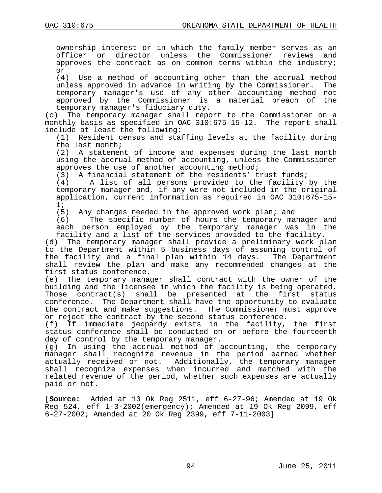ownership interest or in which the family member serves as an officer or director unless the Commissioner reviews and approves the contract as on common terms within the industry; or

(4) Use a method of accounting other than the accrual method<br>unless approved in advance in writing by the Commissioner. The unless approved in advance in writing by the Commissioner. temporary manager's use of any other accounting method not<br>approved by the Commissioner is a material breach of the approved by the Commissioner is a material breach of

temporary manager's fiduciary duty.<br>(c) The temporary manager shall repo The temporary manager shall report to the Commissioner on a monthly basis as specified in OAC 310:675-15-12. The report shall include at least the following:

(1) Resident census and staffing levels at the facility during the last month;

(2) A statement of income and expenses during the last month using the accrual method of accounting, unless the Commissioner approves the use of another accounting method;

(3) A financial statement of the residents' trust funds;<br>(4) A list of all persons provided to the facility

A list of all persons provided to the facility by the temporary manager and, if any were not included in the original application, current information as required in OAC 310:675-15- 1;

(5) Any changes needed in the approved work plan; and

The specific number of hours the temporary manager and each person employed by the temporary manager was in the facility and a list of the services provided to the facility.

(d) The temporary manager shall provide a preliminary work plan to the Department within 5 business days of assuming control of the facility and a final plan within 14 days. The Department shall review the plan and make any recommended changes at the first status conference.

(e) The temporary manager shall contract with the owner of the building and the licensee in which the facility is being operated. Those contract(s) shall be presented at the first status conference. The Department shall have the opportunity to evaluate the contract and make suggestions. The Commissioner must approve or reject the contract by the second status conference.

(f) If immediate jeopardy exists in the facility, the first status conference shall be conducted on or before the fourteenth day of control by the temporary manager.<br>(q) In using the accrual method of a

In using the accrual method of accounting, the temporary manager shall recognize revenue in the period earned whether actually received or not. Additionally, the temporary manager shall recognize expenses when incurred and matched with the related revenue of the period, whether such expenses are actually paid or not.

[**Source:** Added at 13 Ok Reg 2511, eff 6-27-96; Amended at 19 Ok Reg 524, eff 1-3-2002(emergency); Amended at 19 Ok Reg 2099, eff 6-27-2002; Amended at 20 Ok Reg 2399, eff 7-11-2003]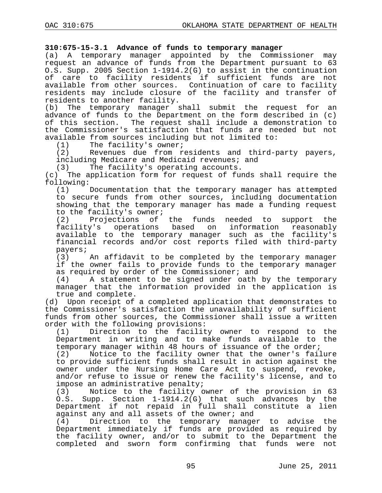# **310:675-15-3.1 Advance of funds to temporary manager**

(a) A temporary manager appointed by the Commissioner may request an advance of funds from the Department pursuant to 63 O.S. Supp. 2005 Section 1-1914.2(G) to assist in the continuation of care to facility residents if sufficient funds are not available from other sources. Continuation of care to facility residents may include closure of the facility and transfer of residents to another facility.

(b) The temporary manager shall submit the request for an advance of funds to the Department on the form described in (c) of this section. The request shall include a demonstration to the Commissioner's satisfaction that funds are needed but not available from sources including but not limited to:<br>(1) The facility's owner;

(1) The facility's owner;<br>(2) Revenues due from r Revenues due from residents and third-party payers, including Medicare and Medicaid revenues; and<br>(3) The facility's operating accounts.

(3) The facility's operating accounts.<br>(c) The application form for request of fure

The application form for request of funds shall require the  $f$ ollowing:<br>(1)

Documentation that the temporary manager has attempted to secure funds from other sources, including documentation showing that the temporary manager has made a funding request to the facility's owner;<br>(2) Projections of

(2) Projections of the funds needed to support the<br>facility's operations based on information reasonably operations based on information reasonably available to the temporary manager such as the facility's financial records and/or cost reports filed with third-party

payers;<br>(3) An affidavit to be completed by the temporary manager if the owner fails to provide funds to the temporary manager as required by order of the Commissioner; and<br>(4) A statement to be signed under oath

A statement to be signed under oath by the temporary manager that the information provided in the application is

true and complete.<br>(d) Upon receipt of Upon receipt of a completed application that demonstrates to the Commissioner's satisfaction the unavailability of sufficient funds from other sources, the Commissioner shall issue a written order with the following provisions:<br>(1) Direction to the facilit

Direction to the facility owner to respond to the Department in writing and to make funds available to the temporary manager within 48 hours of issuance of the order;<br>(2) Notice to the facility owner that the owner's fail

Notice to the facility owner that the owner's failure to provide sufficient funds shall result in action against the owner under the Nursing Home Care Act to suspend, revoke, and/or refuse to issue or renew the facility's license, and to impose an administrative penalty;

Notice to the facility owner of the provision in 63 O.S. Supp. Section 1-1914.2(G) that such advances by the Department if not repaid in full shall constitute a lien against any and all assets of the owner; and<br>(4) Direction to the temporary manage

Direction to the temporary manager to advise the Department immediately if funds are provided as required by the facility owner, and/or to submit to the Department the completed and sworn form confirming that funds were not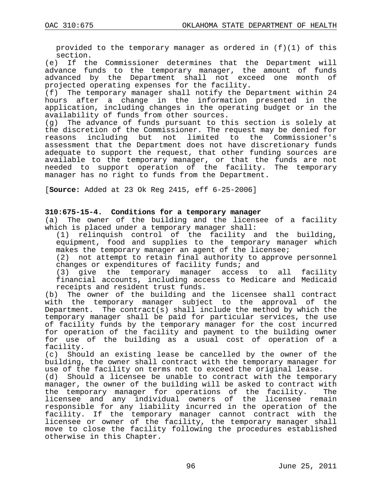provided to the temporary manager as ordered in (f)(1) of this

section.<br>e) If th) If the Commissioner determines that the Department will advance funds to the temporary manager, the amount of funds advanced by the Department shall not exceed one month of

projected operating expenses for the facility.<br>(f) The temporary manager shall notify the D The temporary manager shall notify the Department within 24 hours after a change in the information presented in the application, including changes in the operating budget or in the availability of funds from other sources.<br>(g) The advance of funds pursuant to th

The advance of funds pursuant to this section is solely at the discretion of the Commissioner. The request may be denied for<br>reasons including but not limited to the Commissioner's including but not limited to the Commissioner's assessment that the Department does not have discretionary funds adequate to support the request, that other funding sources are available to the temporary manager, or that the funds are not needed to support operation of the facility. The temporary manager has no right to funds from the Department.

[**Source:** Added at 23 Ok Reg 2415, eff 6-25-2006]

# **310:675-15-4. Conditions for a temporary manager**

(a) The owner of the building and the licensee of a facility which is placed under a temporary manager shall:

(1) relinquish control of the facility and the building, equipment, food and supplies to the temporary manager which makes the temporary manager an agent of the licensee;

(2) not attempt to retain final authority to approve personnel changes or expenditures of facility funds; and<br>(3) give the temporary manager access t

give the temporary manager access to all facility financial accounts, including access to Medicare and Medicaid

receipts and resident trust funds.<br>(b) The owner of the building and The owner of the building and the licensee shall contract with the temporary manager subject to the approval of the Department. The contract(s) shall include the method by which the temporary manager shall be paid for particular services, the use of facility funds by the temporary manager for the cost incurred for operation of the facility and payment to the building owner for use of the building as a usual cost of operation of a facility.

(c) Should an existing lease be cancelled by the owner of the building, the owner shall contract with the temporary manager for use of the facility on terms not to exceed the original lease.

(d) Should a licensee be unable to contract with the temporary manager, the owner of the building will be asked to contract with<br>the temporary manager for operations of the facility. The the temporary manager for operations of the facility. licensee and any individual owners of the licensee remain responsible for any liability incurred in the operation of the facility. If the temporary manager cannot contract with the licensee or owner of the facility, the temporary manager shall move to close the facility following the procedures established otherwise in this Chapter.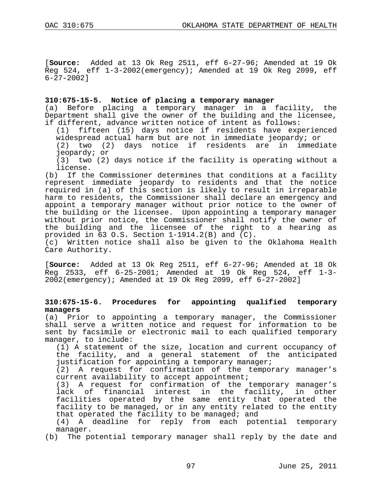[**Source:** Added at 13 Ok Reg 2511, eff 6-27-96; Amended at 19 Ok Reg 524, eff 1-3-2002(emergency); Amended at 19 Ok Reg 2099, eff 6-27-2002]

# **310:675-15-5. Notice of placing a temporary manager**

(a) Before placing a temporary manager in a facility, the Department shall give the owner of the building and the licensee, if different, advance written notice of intent as follows:

fifteen (15) days notice if residents have experienced widespread actual harm but are not in immediate jeopardy; or<br>(2) two (2) days notice if residents are in immediate

 $(2)$  days notice if residents are in jeopardy; or

(3) two (2) days notice if the facility is operating without a

license.<br>b) If the If the Commissioner determines that conditions at a facility represent immediate jeopardy to residents and that the notice required in (a) of this section is likely to result in irreparable harm to residents, the Commissioner shall declare an emergency and appoint a temporary manager without prior notice to the owner of the building or the licensee. Upon appointing a temporary manager without prior notice, the Commissioner shall notify the owner of the building and the licensee of the right to a hearing as provided in 63 O.S. Section 1-1914.2(B) and (C).

(c) Written notice shall also be given to the Oklahoma Health Care Authority.

[**Source:** Added at 13 Ok Reg 2511, eff 6-27-96; Amended at 18 Ok Reg 2533, eff 6-25-2001; Amended at 19 Ok Reg 524, eff 1-3- 2002(emergency); Amended at 19 Ok Reg 2099, eff 6-27-2002]

# **310:675-15-6. Procedures for appointing qualified temporary managers**

(a) Prior to appointing a temporary manager, the Commissioner shall serve a written notice and request for information to be sent by facsimile or electronic mail to each qualified temporary manager, to include:

(1) A statement of the size, location and current occupancy of the facility, and a general statement of the anticipated justification for appointing a temporary manager;

(2) A request for confirmation of the temporary manager's current availability to accept appointment;

(3) A request for confirmation of the temporary manager's lack of financial interest in the facility, in other facilities operated by the same entity that operated the facility to be managed, or in any entity related to the entity that operated the facility to be managed; and

(4) A deadline for reply from each potential temporary manager.

(b) The potential temporary manager shall reply by the date and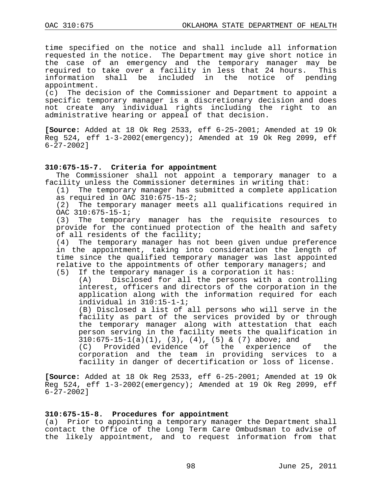time specified on the notice and shall include all information requested in the notice. The Department may give short notice in the case of an emergency and the temporary manager may be required to take over a facility in less that 24 hours. This<br>information shall be included in the notice of pending information shall be included in the notice of appointment.

(c) The decision of the Commissioner and Department to appoint a specific temporary manager is a discretionary decision and does not create any individual rights including the right to an administrative hearing or appeal of that decision.

**[Source:** Added at 18 Ok Reg 2533, eff 6-25-2001; Amended at 19 Ok Reg 524, eff 1-3-2002(emergency); Amended at 19 Ok Reg 2099, eff 6-27-2002]

# **310:675-15-7. Criteria for appointment**

The Commissioner shall not appoint a temporary manager to a facility unless the Commissioner determines in writing that:

(1) The temporary manager has submitted a complete application as required in OAC  $310:675-15-2$ ;

(2) The temporary manager meets all qualifications required in OAC 310:675-15-1;<br>(3) The tempora:

The temporary manager has the requisite resources to provide for the continued protection of the health and safety of all residents of the facility;

(4) The temporary manager has not been given undue preference in the appointment, taking into consideration the length of time since the qualified temporary manager was last appointed relative to the appointments of other temporary managers; and<br>(5) If the temporary manager is a corporation it has:

If the temporary manager is a corporation it has:<br>(A) Disclosed for all the persons with a co

Disclosed for all the persons with a controlling interest, officers and directors of the corporation in the application along with the information required for each individual in 310:15-1-1;

(B) Disclosed a list of all persons who will serve in the facility as part of the services provided by or through the temporary manager along with attestation that each person serving in the facility meets the qualification in  $310:675-15-1(a)(1)$ ,  $(3)$ ,  $(4)$ ,  $(5)$  &  $(7)$  above; and

(C) Provided evidence of the experience of the corporation and the team in providing services to a facility in danger of decertification or loss of license.

**[Source:** Added at 18 Ok Reg 2533, eff 6-25-2001; Amended at 19 Ok Reg 524, eff 1-3-2002(emergency); Amended at 19 Ok Reg 2099, eff 6-27-2002]

### **310:675-15-8. Procedures for appointment**

(a) Prior to appointing a temporary manager the Department shall contact the Office of the Long Term Care Ombudsman to advise of the likely appointment, and to request information from that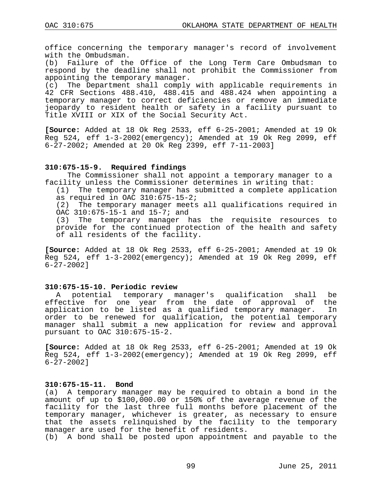office concerning the temporary manager's record of involvement with the Ombudsman.<br>(b) Failure of the

Failure of the Office of the Long Term Care Ombudsman to respond by the deadline shall not prohibit the Commissioner from appointing the temporary manager.

(c) The Department shall comply with applicable requirements in 42 CFR Sections 488.410, 488.415 and 488.424 when appointing a temporary manager to correct deficiencies or remove an immediate jeopardy to resident health or safety in a facility pursuant to Title XVIII or XIX of the Social Security Act.

**[Source:** Added at 18 Ok Reg 2533, eff 6-25-2001; Amended at 19 Ok Reg 524, eff 1-3-2002(emergency); Amended at 19 Ok Reg 2099, eff 6-27-2002; Amended at 20 Ok Reg 2399, eff 7-11-2003]

# **310:675-15-9. Required findings**

The Commissioner shall not appoint a temporary manager to a facility unless the Commissioner determines in writing that:

(1) The temporary manager has submitted a complete application as required in OAC  $310:675-15-2$ ;

(2) The temporary manager meets all qualifications required in OAC  $310:675-15-1$  and  $15-7$ ; and  $(3)$  The temporary manager h

The temporary manager has the requisite resources to provide for the continued protection of the health and safety of all residents of the facility.

**[Source:** Added at 18 Ok Reg 2533, eff 6-25-2001; Amended at 19 Ok Reg 524, eff 1-3-2002(emergency); Amended at 19 Ok Reg 2099, eff 6-27-2002]

# **310:675-15-10. Periodic review**

A potential temporary manager's qualification shall be effective for one year from the date of approval of the application to be listed as a qualified temporary manager. In order to be renewed for qualification, the potential temporary manager shall submit a new application for review and approval pursuant to OAC 310:675-15-2.

**[Source:** Added at 18 Ok Reg 2533, eff 6-25-2001; Amended at 19 Ok Reg 524, eff 1-3-2002(emergency); Amended at 19 Ok Reg 2099, eff 6-27-2002]

#### **310:675-15-11. Bond**

(a) A temporary manager may be required to obtain a bond in the amount of up to \$100,000.00 or 150% of the average revenue of the facility for the last three full months before placement of the temporary manager, whichever is greater, as necessary to ensure that the assets relinquished by the facility to the temporary manager are used for the benefit of residents.

(b) A bond shall be posted upon appointment and payable to the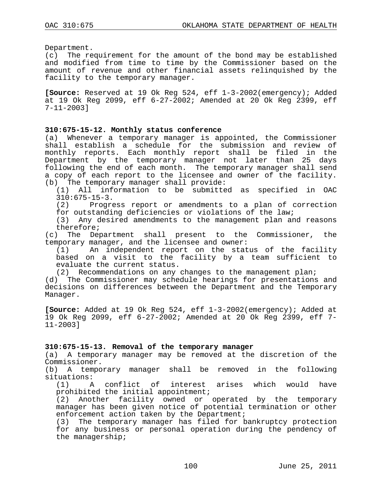Department.

(c) The requirement for the amount of the bond may be established and modified from time to time by the Commissioner based on the amount of revenue and other financial assets relinquished by the facility to the temporary manager.

**[Source:** Reserved at 19 Ok Reg 524, eff 1-3-2002(emergency); Added at 19 Ok Reg 2099, eff 6-27-2002; Amended at 20 Ok Reg 2399, eff 7-11-2003]

### **310:675-15-12. Monthly status conference**

(a) Whenever a temporary manager is appointed, the Commissioner shall establish a schedule for the submission and review of monthly reports. Each monthly report shall be filed in the Department by the temporary manager not later than 25 days following the end of each month. The temporary manager shall send a copy of each report to the licensee and owner of the facility. (b) The temporary manager shall provide:

(1) All information to be submitted as specified in OAC  $310:675-15-3.$ <br>(2) Progre

Progress report or amendments to a plan of correction

for outstanding deficiencies or violations of the law;

(3) Any desired amendments to the management plan and reasons therefore;

(c) The Department shall present to the Commissioner, the temporary manager, and the licensee and owner:<br>(1) An independent report on the stat

An independent report on the status of the facility based on a visit to the facility by a team sufficient to evaluate the current status.

(2) Recommendations on any changes to the management plan;

(d) The Commissioner may schedule hearings for presentations and decisions on differences between the Department and the Temporary Manager.

**[Source:** Added at 19 Ok Reg 524, eff 1-3-2002(emergency); Added at 19 Ok Reg 2099, eff 6-27-2002; Amended at 20 Ok Reg 2399, eff 7- 11-2003]

# **310:675-15-13. Removal of the temporary manager**

A temporary manager may be removed at the discretion of the Commissioner.

(b) A temporary manager shall be removed in the following situations:<br>(1) A

A conflict of interest arises which would have prohibited the initial appointment;

(2) Another facility owned or operated by the temporary manager has been given notice of potential termination or other enforcement action taken by the Department;

(3) The temporary manager has filed for bankruptcy protection for any business or personal operation during the pendency of the managership;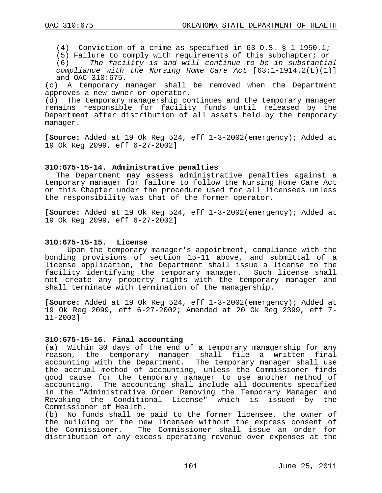(4) Conviction of a crime as specified in 63 O.S. § 1-1950.1;

(5) Failure to comply with requirements of this subchapter; or  $(6)$  The facility is and will continue to be in substantiant

The facility is and will continue to be in substantial *compliance with the Nursing Home Care Act* [63:1-1914.2(L)(1)] and OAC  $310:675$ .<br>(c) A temporary  $\alpha$ 

A temporary manager shall be removed when the Department approves a new owner or operator.

(d) The temporary managership continues and the temporary manager remains responsible for facility funds until released by the Department after distribution of all assets held by the temporary manager.

**[Source:** Added at 19 Ok Reg 524, eff 1-3-2002(emergency); Added at 19 Ok Reg 2099, eff 6-27-2002]

## **310:675-15-14. Administrative penalties**

The Department may assess administrative penalties against a temporary manager for failure to follow the Nursing Home Care Act or this Chapter under the procedure used for all licensees unless the responsibility was that of the former operator.

**[Source:** Added at 19 Ok Reg 524, eff 1-3-2002(emergency); Added at 19 Ok Reg 2099, eff 6-27-2002]

### **310:675-15-15. License**

Upon the temporary manager's appointment, compliance with the bonding provisions of section 15-11 above, and submittal of a license application, the Department shall issue a license to the facility identifying the temporary manager. Such license shall not create any property rights with the temporary manager and shall terminate with termination of the managership.

**[Source:** Added at 19 Ok Reg 524, eff 1-3-2002(emergency); Added at 19 Ok Reg 2099, eff 6-27-2002; Amended at 20 Ok Reg 2399, eff 7- 11-2003]

### **310:675-15-16. Final accounting**

(a) Within 30 days of the end of a temporary managership for any<br>reason, the temporary manager shall file a written final the temporary manager shall file a written final accounting with the Department. The temporary manager shall use the accrual method of accounting, unless the Commissioner finds good cause for the temporary manager to use another method of accounting. The accounting shall include all documents specified The accounting shall include all documents specified in the "Administrative Order Removing the Temporary Manager and Revoking the Conditional License" which is issued by Commissioner of Health.<br>(b) No funds shall be

No funds shall be paid to the former licensee, the owner of the building or the new licensee without the express consent of the Commissioner. The Commissioner shall issue an order for distribution of any excess operating revenue over expenses at the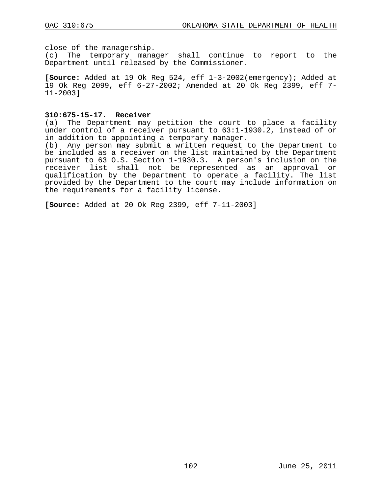close of the managership.

(c) The temporary manager shall continue to report to the Department until released by the Commissioner.

**[Source:** Added at 19 Ok Reg 524, eff 1-3-2002(emergency); Added at 19 Ok Reg 2099, eff 6-27-2002; Amended at 20 Ok Reg 2399, eff 7- 11-2003]

#### **310:675-15-17. Receiver**

(a) The Department may petition the court to place a facility under control of a receiver pursuant to 63:1-1930.2, instead of or in addition to appointing a temporary manager.

(b) Any person may submit a written request to the Department to be included as a receiver on the list maintained by the Department pursuant to 63 O.S. Section 1-1930.3. A person's inclusion on the receiver list shall not be represented as an approval or qualification by the Department to operate a facility. The list provided by the Department to the court may include information on the requirements for a facility license.

**[Source:** Added at 20 Ok Reg 2399, eff 7-11-2003]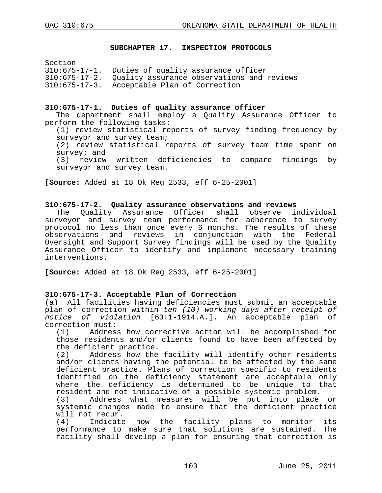#### **SUBCHAPTER 17. INSPECTION PROTOCOLS**

Section

| 310:675-17-1. Duties of quality assurance officer |  |  |  |
|---------------------------------------------------|--|--|--|
|                                                   |  |  |  |

310:675-17-2. Quality assurance observations and reviews

310:675-17-3. Acceptable Plan of Correction

#### **310:675-17-1. Duties of quality assurance officer**

The department shall employ a Quality Assurance Officer to perform the following tasks:

(1) review statistical reports of survey finding frequency by surveyor and survey team;

(2) review statistical reports of survey team time spent on survey; and

(3) review written deficiencies to compare findings by surveyor and survey team.

**[Source:** Added at 18 Ok Reg 2533, eff 6-25-2001]

### **310:675-17-2. Quality assurance observations and reviews**

The Quality Assurance Officer shall observe individual surveyor and survey team performance for adherence to survey protocol no less than once every 6 months. The results of these observations and reviews in conjunction with the Federal Oversight and Support Survey findings will be used by the Quality Assurance Officer to identify and implement necessary training interventions.

**[Source:** Added at 18 Ok Reg 2533, eff 6-25-2001]

# **310:675-17-3. Acceptable Plan of Correction**

(a) All facilities having deficiencies must submit an acceptable plan of correction within *ten (10) working days after receipt of notice of violation* [63:1-1914.A.]. An acceptable plan of correction must:<br>(1) Addres;

Address how corrective action will be accomplished for those residents and/or clients found to have been affected by the deficient practice.<br>(2) Address how the

Address how the facility will identify other residents and/or clients having the potential to be affected by the same deficient practice. Plans of correction specific to residents identified on the deficiency statement are acceptable only where the deficiency is determined to be unique to that resident and not indicative of a possible systemic problem.<br>(3) Address what measures will be put into place

Address what measures will be put into place or systemic changes made to ensure that the deficient practice will not recur.<br>(4) Indicate

Indicate how the facility plans to monitor its performance to make sure that solutions are sustained. The facility shall develop a plan for ensuring that correction is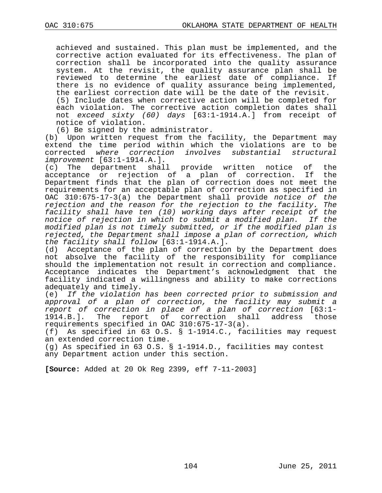achieved and sustained. This plan must be implemented, and the corrective action evaluated for its effectiveness. The plan of correction shall be incorporated into the quality assurance system. At the revisit, the quality assurance plan shall be reviewed to determine the earliest date of compliance. there is no evidence of quality assurance being implemented, the earliest correction date will be the date of the revisit. (5) Include dates when corrective action will be completed for each violation. The corrective action completion dates shall not *exceed sixty (60) days* [63:1-1914.A.] from receipt of notice of violation.

(6) Be signed by the administrator.

(b) Upon written request from the facility, the Department may extend the time period within which the violations are to be corrected *where correction involves substantial structural improvement* [63:1-1914.A.]*.*

(c) The department shall provide written notice of the acceptance or rejection of a plan of correction. If the Department finds that the plan of correction does not meet the requirements for an acceptable plan of correction as specified in OAC 310:675-17-3(a) the Department shall provide *notice of the rejection and the reason for the rejection to the facility. The facility shall have ten (10) working days after receipt of the notice of rejection in which to submit a modified plan. If the modified plan is not timely submitted, or if the modified plan is rejected, the Department shall impose a plan of correction, which the facility shall follow* [63:1-1914.A.]*.*

Acceptance of the plan of correction by the Department does not absolve the facility of the responsibility for compliance should the implementation not result in correction and compliance. Acceptance indicates the Department's acknowledgment that the facility indicated a willingness and ability to make corrections adequately and timely.

(e) *If the violation has been corrected prior to submission and approval of a plan of correction, the facility may submit a report of correction in place of a plan of correction* [63:1- 1914.B.]*.* The report of correction shall address those requirements specified in OAC 310:675-17-3(a).

(f) As specified in 63 O.S. § 1-1914.C., facilities may request an extended correction time.

(g) As specified in 63 O.S. § 1-1914.D., facilities may contest any Department action under this section.

**[Source:** Added at 20 Ok Reg 2399, eff 7-11-2003]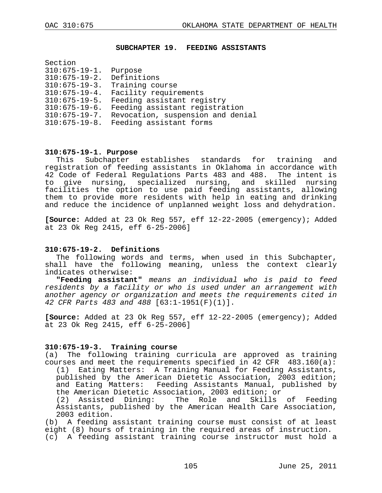#### **SUBCHAPTER 19. FEEDING ASSISTANTS**

| Section              |                                   |
|----------------------|-----------------------------------|
| $310:675 - 19 - 1.$  | Purpose                           |
| $310:675 - 19 - 2.$  | Definitions                       |
| $310:675 - 19 - 3.$  | Training course                   |
| $310:675 - 19 - 4.$  | Facility requirements             |
| $310:675 - 19 - 5.$  | Feeding assistant registry        |
| $310:675 - 19 - 6.$  | Feeding assistant registration    |
| $310:675 - 19 - 7$ . | Revocation, suspension and denial |
| $310:675 - 19 - 8.$  | Feeding assistant forms           |
|                      |                                   |

# **310:675-19-1. Purpose**

Subchapter establishes standards for training and registration of feeding assistants in Oklahoma in accordance with 42 Code of Federal Regulations Parts 483 and 488. The intent is<br>to give nursing, specialized nursing, and skilled nursing give nursing, specialized nursing, and skilled nursing facilities the option to use paid feeding assistants, allowing them to provide more residents with help in eating and drinking and reduce the incidence of unplanned weight loss and dehydration.

**[Source:** Added at 23 Ok Reg 557, eff 12-22-2005 (emergency); Added at 23 Ok Reg 2415, eff 6-25-2006]

#### **310:675-19-2. Definitions**

The following words and terms, when used in this Subchapter, shall have the following meaning, unless the context clearly indicates otherwise:

**"Feeding assistant"** *means an individual who is paid to feed residents by a facility or who is used under an arrangement with another agency or organization and meets the requirements cited in 42 CFR Parts 483 and 488* [63:1-1951(F)(1)].

**[Source:** Added at 23 Ok Reg 557, eff 12-22-2005 (emergency); Added at 23 Ok Reg 2415, eff 6-25-2006]

#### **310:675-19-3. Training course**

(a) The following training curricula are approved as training courses and meet the requirements specified in 42 CFR  $483.160(a):$ (1) Eating Matters: A Training Manual for Feeding Assistants, published by the American Dietetic Association, 2003 edition; and Eating Matters: Feeding Assistants Manual, published by

the American Dietetic Association, 2003 edition; or<br>(2) Assisted Dining: The Role and Skills The Role and Skills of Feeding Assistants, published by the American Health Care Association, 2003 edition.

(b) A feeding assistant training course must consist of at least eight (8) hours of training in the required areas of instruction. (c) A feeding assistant training course instructor must hold a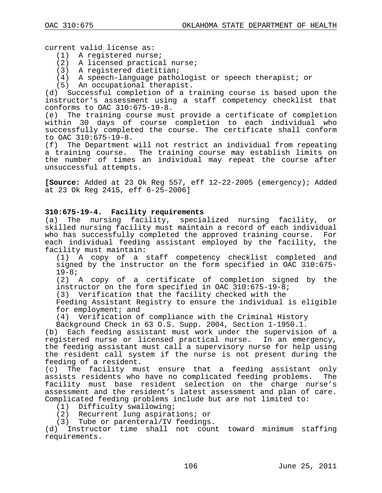current valid license as:

- (1) A registered nurse;
- (2) A licensed practical nurse;
- (3) A registered dietitian;
- (4) A speech-language pathologist or speech therapist; or
- (5) An occupational therapist.

(d) Successful completion of a training course is based upon the instructor's assessment using a staff competency checklist that conforms to OAC 310:675-19-8.<br>(e) The training course must

The training course must provide a certificate of completion within 30 days of course completion to each individual who successfully completed the course. The certificate shall conform to OAC  $310:675-19-8$ .<br>(f) The Department

The Department will not restrict an individual from repeating a training course. The training course may establish limits on the number of times an individual may repeat the course after unsuccessful attempts.

**[Source:** Added at 23 Ok Reg 557, eff 12-22-2005 (emergency); Added at 23 Ok Reg 2415, eff 6-25-2006]

### **310:675-19-4. Facility requirements**

(a) The nursing facility, specialized nursing facility, or skilled nursing facility must maintain a record of each individual who has successfully completed the approved training course. For each individual feeding assistant employed by the facility, the facility must maintain:

(1) A copy of a staff competency checklist completed and signed by the instructor on the form specified in OAC 310:675-<br>19-8;

(2) A copy of a certificate of completion signed by the instructor on the form specified in OAC 310:675-19-8;

(3) Verification that the facility checked with the

Feeding Assistant Registry to ensure the individual is eligible for employment; and

(4) Verification of compliance with the Criminal History

Background Check in 63 O.S. Supp. 2004, Section 1-1950.1.

(b) Each feeding assistant must work under the supervision of a registered nurse or licensed practical nurse. In an emergency, the feeding assistant must call a supervisory nurse for help using the resident call system if the nurse is not present during the feeding of a resident.

(c) The facility must ensure that a feeding assistant only assists residents who have no complicated feeding problems. The facility must base resident selection on the charge nurse's assessment and the resident's latest assessment and plan of care. Complicated feeding problems include but are not limited to:

(1) Difficulty swallowing;

(2) Recurrent lung aspirations; or

(3) Tube or parenteral/IV feedings.

(d) Instructor time shall not count toward minimum staffing requirements.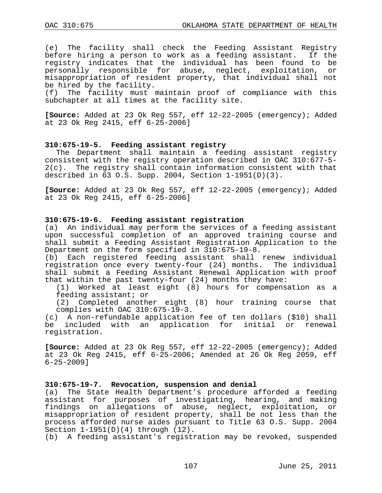(e) The facility shall check the Feeding Assistant Registry before hiring a person to work as a feeding assistant. If the registry indicates that the individual has been found to be<br>personally responsible for abuse, neglect, exploitation, or personally responsible for abuse, neglect, exploitation, misappropriation of resident property, that individual shall not be hired by the facility.<br>(f) The facility must

The facility must maintain proof of compliance with this subchapter at all times at the facility site.

**[Source:** Added at 23 Ok Reg 557, eff 12-22-2005 (emergency); Added at 23 Ok Reg 2415, eff 6-25-2006]

#### **310:675-19-5. Feeding assistant registry**

The Department shall maintain a feeding assistant registry consistent with the registry operation described in OAC 310:677-5-<br>2(c). The registry shall contain information consistent with that The registry shall contain information consistent with that described in  $63$  O.S. Supp. 2004, Section  $1-1951(D)(3)$ .

**[Source:** Added at 23 Ok Reg 557, eff 12-22-2005 (emergency); Added at 23 Ok Reg 2415, eff 6-25-2006]

#### **310:675-19-6. Feeding assistant registration**

(a) An individual may perform the services of a feeding assistant upon successful completion of an approved training course and shall submit a Feeding Assistant Registration Application to the Department on the form specified in 310:675-19-8.

(b) Each registered feeding assistant shall renew individual registration once every twenty-four (24) months. The individual shall submit a Feeding Assistant Renewal Application with proof that within the past twenty-four (24) months they have:<br>(1) Worked at least eight (8) hours for compens

(1) Worked at least eight (8) hours for compensation as a feeding assistant; or

(2) Completed another eight (8) hour training course that complies with OAC 310:675-19-3.

(c) A non-refundable application fee of ten dollars (\$10) shall<br>be included with an application for initial or renewal with an application for initial or renewal registration.

**[Source:** Added at 23 Ok Reg 557, eff 12-22-2005 (emergency); Added at 23 Ok Reg 2415, eff 6-25-2006; Amended at 26 Ok Reg 2059, eff 6-25-2009]

#### **310:675-19-7. Revocation, suspension and denial**

(a) The State Health Department's procedure afforded a feeding assistant for purposes of investigating, hearing, and making findings on allegations of abuse, neglect, exploitation, or misappropriation of resident property, shall be not less than the process afforded nurse aides pursuant to Title 63 O.S. Supp. 2004 Section 1-1951(D)(4) through (12).

(b) A feeding assistant's registration may be revoked, suspended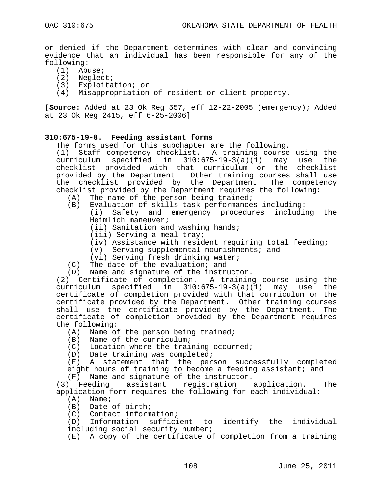or denied if the Department determines with clear and convincing evidence that an individual has been responsible for any of the following:

- (1) Abuse;
- (2) Neglect;
- (3) Exploitation; or
- (4) Misappropriation of resident or client property.

**[Source:** Added at 23 Ok Reg 557, eff 12-22-2005 (emergency); Added at 23 Ok Reg 2415, eff 6-25-2006]

## **310:675-19-8. Feeding assistant forms**

The forms used for this subchapter are the following.

(1) Staff competency checklist. A training course using the curriculum specified in 310:675-19-3(a)(1) may use the checklist provided with that curriculum or the checklist provided by the Department. Other training courses shall use the checklist provided by the Department. The competency checklist provided by the Department requires the following:<br>(A) The name of the person being trained;

- (A) The name of the person being trained;<br>(B) Evaluation of skills task performance;
- Evaluation of skills task performances including: (i) Safety and emergency procedures including the Heimlich maneuver;
	- (ii) Sanitation and washing hands;
	- (iii) Serving a meal tray;
	- (iv) Assistance with resident requiring total feeding;
	- (v) Serving supplemental nourishments; and
	- (vi) Serving fresh drinking water;
- (C) The date of the evaluation; and
- (D) Name and signature of the instructor.

(2) Certificate of completion. A training course using the curriculum specified in 310:675-19-3(a)(1) may use the certificate of completion provided with that curriculum or the certificate provided by the Department. Other training courses shall use the certificate provided by the Department. The certificate of completion provided by the Department requires the following:

- (A) Name of the person being trained;
- (B) Name of the curriculum;
- (C) Location where the training occurred;
- (D) Date training was completed;

(E) A statement that the person successfully completed eight hours of training to become a feeding assistant; and

(F) Name and signature of the instructor.

(3) Feeding assistant registration application. The application form requires the following for each individual:

- $(A)$  Name;
- (B) Date of birth;
- (C) Contact information;

(D) Information sufficient to identify the individual including social security number;

(E) A copy of the certificate of completion from a training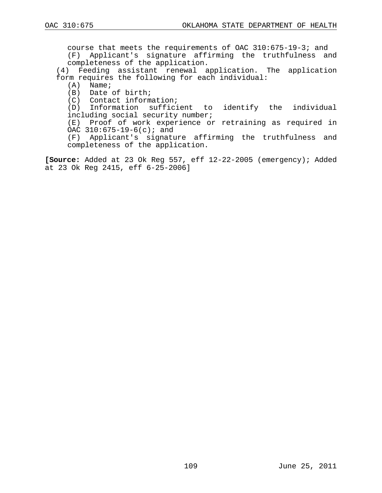course that meets the requirements of OAC 310:675-19-3; and (F) Applicant's signature affirming the truthfulness and completeness of the application.

(4) Feeding assistant renewal application. The application form requires the following for each individual:

 $(A)$  Name;

(B) Date of birth;

(C) Contact information;

(D) Information sufficient to identify the individual including social security number;

(E) Proof of work experience or retraining as required in OAC 310:675-19-6(c); and

(F) Applicant's signature affirming the truthfulness and completeness of the application.

**[Source:** Added at 23 Ok Reg 557, eff 12-22-2005 (emergency); Added at 23 Ok Reg 2415, eff 6-25-2006]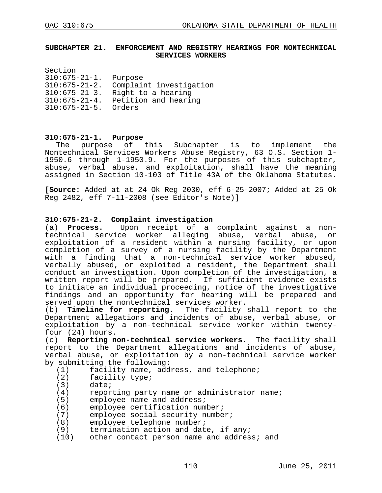### **SUBCHAPTER 21. ENFORCEMENT AND REGISTRY HEARINGS FOR NONTECHNICAL SERVICES WORKERS**

| Section              |                         |
|----------------------|-------------------------|
| $310:675 - 21 - 1$ . | Purpose                 |
| $310:675 - 21 - 2.$  | Complaint investigation |
| $310:675 - 21 - 3$ . | Right to a hearing      |
| $310:675 - 21 - 4.$  | Petition and hearing    |
| $310:675 - 21 - 5$ . | Orders                  |
|                      |                         |

# **310:675-21-1. Purpose**

purpose of this Subchapter is to implement the Nontechnical Services Workers Abuse Registry, 63 O.S. Section 1- 1950.6 through 1-1950.9. For the purposes of this subchapter, abuse, verbal abuse, and exploitation, shall have the meaning assigned in Section 10-103 of Title 43A of the Oklahoma Statutes.

**[Source:** Added at at 24 Ok Reg 2030, eff 6-25-2007; Added at 25 Ok Reg 2482, eff 7-11-2008 (see Editor's Note)]

# **310:675-21-2. Complaint investigation**

Upon receipt of a complaint against a nontechnical service worker alleging abuse, verbal abuse, or exploitation of a resident within a nursing facility, or upon completion of a survey of a nursing facility by the Department with a finding that a non-technical service worker abused, verbally abused, or exploited a resident, the Department shall conduct an investigation. Upon completion of the investigation, a written report will be prepared. If sufficient evidence exists to initiate an individual proceeding, notice of the investigative findings and an opportunity for hearing will be prepared and served upon the nontechnical services worker.<br>(b) **Timeline for reporting.** The facility

**Timeline for reporting.** The facility shall report to the Department allegations and incidents of abuse, verbal abuse, or exploitation by a non-technical service worker within twenty- four (24) hours.

(c) **Reporting non-technical service workers.** The facility shall report to the Department allegations and incidents of abuse, verbal abuse, or exploitation by a non-technical service worker by submitting the following:<br>(1) facility name, add

- (1) facility name, address, and telephone;<br>(2) facility type;
- (2) facility type;<br>(3) date;
- $(3)$  date;<br>(4) repor
- (4) reporting party name or administrator name;<br>(5) employee name and address;
- 
- (5) employee name and address;<br>(6) employee certification num (6) employee certification number;<br>(7) employee social security numbe
- (7) employee social security number;<br>(8) employee telephone number;
- 
- termination action and date, if any;
- (8) employee telephone number;<br>(9) termination action and dat<br>(10) other contact person name other contact person name and address; and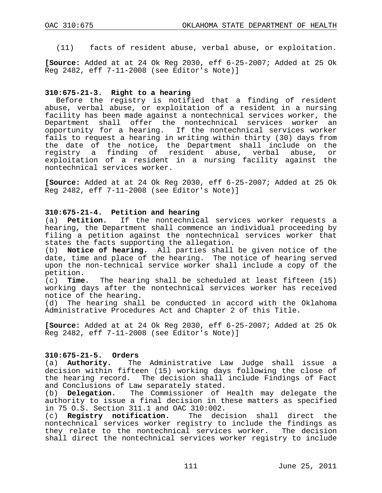(11) facts of resident abuse, verbal abuse, or exploitation.

**[Source:** Added at at 24 Ok Reg 2030, eff 6-25-2007; Added at 25 Ok Reg 2482, eff 7-11-2008 (see Editor's Note)]

### **310:675-21-3. Right to a hearing**

Before the registry is notified that a finding of resident abuse, verbal abuse, or exploitation of a resident in a nursing facility has been made against a nontechnical services worker, the<br>Department shall offer the nontechnical services worker an Department shall offer the nontechnical services worker opportunity for a hearing. If the nontechnical services worker fails to request a hearing in writing within thirty (30) days from the date of the notice, the Department shall include on the registry a finding of resident abuse, verbal abuse, or exploitation of a resident in a nursing facility against the nontechnical services worker.

**[Source:** Added at at 24 Ok Reg 2030, eff 6-25-2007; Added at 25 Ok Reg 2482, eff 7-11-2008 (see Editor's Note)]

## **310:675-21-4. Petition and hearing**

(a) **Petition.** If the nontechnical services worker requests a hearing, the Department shall commence an individual proceeding by filing a petition against the nontechnical services worker that states the facts supporting the allegation.<br>(b) **Notice of hearing.** All parties shall

Notice of hearing. All parties shall be given notice of the date, time and place of the hearing. The notice of hearing served upon the non-technical service worker shall include a copy of the petition.

(c) **Time.** The hearing shall be scheduled at least fifteen (15) working days after the nontechnical services worker has received notice of the hearing.<br>(d) The hearing shall

The hearing shall be conducted in accord with the Oklahoma Administrative Procedures Act and Chapter 2 of this Title.

**[Source:** Added at at 24 Ok Reg 2030, eff 6-25-2007; Added at 25 Ok Reg 2482, eff 7-11-2008 (see Editor's Note)]

# **310:675-21-5. Orders**

The Administrative Law Judge shall issue a decision within fifteen (15) working days following the close of the hearing record. The decision shall include Findings of Fact and Conclusions of Law separately stated.<br>(b) **Delegation.** The Commissioner of

The Commissioner of Health may delegate the authority to issue a final decision in these matters as specified in 75 O.S. Section 311.1 and OAC 310:002.<br>(c) **Registry notification.** The deci

(c) **Registry notification.** The decision shall direct the nontechnical services worker registry to include the findings as they relate to the nontechnical services worker. The decision shall direct the nontechnical services worker registry to include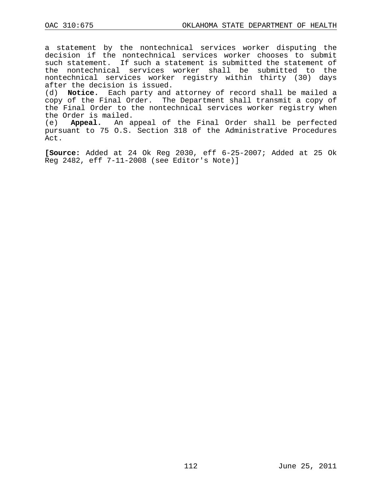a statement by the nontechnical services worker disputing the decision if the nontechnical services worker chooses to submit such statement. If such a statement is submitted the statement of the nontechnical services worker shall be submitted to the nontechnical services worker registry within thirty (30) days after the decision is issued.

(d) **Notice.** Each party and attorney of record shall be mailed a copy of the Final Order. The Department shall transmit a copy of the Final Order to the nontechnical services worker registry when the Order is mailed.

(e) **Appeal.** An appeal of the Final Order shall be perfected pursuant to 75 O.S. Section 318 of the Administrative Procedures Act.

**[Source:** Added at 24 Ok Reg 2030, eff 6-25-2007; Added at 25 Ok Reg 2482, eff 7-11-2008 (see Editor's Note)]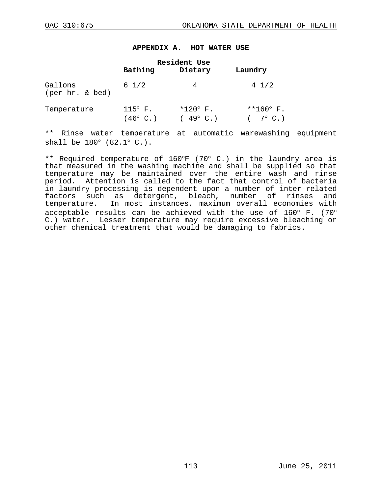#### **APPENDIX A. HOT WATER USE**

|                            | Bathing                                 | Resident Use<br>Dietary                | Laundry                                |
|----------------------------|-----------------------------------------|----------------------------------------|----------------------------------------|
| Gallons<br>(per hr. & bed) | $6\;1/2$                                | 4                                      | $4 \frac{1}{2}$                        |
| Temperature                | $115^\circ$ F.<br>$(46^{\circ} \, C. )$ | $*120^{\circ}$ F.<br>$(49^{\circ}$ C.) | $**160^{\circ}$ F.<br>$(7^{\circ}$ C.) |

\*\* Rinse water temperature at automatic warewashing equipment shall be 180° (82.1° C.).

\*\* Required temperature of 160°F (70° C.) in the laundry area is that measured in the washing machine and shall be supplied so that temperature may be maintained over the entire wash and rinse period. Attention is called to the fact that control of bacteria in laundry processing is dependent upon a number of inter-related factors such as detergent, bleach, number of rinses and temperature. In most instances, maximum overall economies with acceptable results can be achieved with the use of 160° F. (70° C.) water. Lesser temperature may require excessive bleaching or other chemical treatment that would be damaging to fabrics.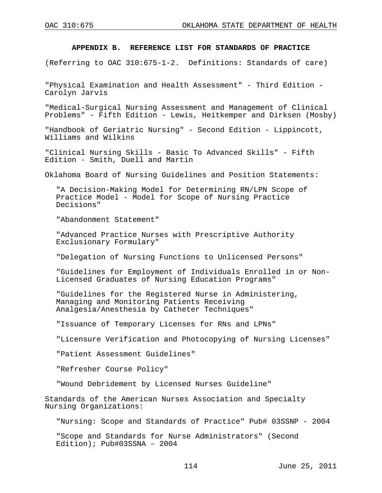### **APPENDIX B. REFERENCE LIST FOR STANDARDS OF PRACTICE**

(Referring to OAC 310:675-1-2. Definitions: Standards of care)

"Physical Examination and Health Assessment" - Third Edition - Carolyn Jarvis

"Medical-Surgical Nursing Assessment and Management of Clinical Problems" - Fifth Edition - Lewis, Heitkemper and Dirksen (Mosby)

"Handbook of Geriatric Nursing" - Second Edition - Lippincott, Williams and Wilkins

"Clinical Nursing Skills - Basic To Advanced Skills" - Fifth Edition - Smith, Duell and Martin

Oklahoma Board of Nursing Guidelines and Position Statements:

"A Decision-Making Model for Determining RN/LPN Scope of Practice Model - Model for Scope of Nursing Practice Decisions"

"Abandonment Statement"

"Advanced Practice Nurses with Prescriptive Authority Exclusionary Formulary"

"Delegation of Nursing Functions to Unlicensed Persons"

"Guidelines for Employment of Individuals Enrolled in or Non- Licensed Graduates of Nursing Education Programs"

"Guidelines for the Registered Nurse in Administering, Managing and Monitoring Patients Receiving Analgesia/Anesthesia by Catheter Techniques"

"Issuance of Temporary Licenses for RNs and LPNs"

"Licensure Verification and Photocopying of Nursing Licenses"

"Patient Assessment Guidelines"

"Refresher Course Policy"

"Wound Debridement by Licensed Nurses Guideline"

Standards of the American Nurses Association and Specialty Nursing Organizations:

"Nursing: Scope and Standards of Practice" Pub# 03SSNP - 2004

"Scope and Standards for Nurse Administrators" (Second Edition); Pub#03SSNA – 2004